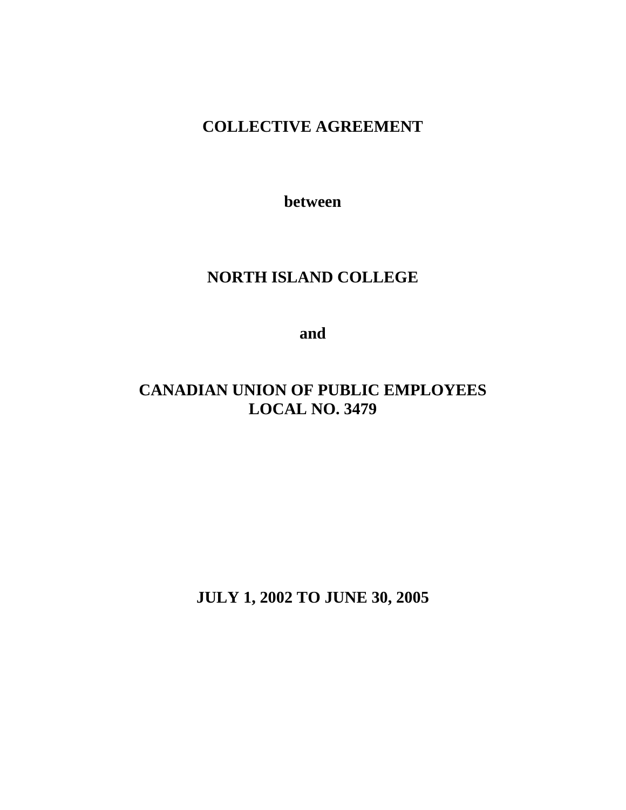# **COLLECTIVE AGREEMENT**

**between** 

# **NORTH ISLAND COLLEGE**

**and** 

# **CANADIAN UNION OF PUBLIC EMPLOYEES LOCAL NO. 3479**

**JULY 1, 2002 TO JUNE 30, 2005**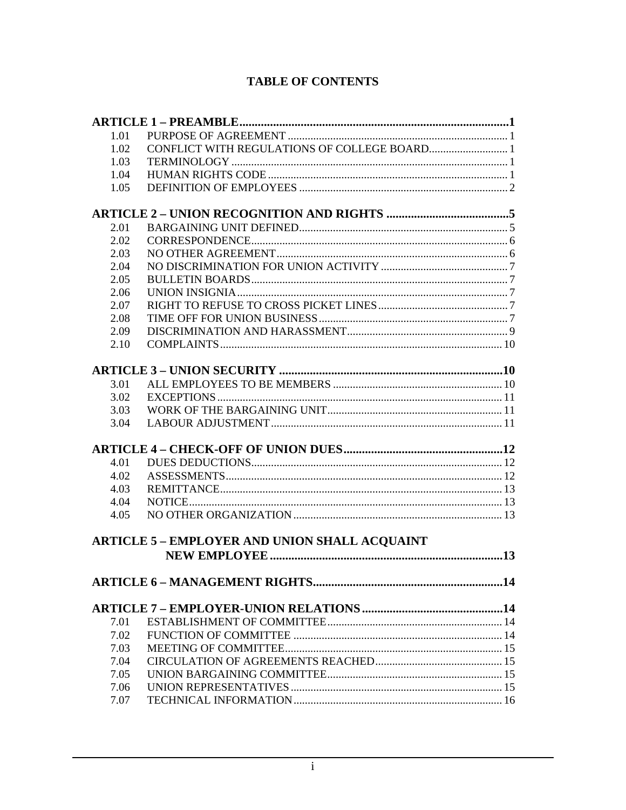## **TABLE OF CONTENTS**

| 1.01 |                                                      |
|------|------------------------------------------------------|
| 1.02 |                                                      |
| 1.03 |                                                      |
| 1.04 |                                                      |
| 1.05 |                                                      |
|      |                                                      |
| 2.01 |                                                      |
| 2.02 |                                                      |
| 2.03 |                                                      |
| 2.04 |                                                      |
| 2.05 |                                                      |
| 2.06 |                                                      |
| 2.07 |                                                      |
| 2.08 |                                                      |
| 2.09 |                                                      |
| 2.10 |                                                      |
|      |                                                      |
|      |                                                      |
| 3.01 |                                                      |
| 3.02 |                                                      |
| 3.03 |                                                      |
| 3.04 |                                                      |
|      |                                                      |
| 4.01 |                                                      |
| 4.02 |                                                      |
| 4.03 |                                                      |
| 4.04 |                                                      |
| 4.05 |                                                      |
|      |                                                      |
|      | <b>ARTICLE 5 - EMPLOYER AND UNION SHALL ACQUAINT</b> |
|      |                                                      |
|      |                                                      |
|      |                                                      |
|      |                                                      |
| 7.01 |                                                      |
| 7.02 |                                                      |
| 7.03 |                                                      |
| 7.04 |                                                      |
| 7.05 |                                                      |
| 7.06 |                                                      |
| 7.07 |                                                      |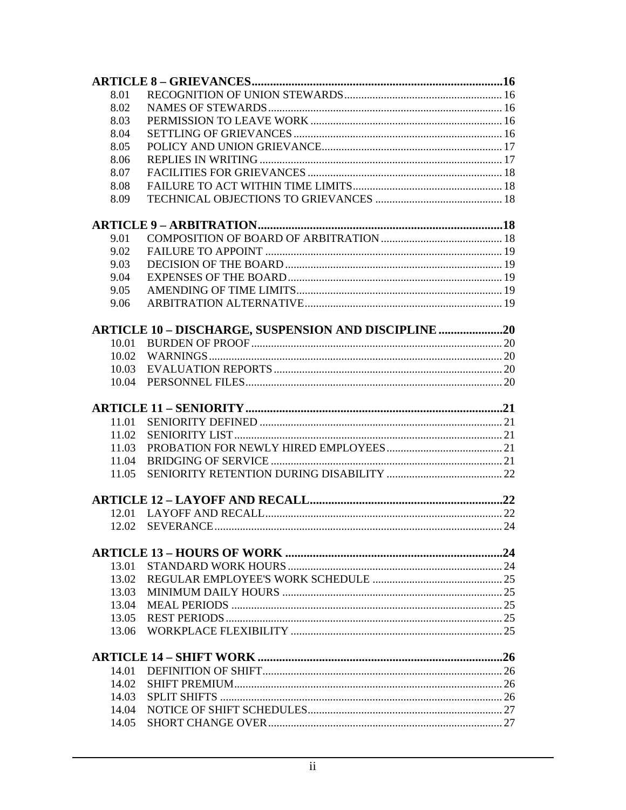| 8.01  |                                                             |  |
|-------|-------------------------------------------------------------|--|
| 8.02  |                                                             |  |
| 8.03  |                                                             |  |
| 8.04  |                                                             |  |
| 8.05  |                                                             |  |
| 8.06  |                                                             |  |
| 8.07  |                                                             |  |
| 8.08  |                                                             |  |
| 8.09  |                                                             |  |
|       |                                                             |  |
| 9.01  |                                                             |  |
| 9.02  |                                                             |  |
| 9.03  |                                                             |  |
| 9.04  |                                                             |  |
| 9.05  |                                                             |  |
| 9.06  |                                                             |  |
|       | <b>ARTICLE 10 - DISCHARGE, SUSPENSION AND DISCIPLINE 20</b> |  |
| 10.01 |                                                             |  |
| 10.02 |                                                             |  |
| 10.03 |                                                             |  |
| 10.04 |                                                             |  |
|       |                                                             |  |
|       |                                                             |  |
| 11.01 |                                                             |  |
| 11.02 |                                                             |  |
| 11.03 |                                                             |  |
| 11.04 |                                                             |  |
| 11.05 |                                                             |  |
|       |                                                             |  |
|       |                                                             |  |
| 12.02 |                                                             |  |
|       |                                                             |  |
| 13.01 |                                                             |  |
| 13.02 |                                                             |  |
| 13.03 |                                                             |  |
| 13.04 |                                                             |  |
| 13.05 |                                                             |  |
| 13.06 |                                                             |  |
|       |                                                             |  |
| 14.01 |                                                             |  |
| 14.02 |                                                             |  |
| 14.03 |                                                             |  |
| 14.04 |                                                             |  |
| 14.05 |                                                             |  |
|       |                                                             |  |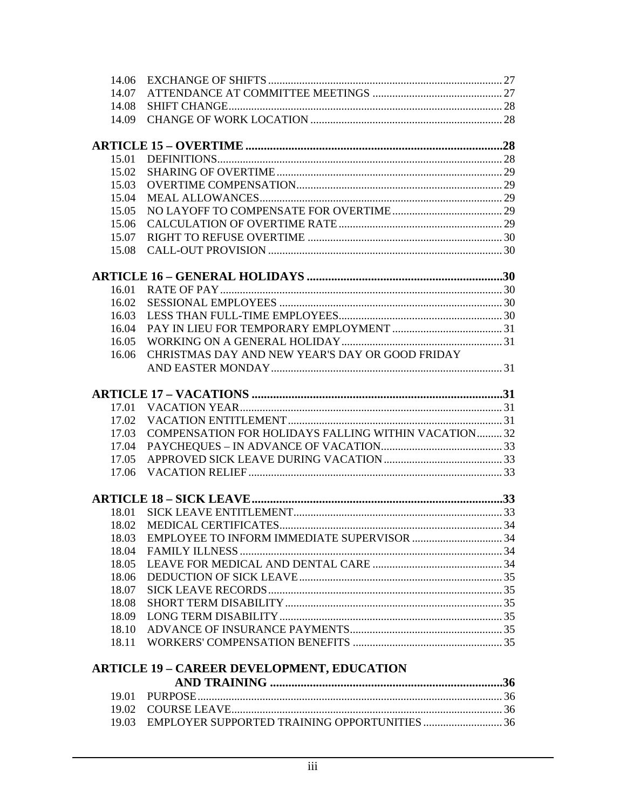| 14.06 |                                                      |  |
|-------|------------------------------------------------------|--|
| 14.07 |                                                      |  |
| 14.08 |                                                      |  |
| 14.09 |                                                      |  |
|       |                                                      |  |
| 15.01 |                                                      |  |
| 15.02 |                                                      |  |
| 15.03 |                                                      |  |
| 15.04 |                                                      |  |
| 15.05 |                                                      |  |
| 15.06 |                                                      |  |
| 15.07 |                                                      |  |
| 15.08 |                                                      |  |
|       |                                                      |  |
| 16.01 |                                                      |  |
| 16.02 |                                                      |  |
| 16.03 |                                                      |  |
| 16.04 |                                                      |  |
| 16.05 |                                                      |  |
| 16.06 | CHRISTMAS DAY AND NEW YEAR'S DAY OR GOOD FRIDAY      |  |
|       |                                                      |  |
|       |                                                      |  |
| 17.01 |                                                      |  |
| 17.02 |                                                      |  |
| 17.03 | COMPENSATION FOR HOLIDAYS FALLING WITHIN VACATION 32 |  |
| 17.04 |                                                      |  |
| 17.05 |                                                      |  |
| 17.06 |                                                      |  |
|       |                                                      |  |
| 18.01 |                                                      |  |
| 18.02 |                                                      |  |
| 18.03 |                                                      |  |
| 18.04 |                                                      |  |
| 18.05 |                                                      |  |
| 18.06 |                                                      |  |
| 18.07 |                                                      |  |
| 18.08 |                                                      |  |
| 18.09 |                                                      |  |
| 18.10 |                                                      |  |
| 18.11 |                                                      |  |
|       | <b>ARTICLE 19 - CAREER DEVELOPMENT, EDUCATION</b>    |  |
|       |                                                      |  |
| 19.01 |                                                      |  |
| 19.02 |                                                      |  |
|       | 19.03 EMPLOYER SUPPORTED TRAINING OPPORTUNITIES  36  |  |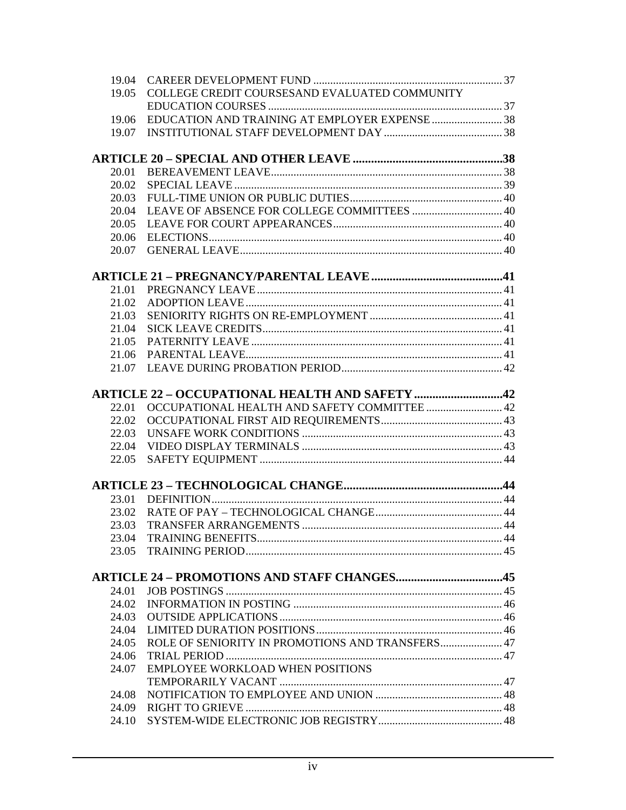| 19.04 |                                                    |  |
|-------|----------------------------------------------------|--|
| 19.05 | COLLEGE CREDIT COURSESAND EVALUATED COMMUNITY      |  |
|       |                                                    |  |
| 19.06 | EDUCATION AND TRAINING AT EMPLOYER EXPENSE 38      |  |
| 19.07 |                                                    |  |
|       |                                                    |  |
|       |                                                    |  |
| 20.01 |                                                    |  |
| 20.02 |                                                    |  |
| 20.03 |                                                    |  |
| 20.04 |                                                    |  |
| 20.05 |                                                    |  |
| 20.06 |                                                    |  |
| 20.07 |                                                    |  |
|       |                                                    |  |
| 21.01 |                                                    |  |
| 21.02 |                                                    |  |
| 21.03 |                                                    |  |
| 21.04 |                                                    |  |
| 21.05 |                                                    |  |
| 21.06 |                                                    |  |
| 21.07 |                                                    |  |
|       |                                                    |  |
|       | ARTICLE 22 – OCCUPATIONAL HEALTH AND SAFETY 42     |  |
| 22.01 | OCCUPATIONAL HEALTH AND SAFETY COMMITTEE  42       |  |
| 22.02 |                                                    |  |
| 22.03 |                                                    |  |
| 22.04 |                                                    |  |
| 22.05 |                                                    |  |
|       |                                                    |  |
| 23.01 |                                                    |  |
| 23.02 |                                                    |  |
| 23.03 |                                                    |  |
| 23.04 |                                                    |  |
| 23.05 |                                                    |  |
|       |                                                    |  |
|       | <b>ARTICLE 24 - PROMOTIONS AND STAFF CHANGES45</b> |  |
| 24.01 |                                                    |  |
| 24.02 |                                                    |  |
| 24.03 |                                                    |  |
| 24.04 |                                                    |  |
| 24.05 | ROLE OF SENIORITY IN PROMOTIONS AND TRANSFERS 47   |  |
| 24.06 |                                                    |  |
| 24.07 | <b>EMPLOYEE WORKLOAD WHEN POSITIONS</b>            |  |
|       |                                                    |  |
| 24.08 |                                                    |  |
| 24.09 |                                                    |  |
| 24.10 |                                                    |  |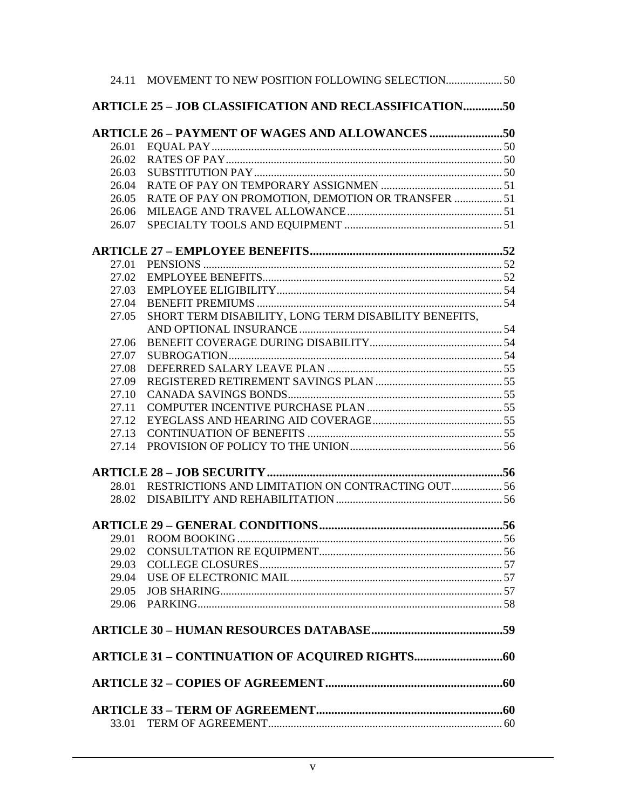|       | 24.11 MOVEMENT TO NEW POSITION FOLLOWING SELECTION            |  |
|-------|---------------------------------------------------------------|--|
|       |                                                               |  |
|       | <b>ARTICLE 25 - JOB CLASSIFICATION AND RECLASSIFICATION50</b> |  |
|       | <b>ARTICLE 26 - PAYMENT OF WAGES AND ALLOWANCES 50</b>        |  |
| 26.01 |                                                               |  |
| 26.02 |                                                               |  |
| 26.03 |                                                               |  |
| 26.04 |                                                               |  |
| 26.05 | RATE OF PAY ON PROMOTION, DEMOTION OR TRANSFER  51            |  |
| 26.06 |                                                               |  |
| 26.07 |                                                               |  |
|       |                                                               |  |
| 27.01 |                                                               |  |
| 27.02 |                                                               |  |
| 27.03 |                                                               |  |
| 27.04 |                                                               |  |
| 27.05 | SHORT TERM DISABILITY, LONG TERM DISABILITY BENEFITS,         |  |
|       |                                                               |  |
| 27.06 |                                                               |  |
| 27.07 |                                                               |  |
| 27.08 |                                                               |  |
| 27.09 |                                                               |  |
| 27.10 |                                                               |  |
| 27.11 |                                                               |  |
| 27.12 |                                                               |  |
| 27.13 |                                                               |  |
| 27.14 |                                                               |  |
|       |                                                               |  |
| 28.01 | RESTRICTIONS AND LIMITATION ON CONTRACTING OUT  56            |  |
| 28.02 |                                                               |  |
|       |                                                               |  |
|       |                                                               |  |
| 29.01 |                                                               |  |
| 29.02 |                                                               |  |
| 29.03 |                                                               |  |
| 29.04 |                                                               |  |
| 29.05 |                                                               |  |
| 29.06 |                                                               |  |
|       |                                                               |  |
|       |                                                               |  |
|       |                                                               |  |
|       |                                                               |  |
|       |                                                               |  |
|       |                                                               |  |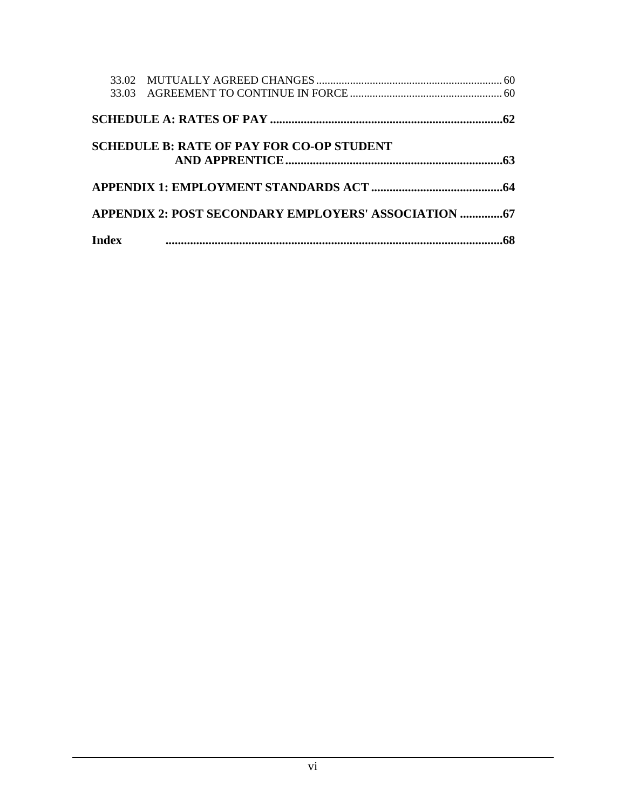|       |                                                  | .62 |
|-------|--------------------------------------------------|-----|
|       | <b>SCHEDULE B: RATE OF PAY FOR CO-OP STUDENT</b> |     |
|       |                                                  |     |
|       |                                                  |     |
| Index |                                                  |     |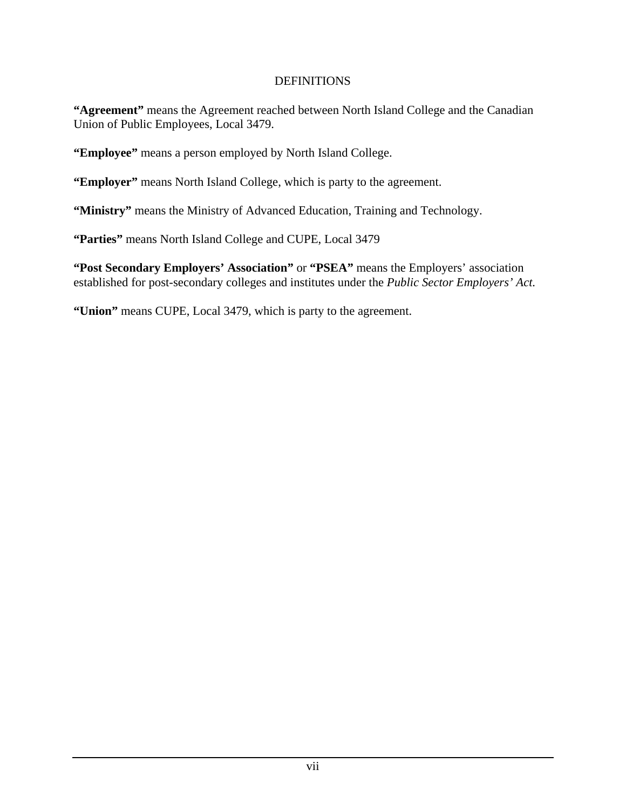#### DEFINITIONS

**"Agreement"** means the Agreement reached between North Island College and the Canadian Union of Public Employees, Local 3479.

**"Employee"** means a person employed by North Island College.

**"Employer"** means North Island College, which is party to the agreement.

**"Ministry"** means the Ministry of Advanced Education, Training and Technology.

**"Parties"** means North Island College and CUPE, Local 3479

**"Post Secondary Employers' Association"** or **"PSEA"** means the Employers' association established for post-secondary colleges and institutes under the *Public Sector Employers' Act.* 

**"Union"** means CUPE, Local 3479, which is party to the agreement.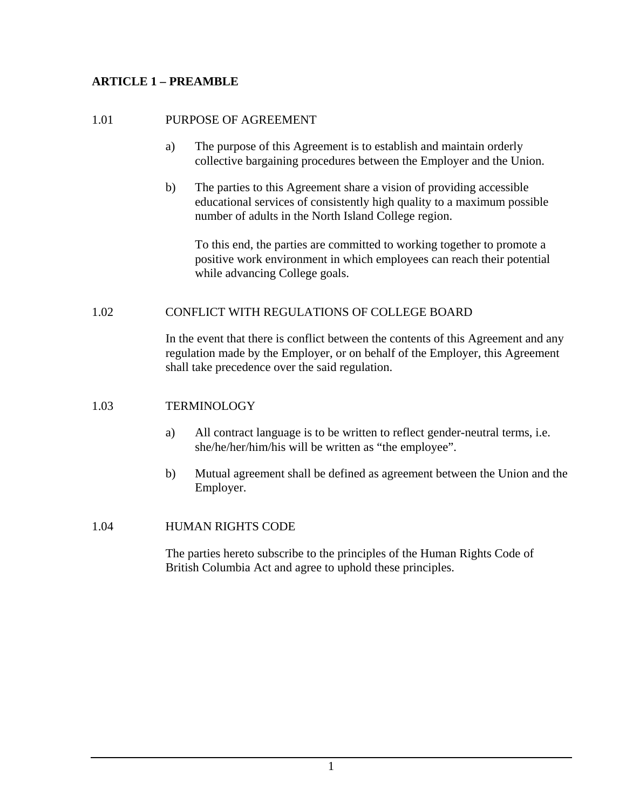## **ARTICLE 1 – PREAMBLE**

#### 1.01 PURPOSE OF AGREEMENT

- a) The purpose of this Agreement is to establish and maintain orderly collective bargaining procedures between the Employer and the Union.
- b) The parties to this Agreement share a vision of providing accessible educational services of consistently high quality to a maximum possible number of adults in the North Island College region.

To this end, the parties are committed to working together to promote a positive work environment in which employees can reach their potential while advancing College goals.

#### 1.02 CONFLICT WITH REGULATIONS OF COLLEGE BOARD

In the event that there is conflict between the contents of this Agreement and any regulation made by the Employer, or on behalf of the Employer, this Agreement shall take precedence over the said regulation.

#### 1.03 TERMINOLOGY

- a) All contract language is to be written to reflect gender-neutral terms, i.e. she/he/her/him/his will be written as "the employee".
- b) Mutual agreement shall be defined as agreement between the Union and the Employer.

#### 1.04 HUMAN RIGHTS CODE

The parties hereto subscribe to the principles of the Human Rights Code of British Columbia Act and agree to uphold these principles.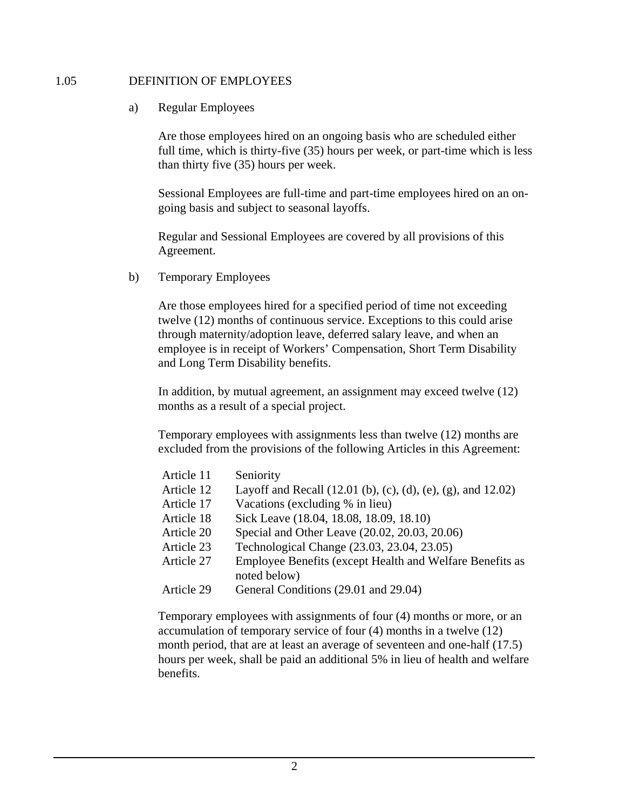#### 1.05 DEFINITION OF EMPLOYEES

#### a) Regular Employees

Are those employees hired on an ongoing basis who are scheduled either full time, which is thirty-five (35) hours per week, or part-time which is less than thirty five (35) hours per week.

Sessional Employees are full-time and part-time employees hired on an ongoing basis and subject to seasonal layoffs.

Regular and Sessional Employees are covered by all provisions of this Agreement.

b) Temporary Employees

Are those employees hired for a specified period of time not exceeding twelve (12) months of continuous service. Exceptions to this could arise through maternity/adoption leave, deferred salary leave, and when an employee is in receipt of Workers' Compensation, Short Term Disability and Long Term Disability benefits.

In addition, by mutual agreement, an assignment may exceed twelve (12) months as a result of a special project.

Temporary employees with assignments less than twelve (12) months are excluded from the provisions of the following Articles in this Agreement:

| Article 11 | Seniority                                                                |
|------------|--------------------------------------------------------------------------|
| Article 12 | Layoff and Recall (12.01 (b), (c), (d), (e), (g), and 12.02)             |
| Article 17 | Vacations (excluding % in lieu)                                          |
| Article 18 | Sick Leave (18.04, 18.08, 18.09, 18.10)                                  |
| Article 20 | Special and Other Leave (20.02, 20.03, 20.06)                            |
| Article 23 | Technological Change (23.03, 23.04, 23.05)                               |
| Article 27 | Employee Benefits (except Health and Welfare Benefits as<br>noted below) |
| Article 29 | General Conditions (29.01 and 29.04)                                     |

 Temporary employees with assignments of four (4) months or more, or an accumulation of temporary service of four (4) months in a twelve (12) month period, that are at least an average of seventeen and one-half (17.5) hours per week, shall be paid an additional 5% in lieu of health and welfare benefits.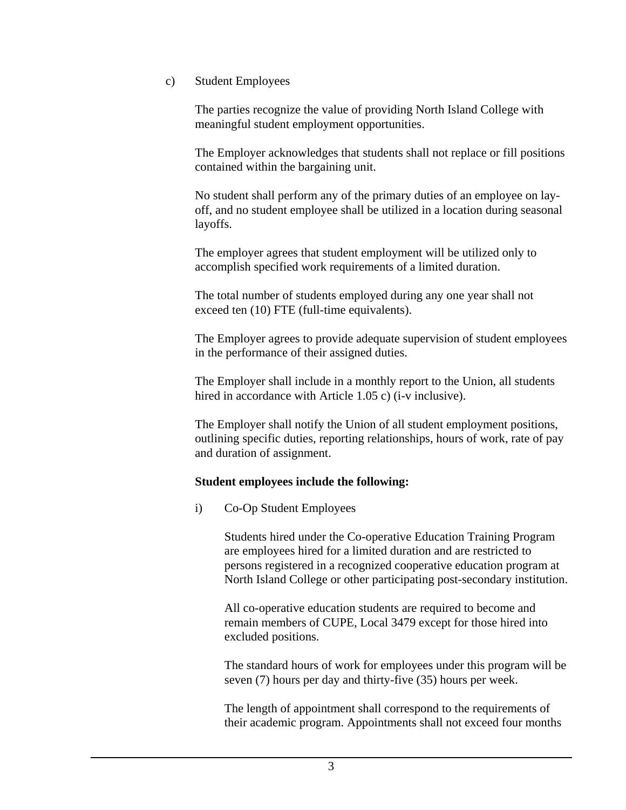c) Student Employees

The parties recognize the value of providing North Island College with meaningful student employment opportunities.

The Employer acknowledges that students shall not replace or fill positions contained within the bargaining unit.

No student shall perform any of the primary duties of an employee on layoff, and no student employee shall be utilized in a location during seasonal layoffs.

The employer agrees that student employment will be utilized only to accomplish specified work requirements of a limited duration.

The total number of students employed during any one year shall not exceed ten (10) FTE (full-time equivalents).

The Employer agrees to provide adequate supervision of student employees in the performance of their assigned duties.

The Employer shall include in a monthly report to the Union, all students hired in accordance with Article 1.05 c) (i-v inclusive).

The Employer shall notify the Union of all student employment positions, outlining specific duties, reporting relationships, hours of work, rate of pay and duration of assignment.

#### **Student employees include the following:**

i) Co-Op Student Employees

Students hired under the Co-operative Education Training Program are employees hired for a limited duration and are restricted to persons registered in a recognized cooperative education program at North Island College or other participating post-secondary institution.

All co-operative education students are required to become and remain members of CUPE, Local 3479 except for those hired into excluded positions.

The standard hours of work for employees under this program will be seven (7) hours per day and thirty-five (35) hours per week.

The length of appointment shall correspond to the requirements of their academic program. Appointments shall not exceed four months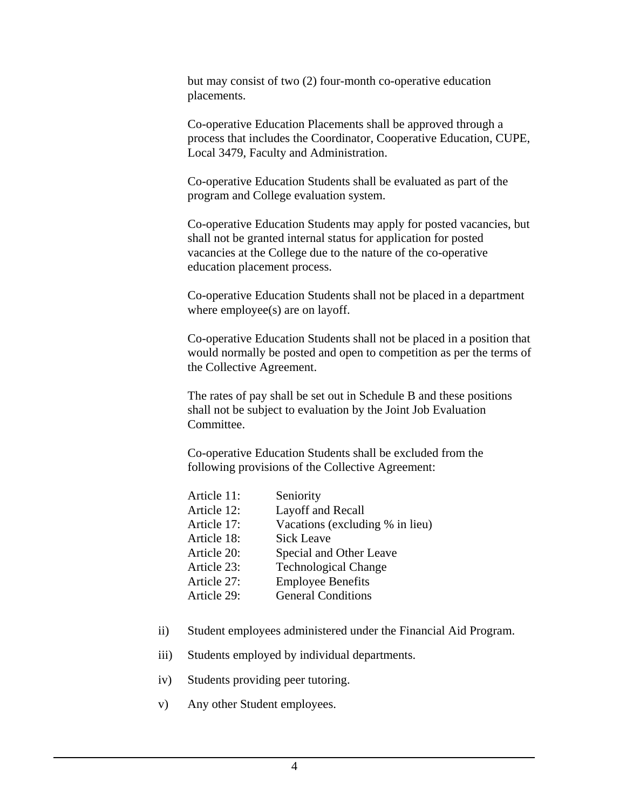but may consist of two (2) four-month co-operative education placements.

Co-operative Education Placements shall be approved through a process that includes the Coordinator, Cooperative Education, CUPE, Local 3479, Faculty and Administration.

Co-operative Education Students shall be evaluated as part of the program and College evaluation system.

Co-operative Education Students may apply for posted vacancies, but shall not be granted internal status for application for posted vacancies at the College due to the nature of the co-operative education placement process.

Co-operative Education Students shall not be placed in a department where employee(s) are on layoff.

Co-operative Education Students shall not be placed in a position that would normally be posted and open to competition as per the terms of the Collective Agreement.

The rates of pay shall be set out in Schedule B and these positions shall not be subject to evaluation by the Joint Job Evaluation Committee.

Co-operative Education Students shall be excluded from the following provisions of the Collective Agreement:

| Article 11: | Seniority                       |
|-------------|---------------------------------|
| Article 12: | Layoff and Recall               |
| Article 17: | Vacations (excluding % in lieu) |
| Article 18: | <b>Sick Leave</b>               |
| Article 20: | Special and Other Leave         |
| Article 23: | <b>Technological Change</b>     |
| Article 27: | <b>Employee Benefits</b>        |
| Article 29: | <b>General Conditions</b>       |
|             |                                 |

- ii) Student employees administered under the Financial Aid Program.
- iii) Students employed by individual departments.
- iv) Students providing peer tutoring.
- v) Any other Student employees.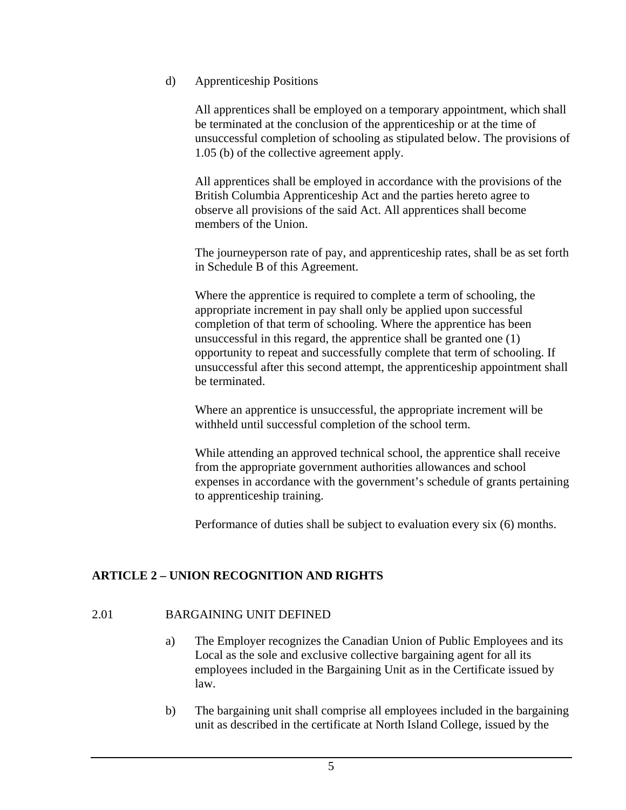#### d) Apprenticeship Positions

All apprentices shall be employed on a temporary appointment, which shall be terminated at the conclusion of the apprenticeship or at the time of unsuccessful completion of schooling as stipulated below. The provisions of 1.05 (b) of the collective agreement apply.

All apprentices shall be employed in accordance with the provisions of the British Columbia Apprenticeship Act and the parties hereto agree to observe all provisions of the said Act. All apprentices shall become members of the Union.

The journeyperson rate of pay, and apprenticeship rates, shall be as set forth in Schedule B of this Agreement.

Where the apprentice is required to complete a term of schooling, the appropriate increment in pay shall only be applied upon successful completion of that term of schooling. Where the apprentice has been unsuccessful in this regard, the apprentice shall be granted one (1) opportunity to repeat and successfully complete that term of schooling. If unsuccessful after this second attempt, the apprenticeship appointment shall be terminated.

Where an apprentice is unsuccessful, the appropriate increment will be withheld until successful completion of the school term.

While attending an approved technical school, the apprentice shall receive from the appropriate government authorities allowances and school expenses in accordance with the government's schedule of grants pertaining to apprenticeship training.

Performance of duties shall be subject to evaluation every six (6) months.

## **ARTICLE 2 – UNION RECOGNITION AND RIGHTS**

## 2.01 BARGAINING UNIT DEFINED

- a) The Employer recognizes the Canadian Union of Public Employees and its Local as the sole and exclusive collective bargaining agent for all its employees included in the Bargaining Unit as in the Certificate issued by law.
- b) The bargaining unit shall comprise all employees included in the bargaining unit as described in the certificate at North Island College, issued by the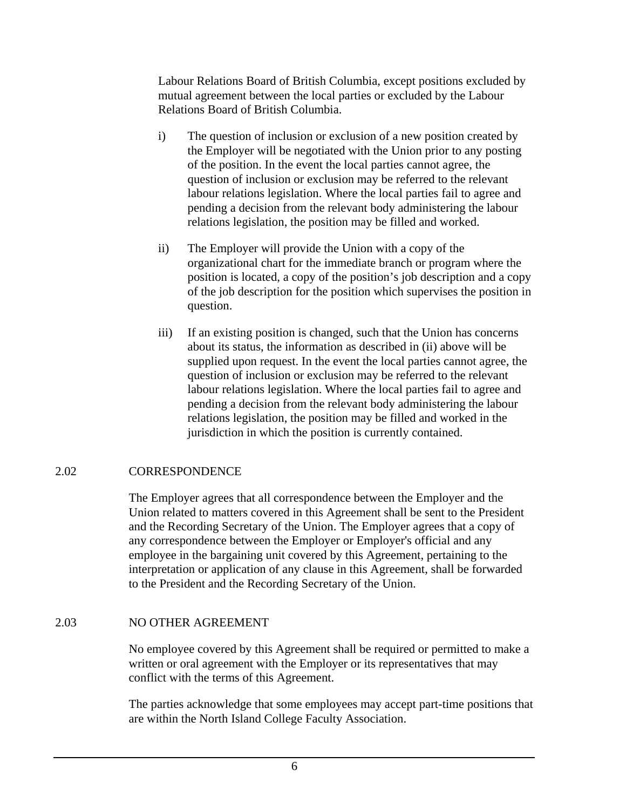Labour Relations Board of British Columbia, except positions excluded by mutual agreement between the local parties or excluded by the Labour Relations Board of British Columbia.

- i) The question of inclusion or exclusion of a new position created by the Employer will be negotiated with the Union prior to any posting of the position. In the event the local parties cannot agree, the question of inclusion or exclusion may be referred to the relevant labour relations legislation. Where the local parties fail to agree and pending a decision from the relevant body administering the labour relations legislation, the position may be filled and worked.
- ii) The Employer will provide the Union with a copy of the organizational chart for the immediate branch or program where the position is located, a copy of the position's job description and a copy of the job description for the position which supervises the position in question.
- iii) If an existing position is changed, such that the Union has concerns about its status, the information as described in (ii) above will be supplied upon request. In the event the local parties cannot agree, the question of inclusion or exclusion may be referred to the relevant labour relations legislation. Where the local parties fail to agree and pending a decision from the relevant body administering the labour relations legislation, the position may be filled and worked in the jurisdiction in which the position is currently contained.

## 2.02 CORRESPONDENCE

The Employer agrees that all correspondence between the Employer and the Union related to matters covered in this Agreement shall be sent to the President and the Recording Secretary of the Union. The Employer agrees that a copy of any correspondence between the Employer or Employer's official and any employee in the bargaining unit covered by this Agreement, pertaining to the interpretation or application of any clause in this Agreement, shall be forwarded to the President and the Recording Secretary of the Union.

## 2.03 NO OTHER AGREEMENT

No employee covered by this Agreement shall be required or permitted to make a written or oral agreement with the Employer or its representatives that may conflict with the terms of this Agreement.

The parties acknowledge that some employees may accept part-time positions that are within the North Island College Faculty Association.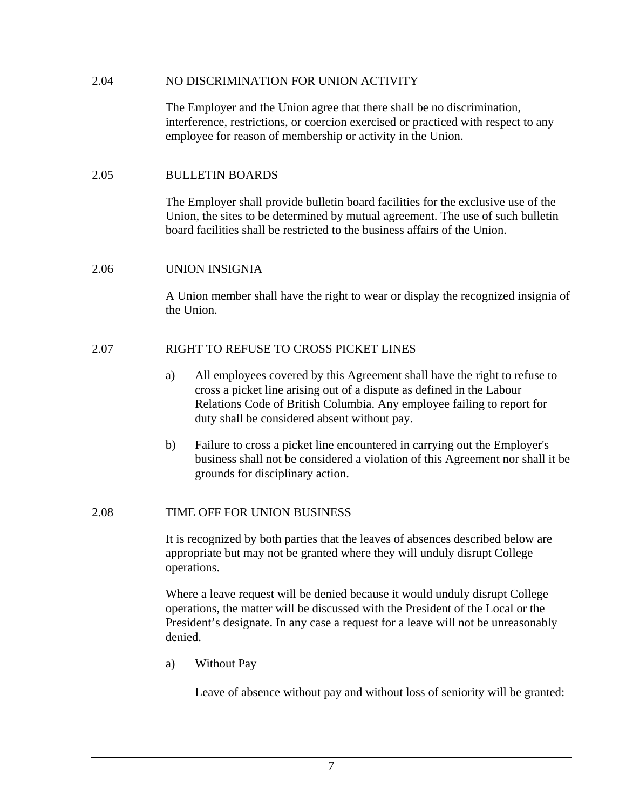#### 2.04 NO DISCRIMINATION FOR UNION ACTIVITY

The Employer and the Union agree that there shall be no discrimination, interference, restrictions, or coercion exercised or practiced with respect to any employee for reason of membership or activity in the Union.

#### 2.05 BULLETIN BOARDS

The Employer shall provide bulletin board facilities for the exclusive use of the Union, the sites to be determined by mutual agreement. The use of such bulletin board facilities shall be restricted to the business affairs of the Union.

#### 2.06 UNION INSIGNIA

A Union member shall have the right to wear or display the recognized insignia of the Union.

#### 2.07 RIGHT TO REFUSE TO CROSS PICKET LINES

- a) All employees covered by this Agreement shall have the right to refuse to cross a picket line arising out of a dispute as defined in the Labour Relations Code of British Columbia. Any employee failing to report for duty shall be considered absent without pay.
- b) Failure to cross a picket line encountered in carrying out the Employer's business shall not be considered a violation of this Agreement nor shall it be grounds for disciplinary action.

#### 2.08 TIME OFF FOR UNION BUSINESS

It is recognized by both parties that the leaves of absences described below are appropriate but may not be granted where they will unduly disrupt College operations.

Where a leave request will be denied because it would unduly disrupt College operations, the matter will be discussed with the President of the Local or the President's designate. In any case a request for a leave will not be unreasonably denied.

a) Without Pay

Leave of absence without pay and without loss of seniority will be granted: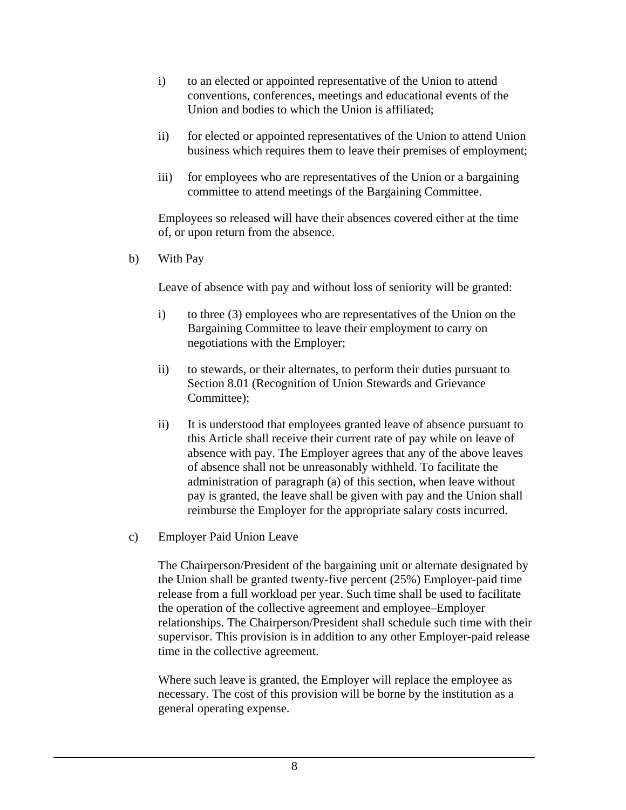- i) to an elected or appointed representative of the Union to attend conventions, conferences, meetings and educational events of the Union and bodies to which the Union is affiliated;
- ii) for elected or appointed representatives of the Union to attend Union business which requires them to leave their premises of employment;
- iii) for employees who are representatives of the Union or a bargaining committee to attend meetings of the Bargaining Committee.

 Employees so released will have their absences covered either at the time of, or upon return from the absence.

b) With Pay

Leave of absence with pay and without loss of seniority will be granted:

- i) to three (3) employees who are representatives of the Union on the Bargaining Committee to leave their employment to carry on negotiations with the Employer;
- ii) to stewards, or their alternates, to perform their duties pursuant to Section 8.01 (Recognition of Union Stewards and Grievance Committee);
- ii) It is understood that employees granted leave of absence pursuant to this Article shall receive their current rate of pay while on leave of absence with pay. The Employer agrees that any of the above leaves of absence shall not be unreasonably withheld. To facilitate the administration of paragraph (a) of this section, when leave without pay is granted, the leave shall be given with pay and the Union shall reimburse the Employer for the appropriate salary costs incurred.
- c) Employer Paid Union Leave

The Chairperson/President of the bargaining unit or alternate designated by the Union shall be granted twenty-five percent (25%) Employer-paid time release from a full workload per year. Such time shall be used to facilitate the operation of the collective agreement and employee–Employer relationships. The Chairperson/President shall schedule such time with their supervisor. This provision is in addition to any other Employer-paid release time in the collective agreement.

Where such leave is granted, the Employer will replace the employee as necessary. The cost of this provision will be borne by the institution as a general operating expense.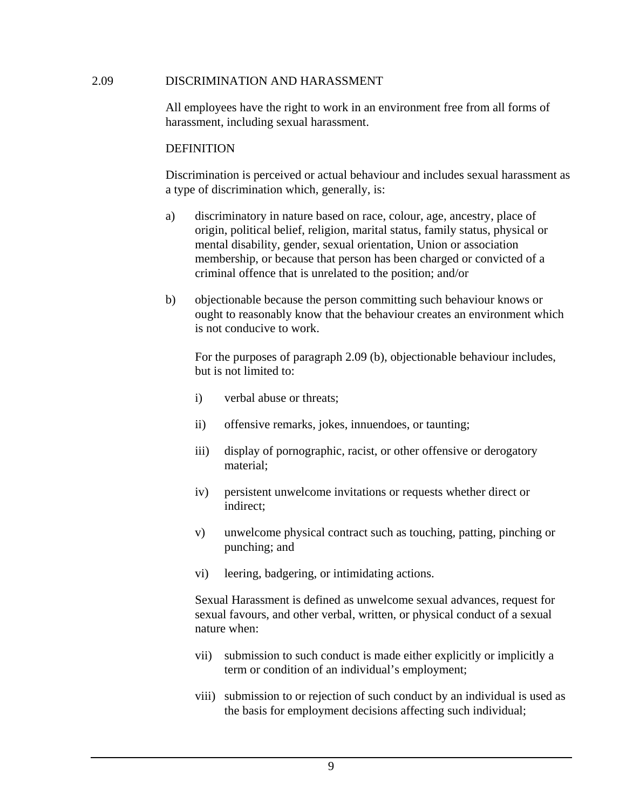#### 2.09 DISCRIMINATION AND HARASSMENT

All employees have the right to work in an environment free from all forms of harassment, including sexual harassment.

#### **DEFINITION**

Discrimination is perceived or actual behaviour and includes sexual harassment as a type of discrimination which, generally, is:

- a) discriminatory in nature based on race, colour, age, ancestry, place of origin, political belief, religion, marital status, family status, physical or mental disability, gender, sexual orientation, Union or association membership, or because that person has been charged or convicted of a criminal offence that is unrelated to the position; and/or
- b) objectionable because the person committing such behaviour knows or ought to reasonably know that the behaviour creates an environment which is not conducive to work.

For the purposes of paragraph 2.09 (b), objectionable behaviour includes, but is not limited to:

- i) verbal abuse or threats;
- ii) offensive remarks, jokes, innuendoes, or taunting;
- iii) display of pornographic, racist, or other offensive or derogatory material;
- iv) persistent unwelcome invitations or requests whether direct or indirect;
- v) unwelcome physical contract such as touching, patting, pinching or punching; and
- vi) leering, badgering, or intimidating actions.

 Sexual Harassment is defined as unwelcome sexual advances, request for sexual favours, and other verbal, written, or physical conduct of a sexual nature when:

- vii) submission to such conduct is made either explicitly or implicitly a term or condition of an individual's employment;
- viii) submission to or rejection of such conduct by an individual is used as the basis for employment decisions affecting such individual;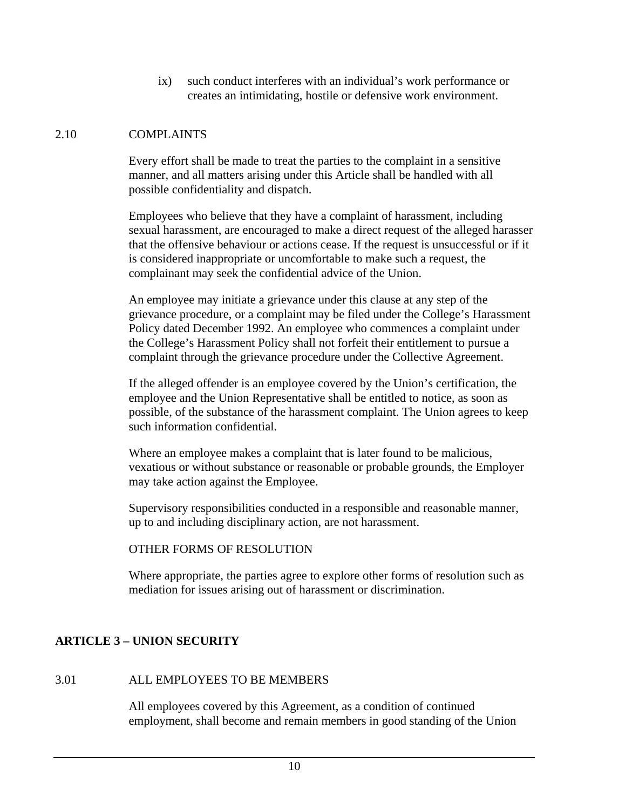ix) such conduct interferes with an individual's work performance or creates an intimidating, hostile or defensive work environment.

## 2.10 COMPLAINTS

Every effort shall be made to treat the parties to the complaint in a sensitive manner, and all matters arising under this Article shall be handled with all possible confidentiality and dispatch.

Employees who believe that they have a complaint of harassment, including sexual harassment, are encouraged to make a direct request of the alleged harasser that the offensive behaviour or actions cease. If the request is unsuccessful or if it is considered inappropriate or uncomfortable to make such a request, the complainant may seek the confidential advice of the Union.

An employee may initiate a grievance under this clause at any step of the grievance procedure, or a complaint may be filed under the College's Harassment Policy dated December 1992. An employee who commences a complaint under the College's Harassment Policy shall not forfeit their entitlement to pursue a complaint through the grievance procedure under the Collective Agreement.

If the alleged offender is an employee covered by the Union's certification, the employee and the Union Representative shall be entitled to notice, as soon as possible, of the substance of the harassment complaint. The Union agrees to keep such information confidential.

Where an employee makes a complaint that is later found to be malicious, vexatious or without substance or reasonable or probable grounds, the Employer may take action against the Employee.

Supervisory responsibilities conducted in a responsible and reasonable manner, up to and including disciplinary action, are not harassment.

#### OTHER FORMS OF RESOLUTION

Where appropriate, the parties agree to explore other forms of resolution such as mediation for issues arising out of harassment or discrimination.

## **ARTICLE 3 – UNION SECURITY**

#### 3.01 ALL EMPLOYEES TO BE MEMBERS

All employees covered by this Agreement, as a condition of continued employment, shall become and remain members in good standing of the Union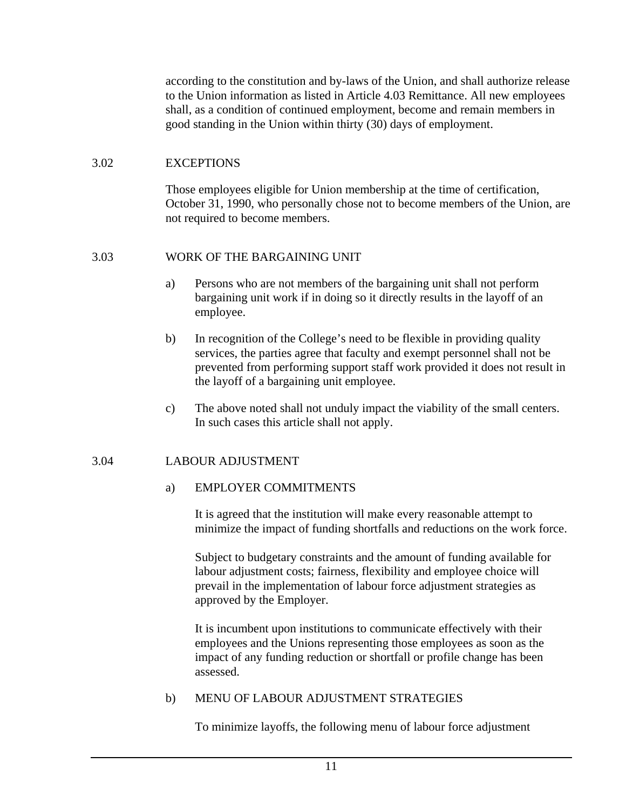according to the constitution and by-laws of the Union, and shall authorize release to the Union information as listed in Article 4.03 Remittance. All new employees shall, as a condition of continued employment, become and remain members in good standing in the Union within thirty (30) days of employment.

## 3.02 EXCEPTIONS

Those employees eligible for Union membership at the time of certification, October 31, 1990, who personally chose not to become members of the Union, are not required to become members.

## 3.03 WORK OF THE BARGAINING UNIT

- a) Persons who are not members of the bargaining unit shall not perform bargaining unit work if in doing so it directly results in the layoff of an employee.
- b) In recognition of the College's need to be flexible in providing quality services, the parties agree that faculty and exempt personnel shall not be prevented from performing support staff work provided it does not result in the layoff of a bargaining unit employee.
- c) The above noted shall not unduly impact the viability of the small centers. In such cases this article shall not apply.

## 3.04 LABOUR ADJUSTMENT

#### a) EMPLOYER COMMITMENTS

 It is agreed that the institution will make every reasonable attempt to minimize the impact of funding shortfalls and reductions on the work force.

Subject to budgetary constraints and the amount of funding available for labour adjustment costs; fairness, flexibility and employee choice will prevail in the implementation of labour force adjustment strategies as approved by the Employer.

It is incumbent upon institutions to communicate effectively with their employees and the Unions representing those employees as soon as the impact of any funding reduction or shortfall or profile change has been assessed.

#### b) MENU OF LABOUR ADJUSTMENT STRATEGIES

To minimize layoffs, the following menu of labour force adjustment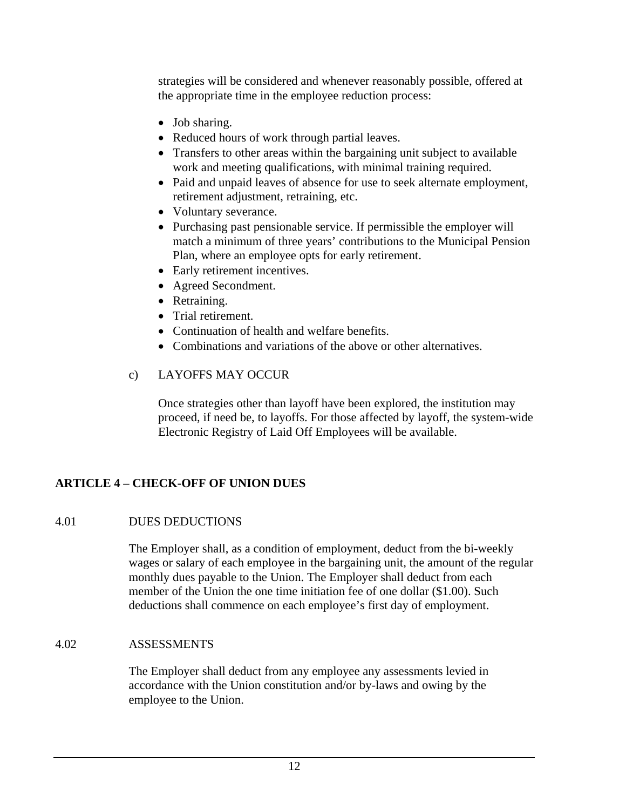strategies will be considered and whenever reasonably possible, offered at the appropriate time in the employee reduction process:

- Job sharing.
- Reduced hours of work through partial leaves.
- Transfers to other areas within the bargaining unit subject to available work and meeting qualifications, with minimal training required.
- Paid and unpaid leaves of absence for use to seek alternate employment, retirement adjustment, retraining, etc.
- Voluntary severance.
- Purchasing past pensionable service. If permissible the employer will match a minimum of three years' contributions to the Municipal Pension Plan, where an employee opts for early retirement.
- Early retirement incentives.
- Agreed Secondment.
- Retraining.
- Trial retirement.
- Continuation of health and welfare benefits.
- Combinations and variations of the above or other alternatives.

## c) LAYOFFS MAY OCCUR

Once strategies other than layoff have been explored, the institution may proceed, if need be, to layoffs. For those affected by layoff, the system-wide Electronic Registry of Laid Off Employees will be available.

## **ARTICLE 4 – CHECK-OFF OF UNION DUES**

## 4.01 DUES DEDUCTIONS

The Employer shall, as a condition of employment, deduct from the bi-weekly wages or salary of each employee in the bargaining unit, the amount of the regular monthly dues payable to the Union. The Employer shall deduct from each member of the Union the one time initiation fee of one dollar (\$1.00). Such deductions shall commence on each employee's first day of employment.

## 4.02 ASSESSMENTS

The Employer shall deduct from any employee any assessments levied in accordance with the Union constitution and/or by-laws and owing by the employee to the Union.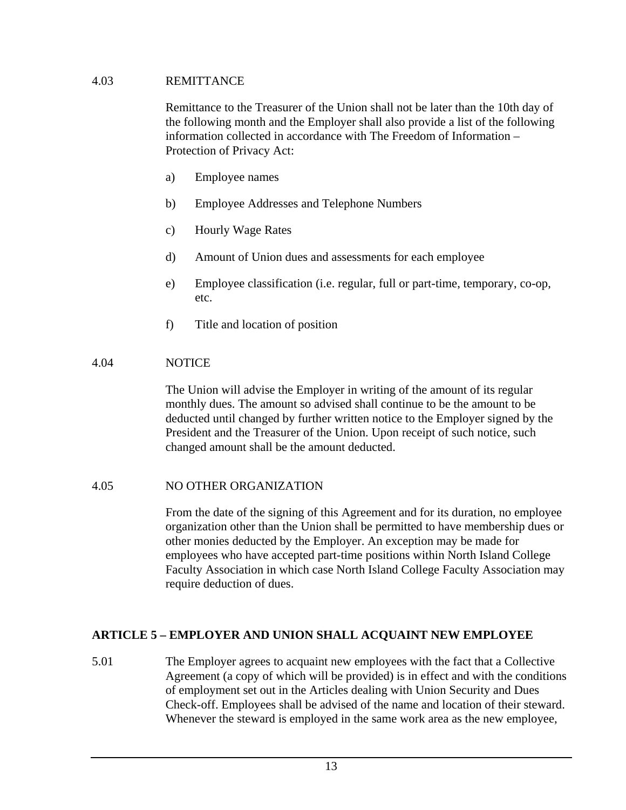#### 4.03 REMITTANCE

Remittance to the Treasurer of the Union shall not be later than the 10th day of the following month and the Employer shall also provide a list of the following information collected in accordance with The Freedom of Information – Protection of Privacy Act:

- a) Employee names
- b) Employee Addresses and Telephone Numbers
- c) Hourly Wage Rates
- d) Amount of Union dues and assessments for each employee
- e) Employee classification (i.e. regular, full or part-time, temporary, co-op, etc.
- f) Title and location of position

#### 4.04 NOTICE

The Union will advise the Employer in writing of the amount of its regular monthly dues. The amount so advised shall continue to be the amount to be deducted until changed by further written notice to the Employer signed by the President and the Treasurer of the Union. Upon receipt of such notice, such changed amount shall be the amount deducted.

#### 4.05 NO OTHER ORGANIZATION

From the date of the signing of this Agreement and for its duration, no employee organization other than the Union shall be permitted to have membership dues or other monies deducted by the Employer. An exception may be made for employees who have accepted part-time positions within North Island College Faculty Association in which case North Island College Faculty Association may require deduction of dues.

#### **ARTICLE 5 – EMPLOYER AND UNION SHALL ACQUAINT NEW EMPLOYEE**

5.01 The Employer agrees to acquaint new employees with the fact that a Collective Agreement (a copy of which will be provided) is in effect and with the conditions of employment set out in the Articles dealing with Union Security and Dues Check-off. Employees shall be advised of the name and location of their steward. Whenever the steward is employed in the same work area as the new employee,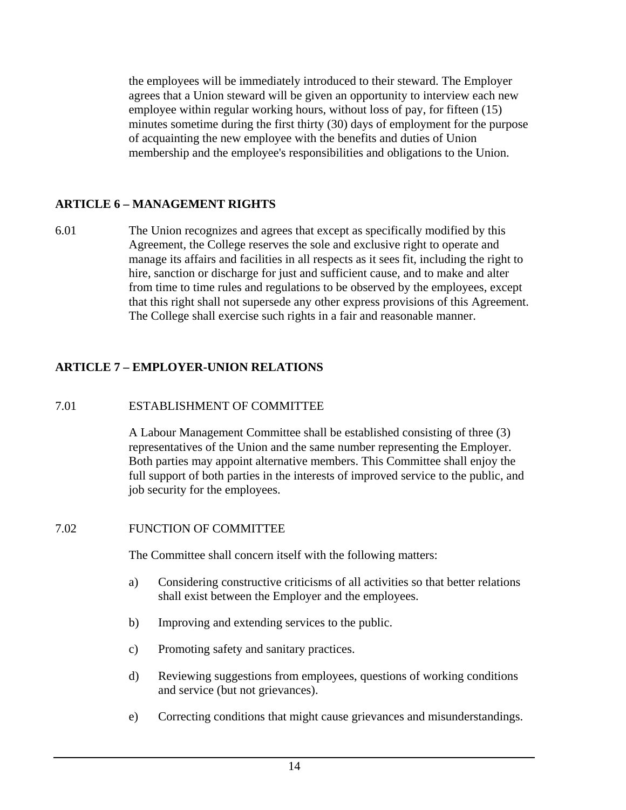the employees will be immediately introduced to their steward. The Employer agrees that a Union steward will be given an opportunity to interview each new employee within regular working hours, without loss of pay, for fifteen (15) minutes sometime during the first thirty (30) days of employment for the purpose of acquainting the new employee with the benefits and duties of Union membership and the employee's responsibilities and obligations to the Union.

## **ARTICLE 6 – MANAGEMENT RIGHTS**

6.01 The Union recognizes and agrees that except as specifically modified by this Agreement, the College reserves the sole and exclusive right to operate and manage its affairs and facilities in all respects as it sees fit, including the right to hire, sanction or discharge for just and sufficient cause, and to make and alter from time to time rules and regulations to be observed by the employees, except that this right shall not supersede any other express provisions of this Agreement. The College shall exercise such rights in a fair and reasonable manner.

## **ARTICLE 7 – EMPLOYER-UNION RELATIONS**

## 7.01 ESTABLISHMENT OF COMMITTEE

A Labour Management Committee shall be established consisting of three (3) representatives of the Union and the same number representing the Employer. Both parties may appoint alternative members. This Committee shall enjoy the full support of both parties in the interests of improved service to the public, and job security for the employees.

#### 7.02 FUNCTION OF COMMITTEE

The Committee shall concern itself with the following matters:

- a) Considering constructive criticisms of all activities so that better relations shall exist between the Employer and the employees.
- b) Improving and extending services to the public.
- c) Promoting safety and sanitary practices.
- d) Reviewing suggestions from employees, questions of working conditions and service (but not grievances).
- e) Correcting conditions that might cause grievances and misunderstandings.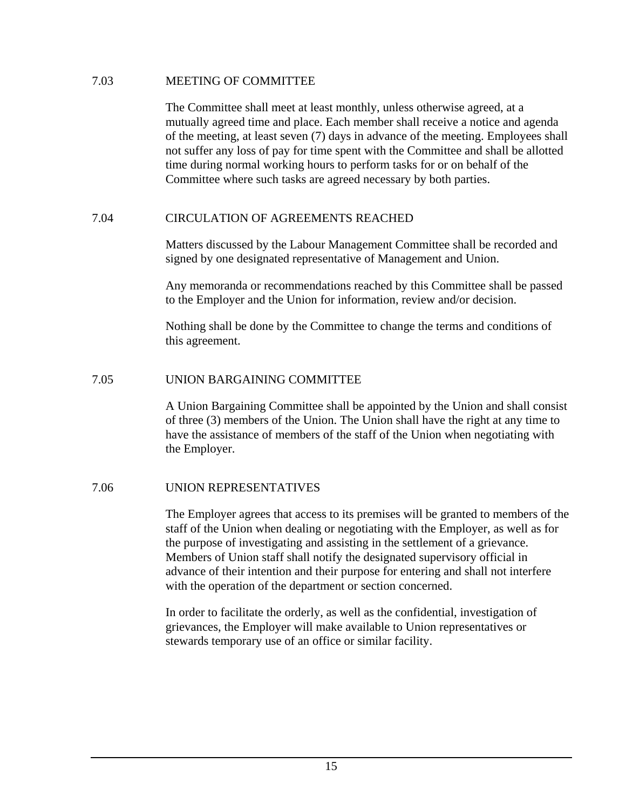#### 7.03 MEETING OF COMMITTEE

The Committee shall meet at least monthly, unless otherwise agreed, at a mutually agreed time and place. Each member shall receive a notice and agenda of the meeting, at least seven (7) days in advance of the meeting. Employees shall not suffer any loss of pay for time spent with the Committee and shall be allotted time during normal working hours to perform tasks for or on behalf of the Committee where such tasks are agreed necessary by both parties.

#### 7.04 CIRCULATION OF AGREEMENTS REACHED

Matters discussed by the Labour Management Committee shall be recorded and signed by one designated representative of Management and Union.

Any memoranda or recommendations reached by this Committee shall be passed to the Employer and the Union for information, review and/or decision.

Nothing shall be done by the Committee to change the terms and conditions of this agreement.

#### 7.05 UNION BARGAINING COMMITTEE

A Union Bargaining Committee shall be appointed by the Union and shall consist of three (3) members of the Union. The Union shall have the right at any time to have the assistance of members of the staff of the Union when negotiating with the Employer.

#### 7.06 UNION REPRESENTATIVES

The Employer agrees that access to its premises will be granted to members of the staff of the Union when dealing or negotiating with the Employer, as well as for the purpose of investigating and assisting in the settlement of a grievance. Members of Union staff shall notify the designated supervisory official in advance of their intention and their purpose for entering and shall not interfere with the operation of the department or section concerned.

In order to facilitate the orderly, as well as the confidential, investigation of grievances, the Employer will make available to Union representatives or stewards temporary use of an office or similar facility.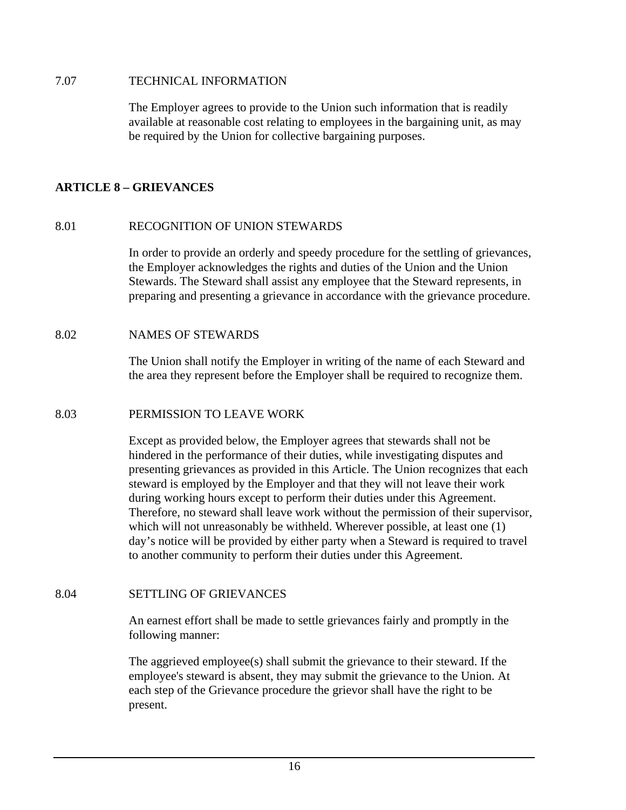#### 7.07 TECHNICAL INFORMATION

The Employer agrees to provide to the Union such information that is readily available at reasonable cost relating to employees in the bargaining unit, as may be required by the Union for collective bargaining purposes.

#### **ARTICLE 8 – GRIEVANCES**

#### 8.01 RECOGNITION OF UNION STEWARDS

In order to provide an orderly and speedy procedure for the settling of grievances, the Employer acknowledges the rights and duties of the Union and the Union Stewards. The Steward shall assist any employee that the Steward represents, in preparing and presenting a grievance in accordance with the grievance procedure.

#### 8.02 NAMES OF STEWARDS

The Union shall notify the Employer in writing of the name of each Steward and the area they represent before the Employer shall be required to recognize them.

#### 8.03 PERMISSION TO LEAVE WORK

Except as provided below, the Employer agrees that stewards shall not be hindered in the performance of their duties, while investigating disputes and presenting grievances as provided in this Article. The Union recognizes that each steward is employed by the Employer and that they will not leave their work during working hours except to perform their duties under this Agreement. Therefore, no steward shall leave work without the permission of their supervisor, which will not unreasonably be withheld. Wherever possible, at least one  $(1)$ day's notice will be provided by either party when a Steward is required to travel to another community to perform their duties under this Agreement.

#### 8.04 SETTLING OF GRIEVANCES

An earnest effort shall be made to settle grievances fairly and promptly in the following manner:

The aggrieved employee(s) shall submit the grievance to their steward. If the employee's steward is absent, they may submit the grievance to the Union. At each step of the Grievance procedure the grievor shall have the right to be present.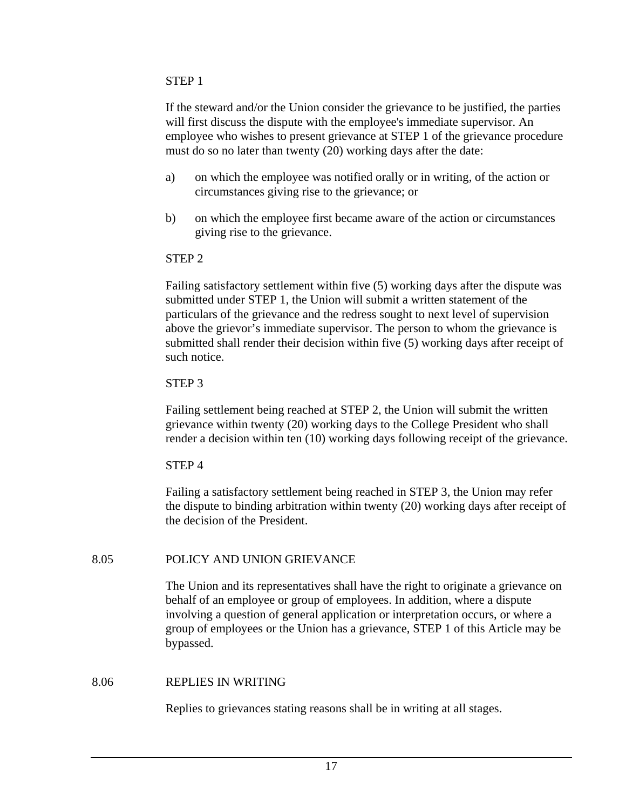#### STEP 1

If the steward and/or the Union consider the grievance to be justified, the parties will first discuss the dispute with the employee's immediate supervisor. An employee who wishes to present grievance at STEP 1 of the grievance procedure must do so no later than twenty (20) working days after the date:

- a) on which the employee was notified orally or in writing, of the action or circumstances giving rise to the grievance; or
- b) on which the employee first became aware of the action or circumstances giving rise to the grievance.

## STEP 2

Failing satisfactory settlement within five (5) working days after the dispute was submitted under STEP 1, the Union will submit a written statement of the particulars of the grievance and the redress sought to next level of supervision above the grievor's immediate supervisor. The person to whom the grievance is submitted shall render their decision within five (5) working days after receipt of such notice.

## STEP 3

Failing settlement being reached at STEP 2, the Union will submit the written grievance within twenty (20) working days to the College President who shall render a decision within ten (10) working days following receipt of the grievance.

## STEP 4

Failing a satisfactory settlement being reached in STEP 3, the Union may refer the dispute to binding arbitration within twenty (20) working days after receipt of the decision of the President.

## 8.05 POLICY AND UNION GRIEVANCE

The Union and its representatives shall have the right to originate a grievance on behalf of an employee or group of employees. In addition, where a dispute involving a question of general application or interpretation occurs, or where a group of employees or the Union has a grievance, STEP 1 of this Article may be bypassed.

## 8.06 REPLIES IN WRITING

Replies to grievances stating reasons shall be in writing at all stages.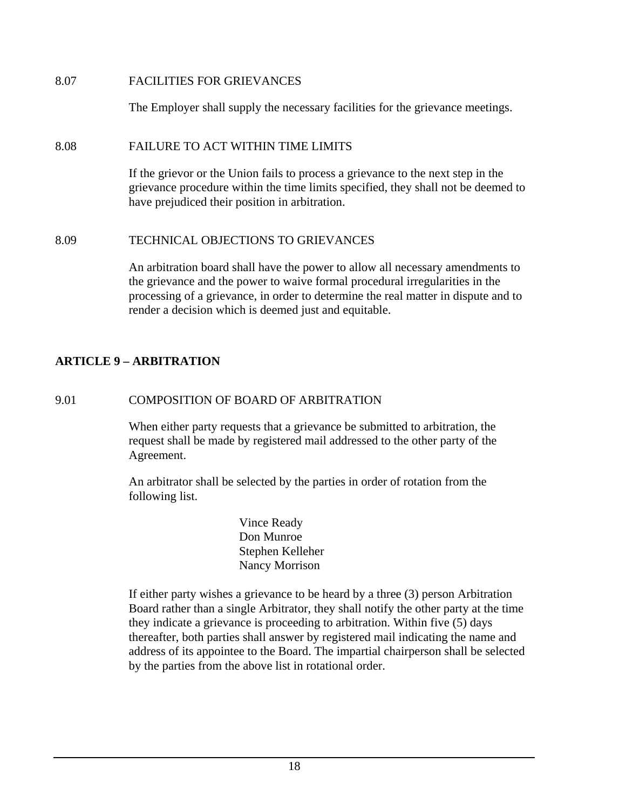8.07 FACILITIES FOR GRIEVANCES

The Employer shall supply the necessary facilities for the grievance meetings.

## 8.08 FAILURE TO ACT WITHIN TIME LIMITS

If the grievor or the Union fails to process a grievance to the next step in the grievance procedure within the time limits specified, they shall not be deemed to have prejudiced their position in arbitration.

#### 8.09 TECHNICAL OBJECTIONS TO GRIEVANCES

An arbitration board shall have the power to allow all necessary amendments to the grievance and the power to waive formal procedural irregularities in the processing of a grievance, in order to determine the real matter in dispute and to render a decision which is deemed just and equitable.

## **ARTICLE 9 – ARBITRATION**

## 9.01 COMPOSITION OF BOARD OF ARBITRATION

When either party requests that a grievance be submitted to arbitration, the request shall be made by registered mail addressed to the other party of the Agreement.

An arbitrator shall be selected by the parties in order of rotation from the following list.

> Vince Ready Don Munroe Stephen Kelleher Nancy Morrison

If either party wishes a grievance to be heard by a three (3) person Arbitration Board rather than a single Arbitrator, they shall notify the other party at the time they indicate a grievance is proceeding to arbitration. Within five (5) days thereafter, both parties shall answer by registered mail indicating the name and address of its appointee to the Board. The impartial chairperson shall be selected by the parties from the above list in rotational order.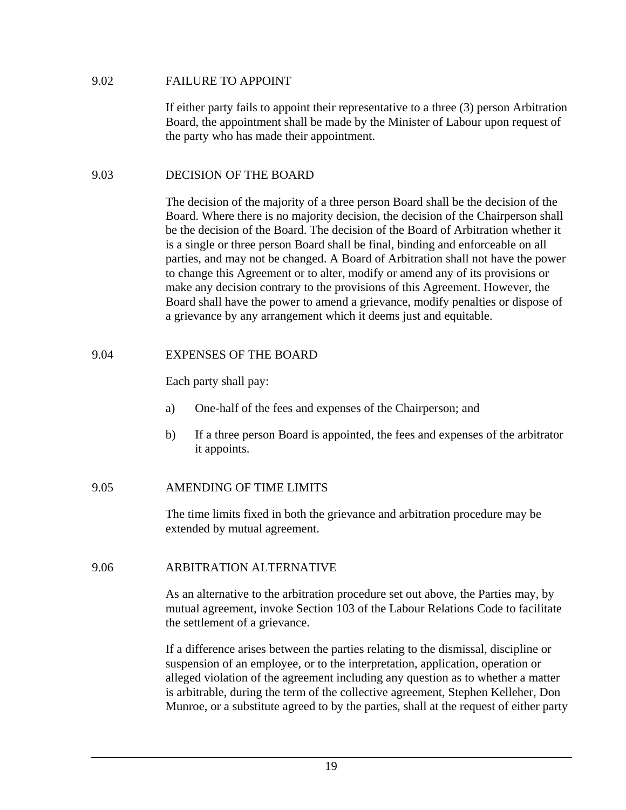#### 9.02 FAILURE TO APPOINT

If either party fails to appoint their representative to a three (3) person Arbitration Board, the appointment shall be made by the Minister of Labour upon request of the party who has made their appointment.

#### 9.03 DECISION OF THE BOARD

The decision of the majority of a three person Board shall be the decision of the Board. Where there is no majority decision, the decision of the Chairperson shall be the decision of the Board. The decision of the Board of Arbitration whether it is a single or three person Board shall be final, binding and enforceable on all parties, and may not be changed. A Board of Arbitration shall not have the power to change this Agreement or to alter, modify or amend any of its provisions or make any decision contrary to the provisions of this Agreement. However, the Board shall have the power to amend a grievance, modify penalties or dispose of a grievance by any arrangement which it deems just and equitable.

#### 9.04 EXPENSES OF THE BOARD

Each party shall pay:

- a) One-half of the fees and expenses of the Chairperson; and
- b) If a three person Board is appointed, the fees and expenses of the arbitrator it appoints.

#### 9.05 AMENDING OF TIME LIMITS

The time limits fixed in both the grievance and arbitration procedure may be extended by mutual agreement.

#### 9.06 ARBITRATION ALTERNATIVE

As an alternative to the arbitration procedure set out above, the Parties may, by mutual agreement, invoke Section 103 of the Labour Relations Code to facilitate the settlement of a grievance.

If a difference arises between the parties relating to the dismissal, discipline or suspension of an employee, or to the interpretation, application, operation or alleged violation of the agreement including any question as to whether a matter is arbitrable, during the term of the collective agreement, Stephen Kelleher, Don Munroe, or a substitute agreed to by the parties, shall at the request of either party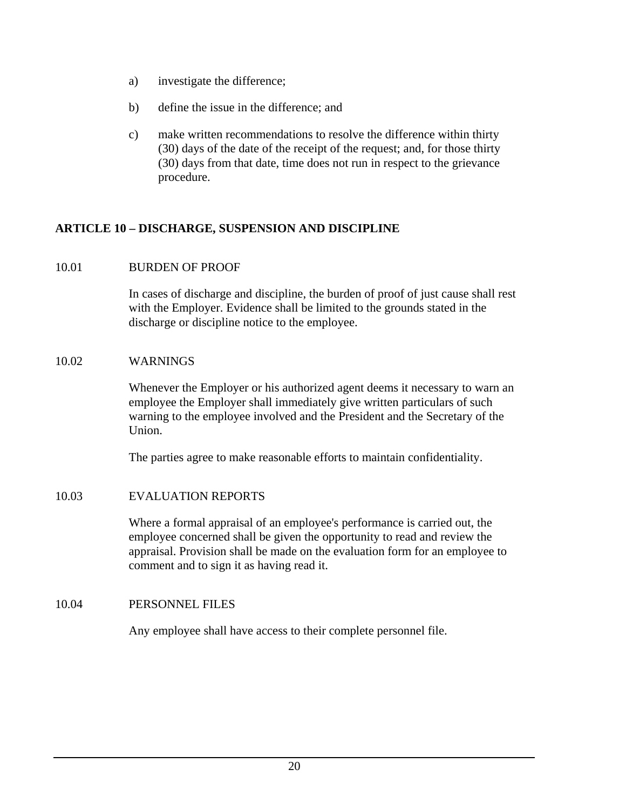- a) investigate the difference;
- b) define the issue in the difference; and
- c) make written recommendations to resolve the difference within thirty (30) days of the date of the receipt of the request; and, for those thirty (30) days from that date, time does not run in respect to the grievance procedure.

## **ARTICLE 10 – DISCHARGE, SUSPENSION AND DISCIPLINE**

#### 10.01 BURDEN OF PROOF

In cases of discharge and discipline, the burden of proof of just cause shall rest with the Employer. Evidence shall be limited to the grounds stated in the discharge or discipline notice to the employee.

#### 10.02 WARNINGS

Whenever the Employer or his authorized agent deems it necessary to warn an employee the Employer shall immediately give written particulars of such warning to the employee involved and the President and the Secretary of the Union.

The parties agree to make reasonable efforts to maintain confidentiality.

#### 10.03 EVALUATION REPORTS

Where a formal appraisal of an employee's performance is carried out, the employee concerned shall be given the opportunity to read and review the appraisal. Provision shall be made on the evaluation form for an employee to comment and to sign it as having read it.

#### 10.04 PERSONNEL FILES

Any employee shall have access to their complete personnel file.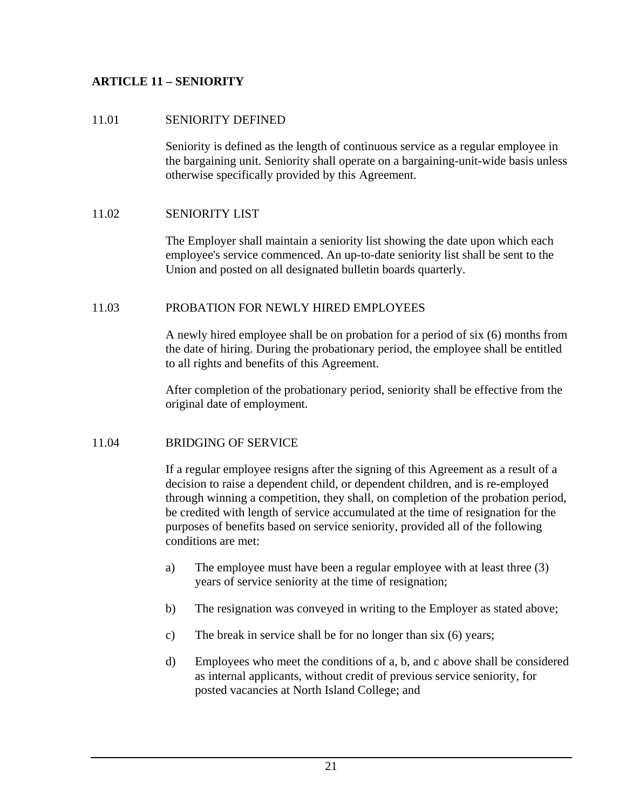## **ARTICLE 11 – SENIORITY**

## 11.01 SENIORITY DEFINED

Seniority is defined as the length of continuous service as a regular employee in the bargaining unit. Seniority shall operate on a bargaining-unit-wide basis unless otherwise specifically provided by this Agreement.

## 11.02 SENIORITY LIST

The Employer shall maintain a seniority list showing the date upon which each employee's service commenced. An up-to-date seniority list shall be sent to the Union and posted on all designated bulletin boards quarterly.

#### 11.03 PROBATION FOR NEWLY HIRED EMPLOYEES

A newly hired employee shall be on probation for a period of six (6) months from the date of hiring. During the probationary period, the employee shall be entitled to all rights and benefits of this Agreement.

After completion of the probationary period, seniority shall be effective from the original date of employment.

#### 11.04 BRIDGING OF SERVICE

If a regular employee resigns after the signing of this Agreement as a result of a decision to raise a dependent child, or dependent children, and is re-employed through winning a competition, they shall, on completion of the probation period, be credited with length of service accumulated at the time of resignation for the purposes of benefits based on service seniority, provided all of the following conditions are met:

- a) The employee must have been a regular employee with at least three (3) years of service seniority at the time of resignation;
- b) The resignation was conveyed in writing to the Employer as stated above;
- c) The break in service shall be for no longer than six (6) years;
- d) Employees who meet the conditions of a, b, and c above shall be considered as internal applicants, without credit of previous service seniority, for posted vacancies at North Island College; and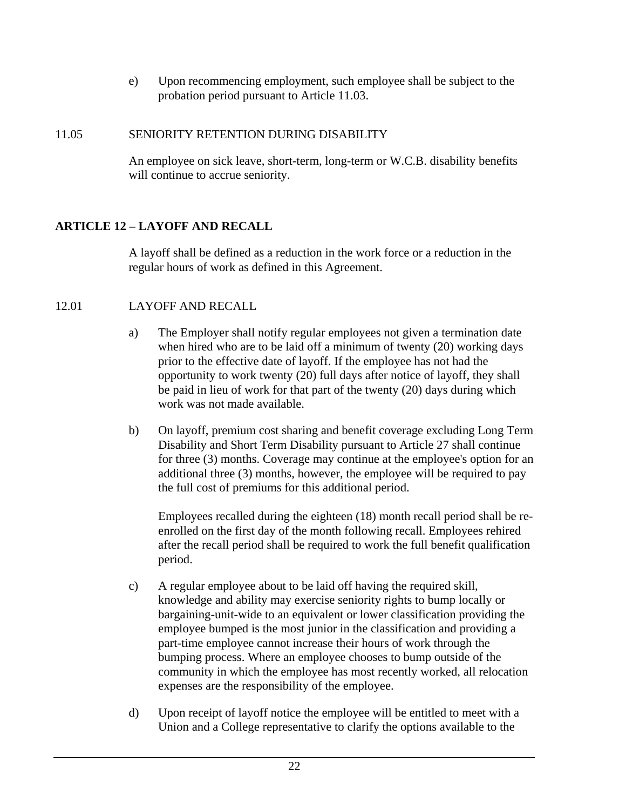e) Upon recommencing employment, such employee shall be subject to the probation period pursuant to Article 11.03.

## 11.05 SENIORITY RETENTION DURING DISABILITY

An employee on sick leave, short-term, long-term or W.C.B. disability benefits will continue to accrue seniority.

## **ARTICLE 12 – LAYOFF AND RECALL**

A layoff shall be defined as a reduction in the work force or a reduction in the regular hours of work as defined in this Agreement.

## 12.01 LAYOFF AND RECALL

- a) The Employer shall notify regular employees not given a termination date when hired who are to be laid off a minimum of twenty (20) working days prior to the effective date of layoff. If the employee has not had the opportunity to work twenty (20) full days after notice of layoff, they shall be paid in lieu of work for that part of the twenty (20) days during which work was not made available.
- b) On layoff, premium cost sharing and benefit coverage excluding Long Term Disability and Short Term Disability pursuant to Article 27 shall continue for three (3) months. Coverage may continue at the employee's option for an additional three (3) months, however, the employee will be required to pay the full cost of premiums for this additional period.

Employees recalled during the eighteen (18) month recall period shall be reenrolled on the first day of the month following recall. Employees rehired after the recall period shall be required to work the full benefit qualification period.

- c) A regular employee about to be laid off having the required skill, knowledge and ability may exercise seniority rights to bump locally or bargaining-unit-wide to an equivalent or lower classification providing the employee bumped is the most junior in the classification and providing a part-time employee cannot increase their hours of work through the bumping process. Where an employee chooses to bump outside of the community in which the employee has most recently worked, all relocation expenses are the responsibility of the employee.
- d) Upon receipt of layoff notice the employee will be entitled to meet with a Union and a College representative to clarify the options available to the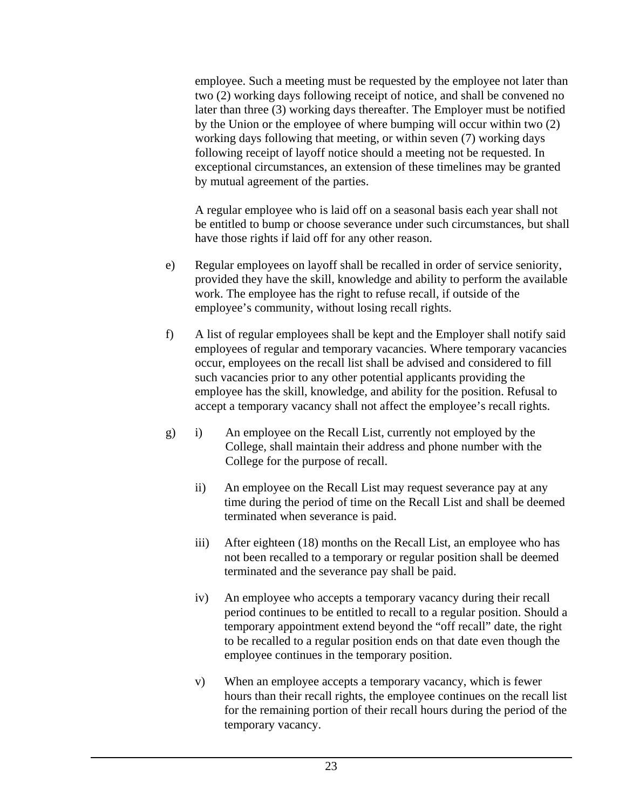employee. Such a meeting must be requested by the employee not later than two (2) working days following receipt of notice, and shall be convened no later than three (3) working days thereafter. The Employer must be notified by the Union or the employee of where bumping will occur within two (2) working days following that meeting, or within seven (7) working days following receipt of layoff notice should a meeting not be requested. In exceptional circumstances, an extension of these timelines may be granted by mutual agreement of the parties.

A regular employee who is laid off on a seasonal basis each year shall not be entitled to bump or choose severance under such circumstances, but shall have those rights if laid off for any other reason.

- e) Regular employees on layoff shall be recalled in order of service seniority, provided they have the skill, knowledge and ability to perform the available work. The employee has the right to refuse recall, if outside of the employee's community, without losing recall rights.
- f) A list of regular employees shall be kept and the Employer shall notify said employees of regular and temporary vacancies. Where temporary vacancies occur, employees on the recall list shall be advised and considered to fill such vacancies prior to any other potential applicants providing the employee has the skill, knowledge, and ability for the position. Refusal to accept a temporary vacancy shall not affect the employee's recall rights.
- g) i) An employee on the Recall List, currently not employed by the College, shall maintain their address and phone number with the College for the purpose of recall.
	- ii) An employee on the Recall List may request severance pay at any time during the period of time on the Recall List and shall be deemed terminated when severance is paid.
	- iii) After eighteen (18) months on the Recall List, an employee who has not been recalled to a temporary or regular position shall be deemed terminated and the severance pay shall be paid.
	- iv) An employee who accepts a temporary vacancy during their recall period continues to be entitled to recall to a regular position. Should a temporary appointment extend beyond the "off recall" date, the right to be recalled to a regular position ends on that date even though the employee continues in the temporary position.
	- v) When an employee accepts a temporary vacancy, which is fewer hours than their recall rights, the employee continues on the recall list for the remaining portion of their recall hours during the period of the temporary vacancy.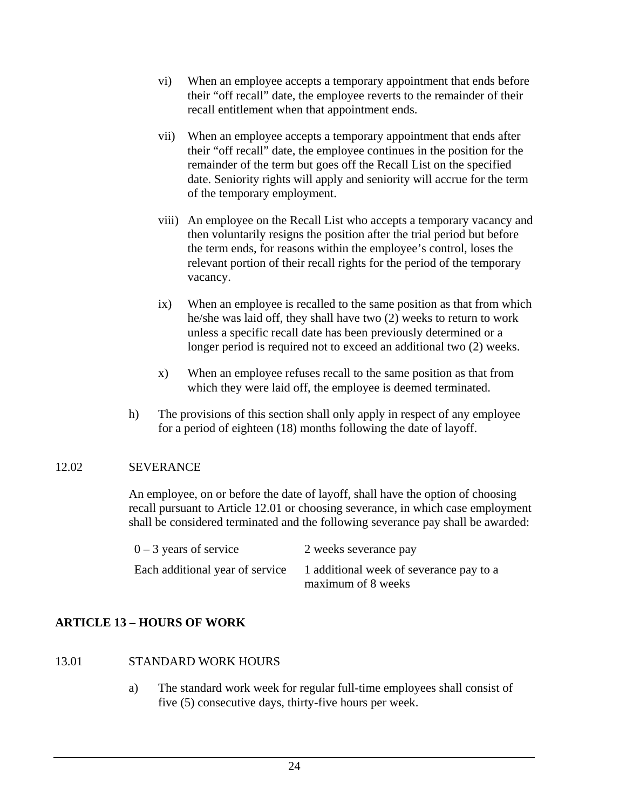- vi) When an employee accepts a temporary appointment that ends before their "off recall" date, the employee reverts to the remainder of their recall entitlement when that appointment ends.
- vii) When an employee accepts a temporary appointment that ends after their "off recall" date, the employee continues in the position for the remainder of the term but goes off the Recall List on the specified date. Seniority rights will apply and seniority will accrue for the term of the temporary employment.
- viii) An employee on the Recall List who accepts a temporary vacancy and then voluntarily resigns the position after the trial period but before the term ends, for reasons within the employee's control, loses the relevant portion of their recall rights for the period of the temporary vacancy.
- ix) When an employee is recalled to the same position as that from which he/she was laid off, they shall have two (2) weeks to return to work unless a specific recall date has been previously determined or a longer period is required not to exceed an additional two (2) weeks.
- x) When an employee refuses recall to the same position as that from which they were laid off, the employee is deemed terminated.
- h) The provisions of this section shall only apply in respect of any employee for a period of eighteen (18) months following the date of layoff.

## 12.02 SEVERANCE

An employee, on or before the date of layoff, shall have the option of choosing recall pursuant to Article 12.01 or choosing severance, in which case employment shall be considered terminated and the following severance pay shall be awarded:

| $0 - 3$ years of service        | 2 weeks severance pay                   |
|---------------------------------|-----------------------------------------|
| Each additional year of service | 1 additional week of severance pay to a |
|                                 | maximum of 8 weeks                      |

## **ARTICLE 13 – HOURS OF WORK**

- 13.01 STANDARD WORK HOURS
	- a) The standard work week for regular full-time employees shall consist of five (5) consecutive days, thirty-five hours per week.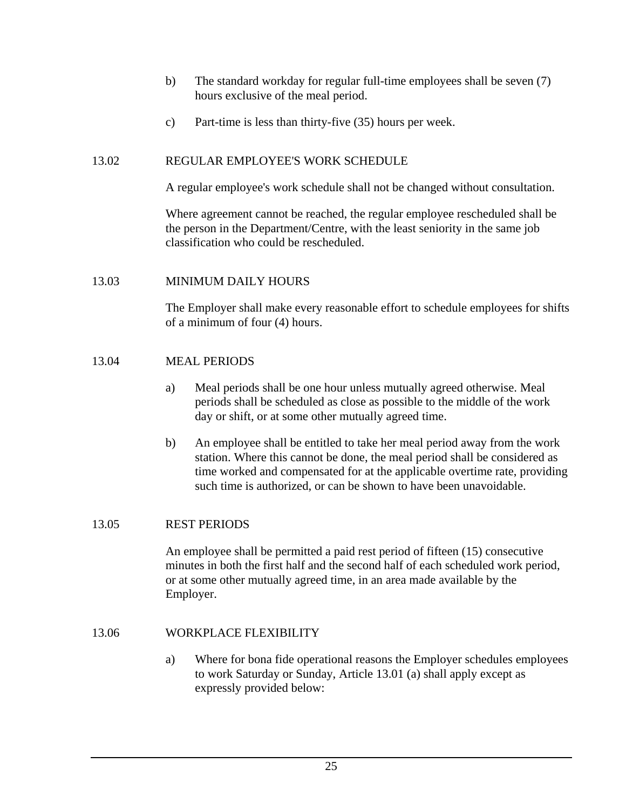- b) The standard workday for regular full-time employees shall be seven (7) hours exclusive of the meal period.
- c) Part-time is less than thirty-five (35) hours per week.

## 13.02 REGULAR EMPLOYEE'S WORK SCHEDULE

A regular employee's work schedule shall not be changed without consultation.

Where agreement cannot be reached, the regular employee rescheduled shall be the person in the Department/Centre, with the least seniority in the same job classification who could be rescheduled.

## 13.03 MINIMUM DAILY HOURS

The Employer shall make every reasonable effort to schedule employees for shifts of a minimum of four (4) hours.

## 13.04 MEAL PERIODS

- a) Meal periods shall be one hour unless mutually agreed otherwise. Meal periods shall be scheduled as close as possible to the middle of the work day or shift, or at some other mutually agreed time.
- b) An employee shall be entitled to take her meal period away from the work station. Where this cannot be done, the meal period shall be considered as time worked and compensated for at the applicable overtime rate, providing such time is authorized, or can be shown to have been unavoidable.

#### 13.05 REST PERIODS

An employee shall be permitted a paid rest period of fifteen (15) consecutive minutes in both the first half and the second half of each scheduled work period, or at some other mutually agreed time, in an area made available by the Employer.

## 13.06 WORKPLACE FLEXIBILITY

a) Where for bona fide operational reasons the Employer schedules employees to work Saturday or Sunday, Article 13.01 (a) shall apply except as expressly provided below: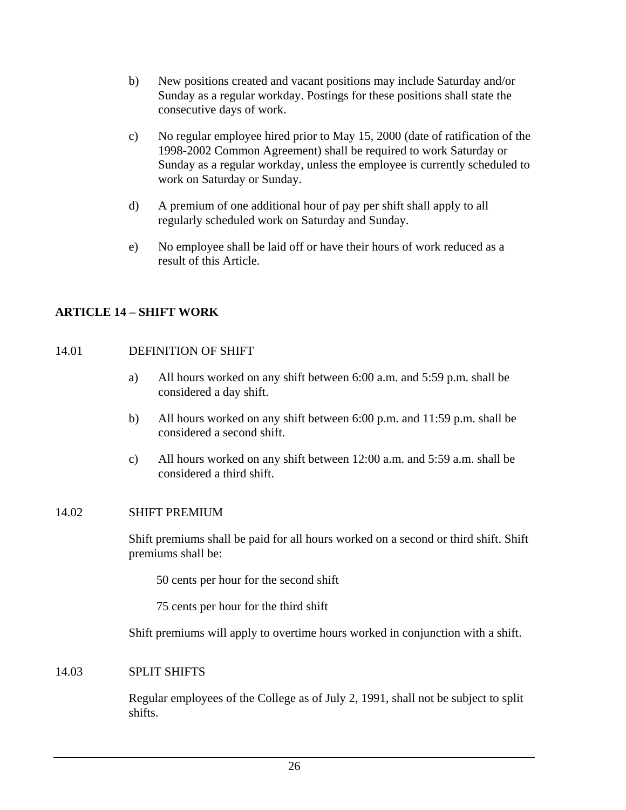- b) New positions created and vacant positions may include Saturday and/or Sunday as a regular workday. Postings for these positions shall state the consecutive days of work.
- c) No regular employee hired prior to May 15, 2000 (date of ratification of the 1998-2002 Common Agreement) shall be required to work Saturday or Sunday as a regular workday, unless the employee is currently scheduled to work on Saturday or Sunday.
- d) A premium of one additional hour of pay per shift shall apply to all regularly scheduled work on Saturday and Sunday.
- e) No employee shall be laid off or have their hours of work reduced as a result of this Article.

## **ARTICLE 14 – SHIFT WORK**

## 14.01 DEFINITION OF SHIFT

- a) All hours worked on any shift between 6:00 a.m. and 5:59 p.m. shall be considered a day shift.
- b) All hours worked on any shift between 6:00 p.m. and 11:59 p.m. shall be considered a second shift.
- c) All hours worked on any shift between 12:00 a.m. and 5:59 a.m. shall be considered a third shift.

#### 14.02 SHIFT PREMIUM

Shift premiums shall be paid for all hours worked on a second or third shift. Shift premiums shall be:

50 cents per hour for the second shift

75 cents per hour for the third shift

Shift premiums will apply to overtime hours worked in conjunction with a shift.

#### 14.03 SPLIT SHIFTS

Regular employees of the College as of July 2, 1991, shall not be subject to split shifts.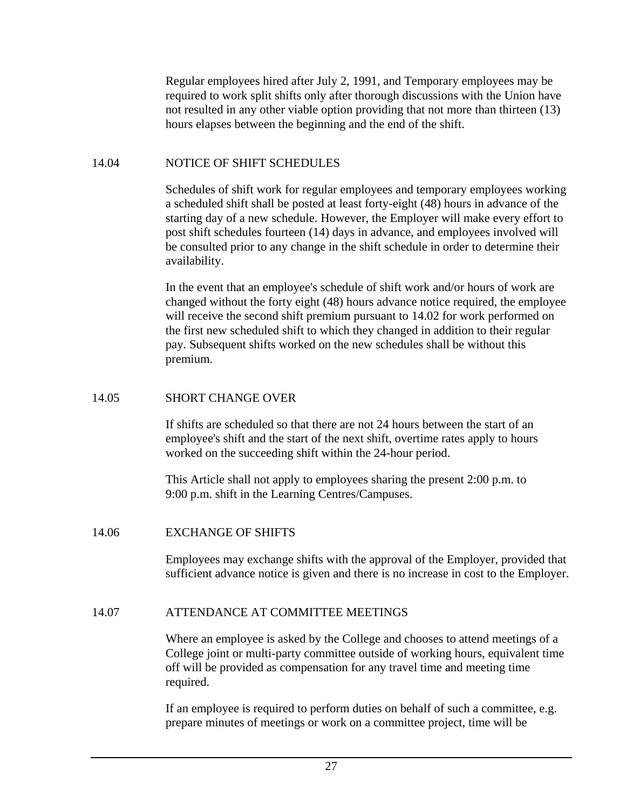Regular employees hired after July 2, 1991, and Temporary employees may be required to work split shifts only after thorough discussions with the Union have not resulted in any other viable option providing that not more than thirteen (13) hours elapses between the beginning and the end of the shift.

### 14.04 NOTICE OF SHIFT SCHEDULES

Schedules of shift work for regular employees and temporary employees working a scheduled shift shall be posted at least forty-eight (48) hours in advance of the starting day of a new schedule. However, the Employer will make every effort to post shift schedules fourteen (14) days in advance, and employees involved will be consulted prior to any change in the shift schedule in order to determine their availability.

In the event that an employee's schedule of shift work and/or hours of work are changed without the forty eight (48) hours advance notice required, the employee will receive the second shift premium pursuant to 14.02 for work performed on the first new scheduled shift to which they changed in addition to their regular pay. Subsequent shifts worked on the new schedules shall be without this premium.

## 14.05 SHORT CHANGE OVER

If shifts are scheduled so that there are not 24 hours between the start of an employee's shift and the start of the next shift, overtime rates apply to hours worked on the succeeding shift within the 24-hour period.

This Article shall not apply to employees sharing the present 2:00 p.m. to 9:00 p.m. shift in the Learning Centres/Campuses.

## 14.06 EXCHANGE OF SHIFTS

Employees may exchange shifts with the approval of the Employer, provided that sufficient advance notice is given and there is no increase in cost to the Employer.

## 14.07 ATTENDANCE AT COMMITTEE MEETINGS

Where an employee is asked by the College and chooses to attend meetings of a College joint or multi-party committee outside of working hours, equivalent time off will be provided as compensation for any travel time and meeting time required.

If an employee is required to perform duties on behalf of such a committee, e.g. prepare minutes of meetings or work on a committee project, time will be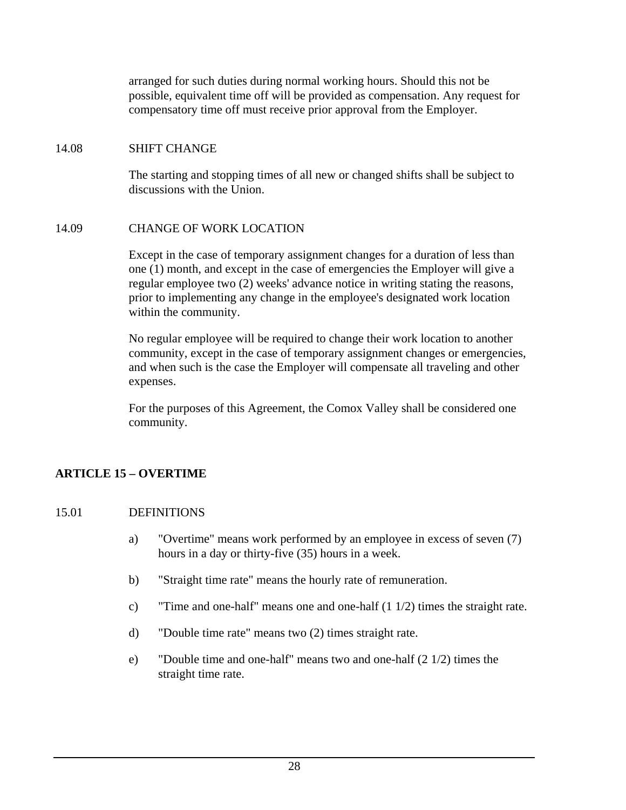arranged for such duties during normal working hours. Should this not be possible, equivalent time off will be provided as compensation. Any request for compensatory time off must receive prior approval from the Employer.

### 14.08 SHIFT CHANGE

The starting and stopping times of all new or changed shifts shall be subject to discussions with the Union.

### 14.09 CHANGE OF WORK LOCATION

Except in the case of temporary assignment changes for a duration of less than one (1) month, and except in the case of emergencies the Employer will give a regular employee two (2) weeks' advance notice in writing stating the reasons, prior to implementing any change in the employee's designated work location within the community.

No regular employee will be required to change their work location to another community, except in the case of temporary assignment changes or emergencies, and when such is the case the Employer will compensate all traveling and other expenses.

For the purposes of this Agreement, the Comox Valley shall be considered one community.

### **ARTICLE 15 – OVERTIME**

### 15.01 DEFINITIONS

- a) "Overtime" means work performed by an employee in excess of seven (7) hours in a day or thirty-five (35) hours in a week.
- b) "Straight time rate" means the hourly rate of remuneration.
- c) "Time and one-half" means one and one-half (1 1/2) times the straight rate.
- d) "Double time rate" means two (2) times straight rate.
- e) "Double time and one-half" means two and one-half (2 1/2) times the straight time rate.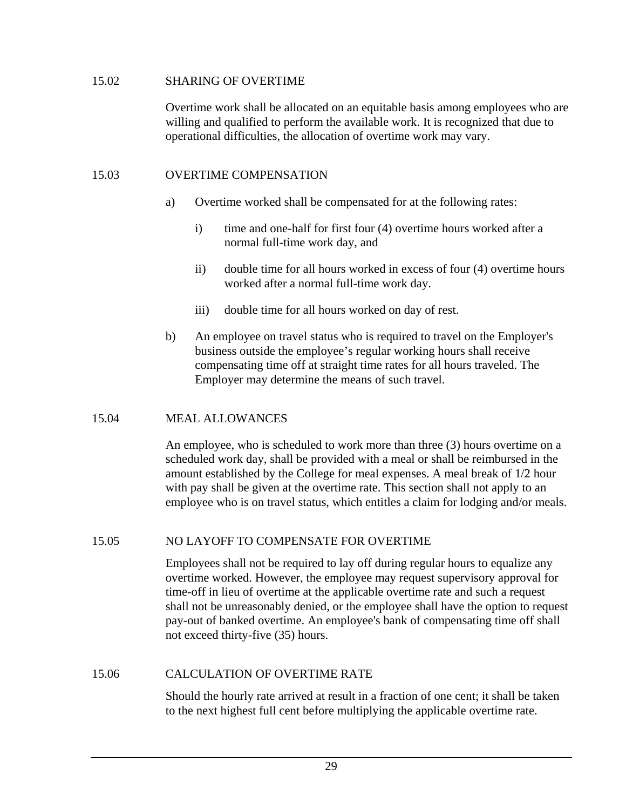### 15.02 SHARING OF OVERTIME

Overtime work shall be allocated on an equitable basis among employees who are willing and qualified to perform the available work. It is recognized that due to operational difficulties, the allocation of overtime work may vary.

### 15.03 OVERTIME COMPENSATION

- a) Overtime worked shall be compensated for at the following rates:
	- i) time and one-half for first four (4) overtime hours worked after a normal full-time work day, and
	- ii) double time for all hours worked in excess of four (4) overtime hours worked after a normal full-time work day.
	- iii) double time for all hours worked on day of rest.
- b) An employee on travel status who is required to travel on the Employer's business outside the employee's regular working hours shall receive compensating time off at straight time rates for all hours traveled. The Employer may determine the means of such travel.

### 15.04 MEAL ALLOWANCES

An employee, who is scheduled to work more than three (3) hours overtime on a scheduled work day, shall be provided with a meal or shall be reimbursed in the amount established by the College for meal expenses. A meal break of 1/2 hour with pay shall be given at the overtime rate. This section shall not apply to an employee who is on travel status, which entitles a claim for lodging and/or meals.

### 15.05 NO LAYOFF TO COMPENSATE FOR OVERTIME

Employees shall not be required to lay off during regular hours to equalize any overtime worked. However, the employee may request supervisory approval for time-off in lieu of overtime at the applicable overtime rate and such a request shall not be unreasonably denied, or the employee shall have the option to request pay-out of banked overtime. An employee's bank of compensating time off shall not exceed thirty-five (35) hours.

### 15.06 CALCULATION OF OVERTIME RATE

Should the hourly rate arrived at result in a fraction of one cent; it shall be taken to the next highest full cent before multiplying the applicable overtime rate.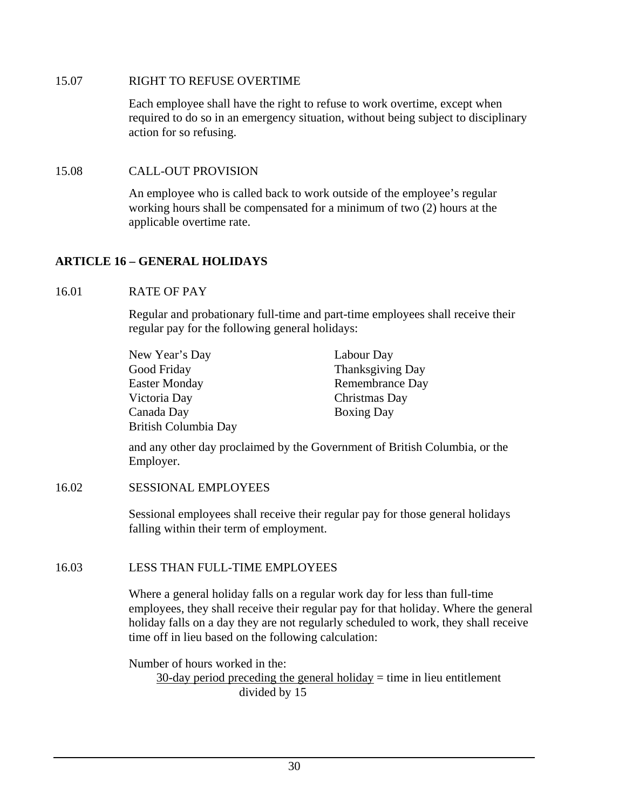### 15.07 RIGHT TO REFUSE OVERTIME

Each employee shall have the right to refuse to work overtime, except when required to do so in an emergency situation, without being subject to disciplinary action for so refusing.

## 15.08 CALL-OUT PROVISION

An employee who is called back to work outside of the employee's regular working hours shall be compensated for a minimum of two (2) hours at the applicable overtime rate.

## **ARTICLE 16 – GENERAL HOLIDAYS**

## 16.01 RATE OF PAY

Regular and probationary full-time and part-time employees shall receive their regular pay for the following general holidays:

| New Year's Day       | Labour Day              |
|----------------------|-------------------------|
| Good Friday          | <b>Thanksgiving Day</b> |
| <b>Easter Monday</b> | Remembrance Day         |
| Victoria Day         | Christmas Day           |
| Canada Day           | <b>Boxing Day</b>       |
| British Columbia Day |                         |

and any other day proclaimed by the Government of British Columbia, or the Employer.

### 16.02 SESSIONAL EMPLOYEES

Sessional employees shall receive their regular pay for those general holidays falling within their term of employment.

## 16.03 LESS THAN FULL-TIME EMPLOYEES

Where a general holiday falls on a regular work day for less than full-time employees, they shall receive their regular pay for that holiday. Where the general holiday falls on a day they are not regularly scheduled to work, they shall receive time off in lieu based on the following calculation:

Number of hours worked in the:

 $30$ -day period preceding the general holiday = time in lieu entitlement divided by 15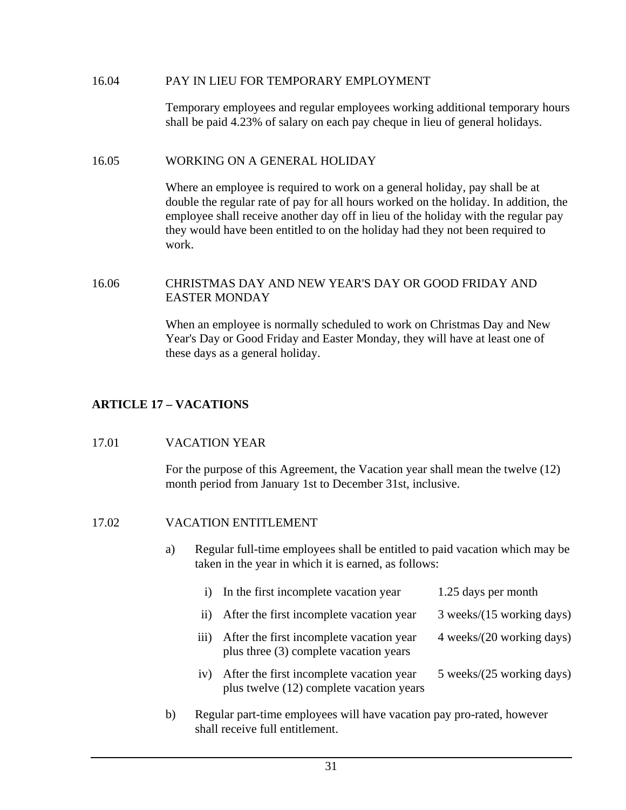#### 16.04 PAY IN LIEU FOR TEMPORARY EMPLOYMENT

Temporary employees and regular employees working additional temporary hours shall be paid 4.23% of salary on each pay cheque in lieu of general holidays.

#### 16.05 WORKING ON A GENERAL HOLIDAY

Where an employee is required to work on a general holiday, pay shall be at double the regular rate of pay for all hours worked on the holiday. In addition, the employee shall receive another day off in lieu of the holiday with the regular pay they would have been entitled to on the holiday had they not been required to work.

### 16.06 CHRISTMAS DAY AND NEW YEAR'S DAY OR GOOD FRIDAY AND EASTER MONDAY

When an employee is normally scheduled to work on Christmas Day and New Year's Day or Good Friday and Easter Monday, they will have at least one of these days as a general holiday.

## **ARTICLE 17 – VACATIONS**

#### 17.01 VACATION YEAR

For the purpose of this Agreement, the Vacation year shall mean the twelve (12) month period from January 1st to December 31st, inclusive.

### 17.02 VACATION ENTITLEMENT

a) Regular full-time employees shall be entitled to paid vacation which may be taken in the year in which it is earned, as follows:

| $\bf{1)}$                                                            | In the first incomplete vacation year                                                | 1.25 days per month       |  |  |
|----------------------------------------------------------------------|--------------------------------------------------------------------------------------|---------------------------|--|--|
| $\overline{11}$                                                      | After the first incomplete vacation year                                             | 3 weeks/(15 working days) |  |  |
| $\overline{111}$                                                     | After the first incomplete vacation year<br>plus three (3) complete vacation years   | 4 weeks/(20 working days) |  |  |
| iv)                                                                  | After the first incomplete vacation year<br>plus twelve (12) complete vacation years | 5 weeks/(25 working days) |  |  |
| Requier part-time employees will have vacation pay pro-rated however |                                                                                      |                           |  |  |

b) Regular part-time employees will have vacation pay pro-rated, however shall receive full entitlement.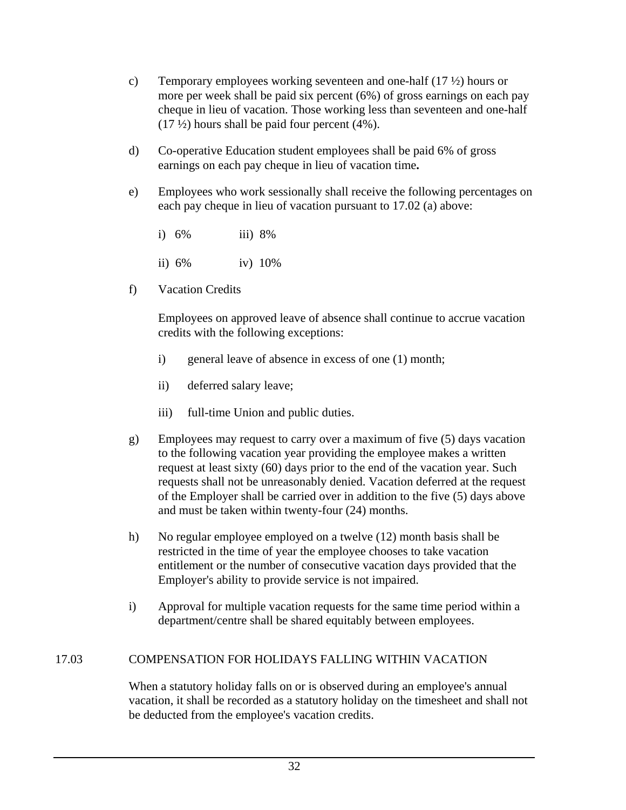- c) Temporary employees working seventeen and one-half (17 ½) hours or more per week shall be paid six percent (6%) of gross earnings on each pay cheque in lieu of vacation. Those working less than seventeen and one-half  $(17 \frac{1}{2})$  hours shall be paid four percent  $(4\%)$ .
- d) Co-operative Education student employees shall be paid 6% of gross earnings on each pay cheque in lieu of vacation time**.**
- e) Employees who work sessionally shall receive the following percentages on each pay cheque in lieu of vacation pursuant to 17.02 (a) above:
	- i) 6% iii) 8%
	- ii) 6% iv) 10%
- f) Vacation Credits

Employees on approved leave of absence shall continue to accrue vacation credits with the following exceptions:

- i) general leave of absence in excess of one (1) month;
- ii) deferred salary leave;
- iii) full-time Union and public duties.
- g) Employees may request to carry over a maximum of five (5) days vacation to the following vacation year providing the employee makes a written request at least sixty (60) days prior to the end of the vacation year. Such requests shall not be unreasonably denied. Vacation deferred at the request of the Employer shall be carried over in addition to the five (5) days above and must be taken within twenty-four (24) months.
- h) No regular employee employed on a twelve (12) month basis shall be restricted in the time of year the employee chooses to take vacation entitlement or the number of consecutive vacation days provided that the Employer's ability to provide service is not impaired.
- i) Approval for multiple vacation requests for the same time period within a department/centre shall be shared equitably between employees.

## 17.03 COMPENSATION FOR HOLIDAYS FALLING WITHIN VACATION

When a statutory holiday falls on or is observed during an employee's annual vacation, it shall be recorded as a statutory holiday on the timesheet and shall not be deducted from the employee's vacation credits.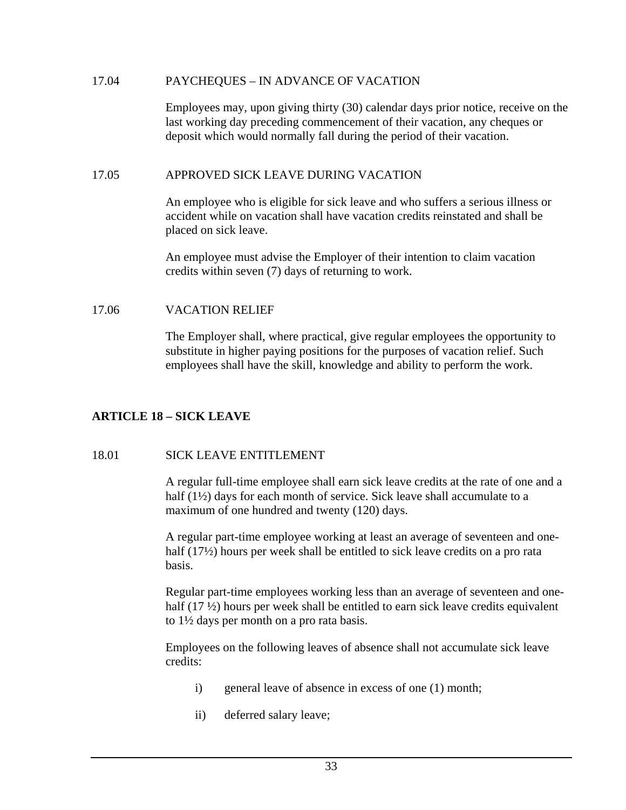### 17.04 PAYCHEQUES – IN ADVANCE OF VACATION

Employees may, upon giving thirty (30) calendar days prior notice, receive on the last working day preceding commencement of their vacation, any cheques or deposit which would normally fall during the period of their vacation.

### 17.05 APPROVED SICK LEAVE DURING VACATION

An employee who is eligible for sick leave and who suffers a serious illness or accident while on vacation shall have vacation credits reinstated and shall be placed on sick leave.

An employee must advise the Employer of their intention to claim vacation credits within seven (7) days of returning to work.

### 17.06 VACATION RELIEF

The Employer shall, where practical, give regular employees the opportunity to substitute in higher paying positions for the purposes of vacation relief. Such employees shall have the skill, knowledge and ability to perform the work.

## **ARTICLE 18 – SICK LEAVE**

### 18.01 SICK LEAVE ENTITLEMENT

A regular full-time employee shall earn sick leave credits at the rate of one and a half (1<sup>1</sup>/<sub>2</sub>) days for each month of service. Sick leave shall accumulate to a maximum of one hundred and twenty (120) days.

A regular part-time employee working at least an average of seventeen and onehalf (17<sup>1</sup>/<sub>2</sub>) hours per week shall be entitled to sick leave credits on a pro rata basis.

Regular part-time employees working less than an average of seventeen and onehalf (17  $\frac{1}{2}$ ) hours per week shall be entitled to earn sick leave credits equivalent to 1½ days per month on a pro rata basis.

Employees on the following leaves of absence shall not accumulate sick leave credits:

- i) general leave of absence in excess of one (1) month;
- ii) deferred salary leave;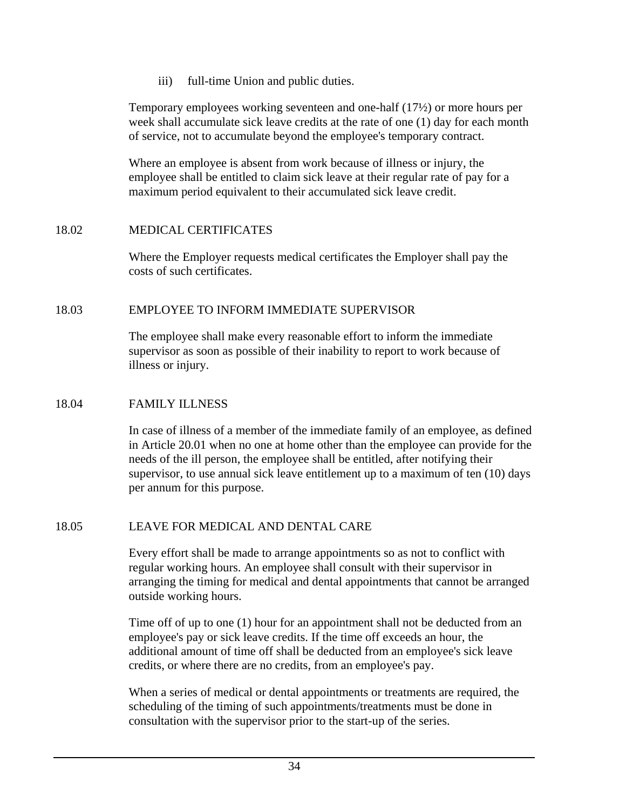iii) full-time Union and public duties.

Temporary employees working seventeen and one-half (17½) or more hours per week shall accumulate sick leave credits at the rate of one (1) day for each month of service, not to accumulate beyond the employee's temporary contract.

Where an employee is absent from work because of illness or injury, the employee shall be entitled to claim sick leave at their regular rate of pay for a maximum period equivalent to their accumulated sick leave credit.

## 18.02 MEDICAL CERTIFICATES

Where the Employer requests medical certificates the Employer shall pay the costs of such certificates.

## 18.03 EMPLOYEE TO INFORM IMMEDIATE SUPERVISOR

The employee shall make every reasonable effort to inform the immediate supervisor as soon as possible of their inability to report to work because of illness or injury.

### 18.04 FAMILY ILLNESS

In case of illness of a member of the immediate family of an employee, as defined in Article 20.01 when no one at home other than the employee can provide for the needs of the ill person, the employee shall be entitled, after notifying their supervisor, to use annual sick leave entitlement up to a maximum of ten (10) days per annum for this purpose.

## 18.05 LEAVE FOR MEDICAL AND DENTAL CARE

Every effort shall be made to arrange appointments so as not to conflict with regular working hours. An employee shall consult with their supervisor in arranging the timing for medical and dental appointments that cannot be arranged outside working hours.

Time off of up to one (1) hour for an appointment shall not be deducted from an employee's pay or sick leave credits. If the time off exceeds an hour, the additional amount of time off shall be deducted from an employee's sick leave credits, or where there are no credits, from an employee's pay.

When a series of medical or dental appointments or treatments are required, the scheduling of the timing of such appointments/treatments must be done in consultation with the supervisor prior to the start-up of the series.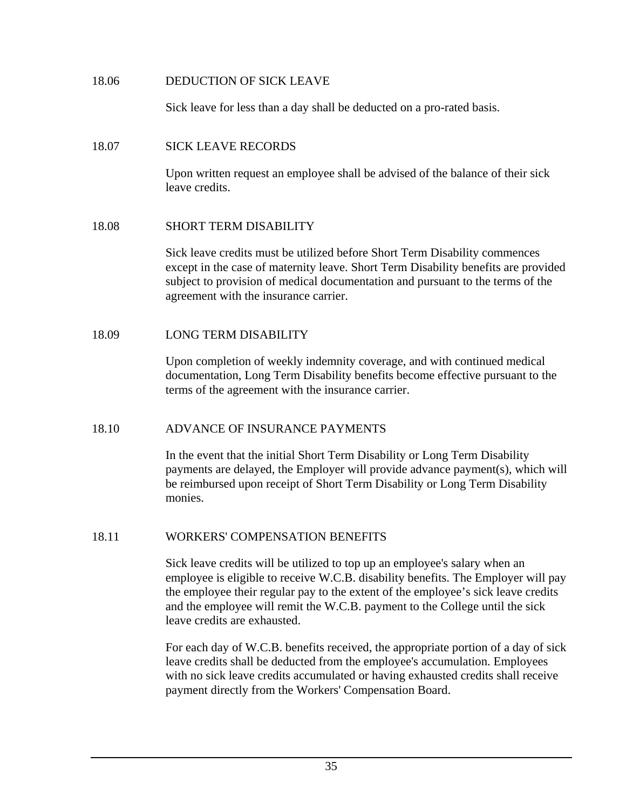### 18.06 DEDUCTION OF SICK LEAVE

Sick leave for less than a day shall be deducted on a pro-rated basis.

### 18.07 SICK LEAVE RECORDS

Upon written request an employee shall be advised of the balance of their sick leave credits.

### 18.08 SHORT TERM DISABILITY

Sick leave credits must be utilized before Short Term Disability commences except in the case of maternity leave. Short Term Disability benefits are provided subject to provision of medical documentation and pursuant to the terms of the agreement with the insurance carrier.

### 18.09 LONG TERM DISABILITY

Upon completion of weekly indemnity coverage, and with continued medical documentation, Long Term Disability benefits become effective pursuant to the terms of the agreement with the insurance carrier.

### 18.10 ADVANCE OF INSURANCE PAYMENTS

In the event that the initial Short Term Disability or Long Term Disability payments are delayed, the Employer will provide advance payment(s), which will be reimbursed upon receipt of Short Term Disability or Long Term Disability monies.

#### 18.11 WORKERS' COMPENSATION BENEFITS

Sick leave credits will be utilized to top up an employee's salary when an employee is eligible to receive W.C.B. disability benefits. The Employer will pay the employee their regular pay to the extent of the employee's sick leave credits and the employee will remit the W.C.B. payment to the College until the sick leave credits are exhausted.

For each day of W.C.B. benefits received, the appropriate portion of a day of sick leave credits shall be deducted from the employee's accumulation. Employees with no sick leave credits accumulated or having exhausted credits shall receive payment directly from the Workers' Compensation Board.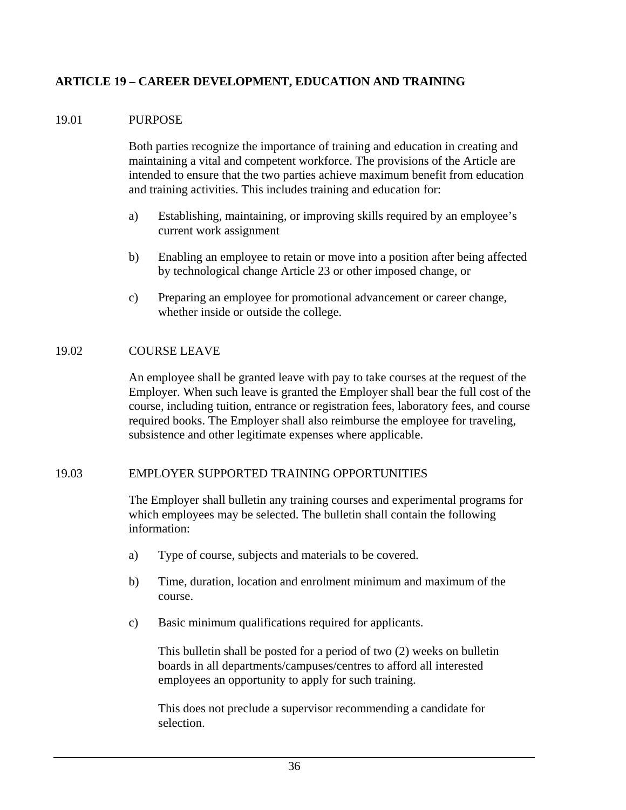## **ARTICLE 19 – CAREER DEVELOPMENT, EDUCATION AND TRAINING**

### 19.01 PURPOSE

Both parties recognize the importance of training and education in creating and maintaining a vital and competent workforce. The provisions of the Article are intended to ensure that the two parties achieve maximum benefit from education and training activities. This includes training and education for:

- a) Establishing, maintaining, or improving skills required by an employee's current work assignment
- b) Enabling an employee to retain or move into a position after being affected by technological change Article 23 or other imposed change, or
- c) Preparing an employee for promotional advancement or career change, whether inside or outside the college.

### 19.02 COURSE LEAVE

An employee shall be granted leave with pay to take courses at the request of the Employer. When such leave is granted the Employer shall bear the full cost of the course, including tuition, entrance or registration fees, laboratory fees, and course required books. The Employer shall also reimburse the employee for traveling, subsistence and other legitimate expenses where applicable.

#### 19.03 EMPLOYER SUPPORTED TRAINING OPPORTUNITIES

The Employer shall bulletin any training courses and experimental programs for which employees may be selected. The bulletin shall contain the following information:

- a) Type of course, subjects and materials to be covered.
- b) Time, duration, location and enrolment minimum and maximum of the course.
- c) Basic minimum qualifications required for applicants.

This bulletin shall be posted for a period of two (2) weeks on bulletin boards in all departments/campuses/centres to afford all interested employees an opportunity to apply for such training.

This does not preclude a supervisor recommending a candidate for selection.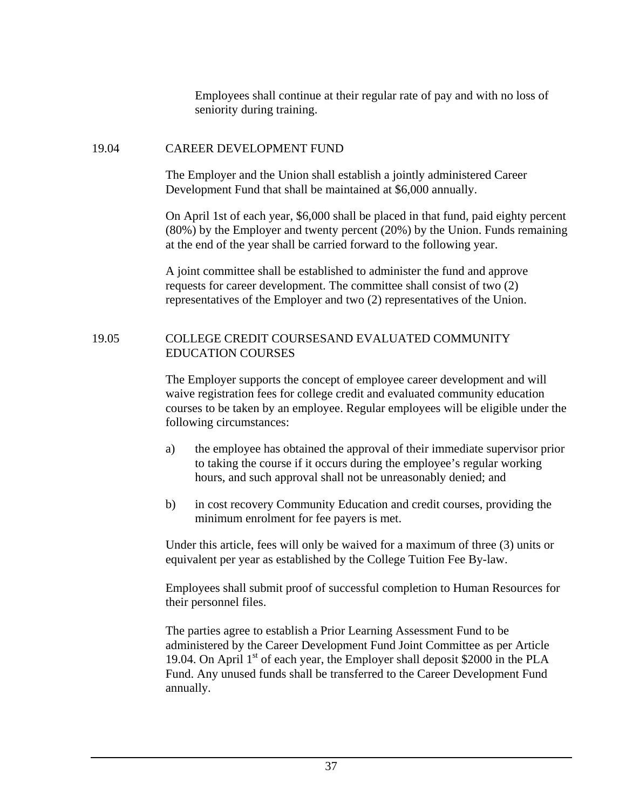Employees shall continue at their regular rate of pay and with no loss of seniority during training.

### 19.04 CAREER DEVELOPMENT FUND

The Employer and the Union shall establish a jointly administered Career Development Fund that shall be maintained at \$6,000 annually.

On April 1st of each year, \$6,000 shall be placed in that fund, paid eighty percent (80%) by the Employer and twenty percent (20%) by the Union. Funds remaining at the end of the year shall be carried forward to the following year.

A joint committee shall be established to administer the fund and approve requests for career development. The committee shall consist of two (2) representatives of the Employer and two (2) representatives of the Union.

### 19.05 COLLEGE CREDIT COURSESAND EVALUATED COMMUNITY EDUCATION COURSES

The Employer supports the concept of employee career development and will waive registration fees for college credit and evaluated community education courses to be taken by an employee. Regular employees will be eligible under the following circumstances:

- a) the employee has obtained the approval of their immediate supervisor prior to taking the course if it occurs during the employee's regular working hours, and such approval shall not be unreasonably denied; and
- b) in cost recovery Community Education and credit courses, providing the minimum enrolment for fee payers is met.

Under this article, fees will only be waived for a maximum of three (3) units or equivalent per year as established by the College Tuition Fee By-law.

Employees shall submit proof of successful completion to Human Resources for their personnel files.

The parties agree to establish a Prior Learning Assessment Fund to be administered by the Career Development Fund Joint Committee as per Article 19.04. On April  $1<sup>st</sup>$  of each year, the Employer shall deposit \$2000 in the PLA Fund. Any unused funds shall be transferred to the Career Development Fund annually.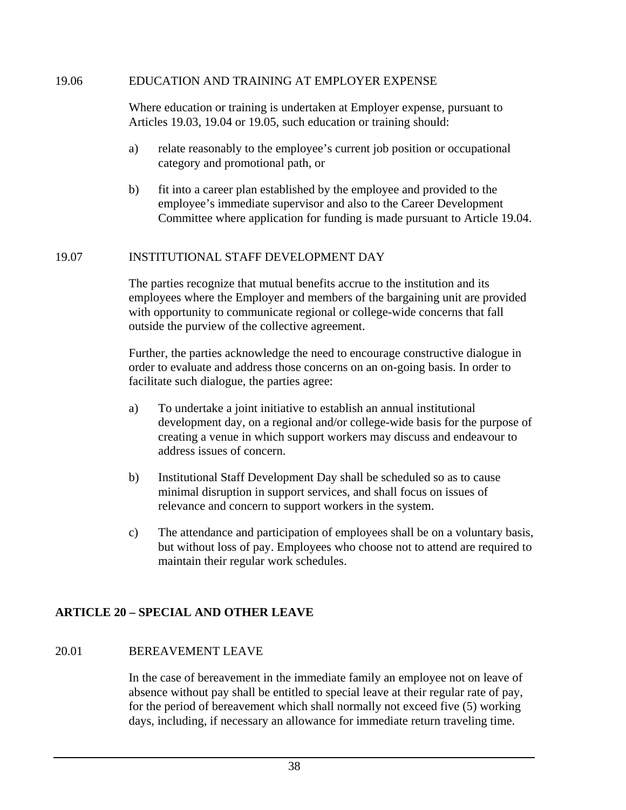### 19.06 EDUCATION AND TRAINING AT EMPLOYER EXPENSE

Where education or training is undertaken at Employer expense, pursuant to Articles 19.03, 19.04 or 19.05, such education or training should:

- a) relate reasonably to the employee's current job position or occupational category and promotional path, or
- b) fit into a career plan established by the employee and provided to the employee's immediate supervisor and also to the Career Development Committee where application for funding is made pursuant to Article 19.04.

## 19.07 INSTITUTIONAL STAFF DEVELOPMENT DAY

The parties recognize that mutual benefits accrue to the institution and its employees where the Employer and members of the bargaining unit are provided with opportunity to communicate regional or college-wide concerns that fall outside the purview of the collective agreement.

Further, the parties acknowledge the need to encourage constructive dialogue in order to evaluate and address those concerns on an on-going basis. In order to facilitate such dialogue, the parties agree:

- a) To undertake a joint initiative to establish an annual institutional development day, on a regional and/or college-wide basis for the purpose of creating a venue in which support workers may discuss and endeavour to address issues of concern.
- b) Institutional Staff Development Day shall be scheduled so as to cause minimal disruption in support services, and shall focus on issues of relevance and concern to support workers in the system.
- c) The attendance and participation of employees shall be on a voluntary basis, but without loss of pay. Employees who choose not to attend are required to maintain their regular work schedules.

## **ARTICLE 20 – SPECIAL AND OTHER LEAVE**

### 20.01 BEREAVEMENT LEAVE

In the case of bereavement in the immediate family an employee not on leave of absence without pay shall be entitled to special leave at their regular rate of pay, for the period of bereavement which shall normally not exceed five (5) working days, including, if necessary an allowance for immediate return traveling time.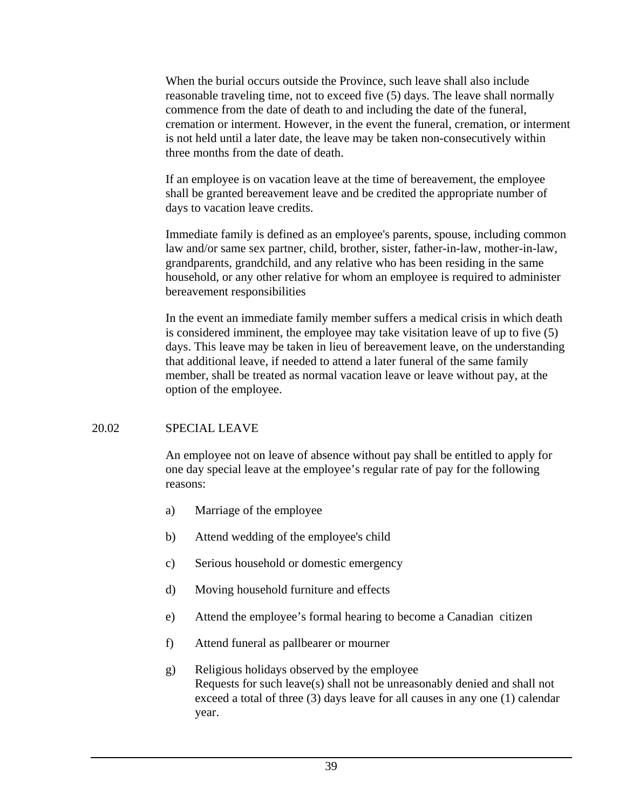When the burial occurs outside the Province, such leave shall also include reasonable traveling time, not to exceed five (5) days. The leave shall normally commence from the date of death to and including the date of the funeral, cremation or interment. However, in the event the funeral, cremation, or interment is not held until a later date, the leave may be taken non-consecutively within three months from the date of death.

If an employee is on vacation leave at the time of bereavement, the employee shall be granted bereavement leave and be credited the appropriate number of days to vacation leave credits.

Immediate family is defined as an employee's parents, spouse, including common law and/or same sex partner, child, brother, sister, father-in-law, mother-in-law, grandparents, grandchild, and any relative who has been residing in the same household, or any other relative for whom an employee is required to administer bereavement responsibilities

In the event an immediate family member suffers a medical crisis in which death is considered imminent, the employee may take visitation leave of up to five (5) days. This leave may be taken in lieu of bereavement leave, on the understanding that additional leave, if needed to attend a later funeral of the same family member, shall be treated as normal vacation leave or leave without pay, at the option of the employee.

## 20.02 SPECIAL LEAVE

An employee not on leave of absence without pay shall be entitled to apply for one day special leave at the employee's regular rate of pay for the following reasons:

- a) Marriage of the employee
- b) Attend wedding of the employee's child
- c) Serious household or domestic emergency
- d) Moving household furniture and effects
- e) Attend the employee's formal hearing to become a Canadian citizen
- f) Attend funeral as pallbearer or mourner
- g) Religious holidays observed by the employee Requests for such leave(s) shall not be unreasonably denied and shall not exceed a total of three (3) days leave for all causes in any one (1) calendar year.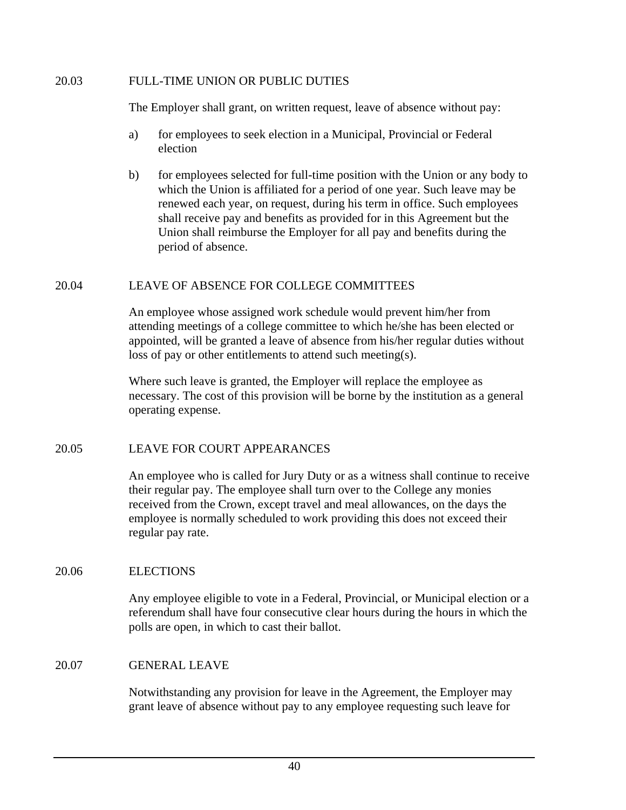### 20.03 FULL-TIME UNION OR PUBLIC DUTIES

The Employer shall grant, on written request, leave of absence without pay:

- a) for employees to seek election in a Municipal, Provincial or Federal election
- b) for employees selected for full-time position with the Union or any body to which the Union is affiliated for a period of one year. Such leave may be renewed each year, on request, during his term in office. Such employees shall receive pay and benefits as provided for in this Agreement but the Union shall reimburse the Employer for all pay and benefits during the period of absence.

## 20.04 LEAVE OF ABSENCE FOR COLLEGE COMMITTEES

An employee whose assigned work schedule would prevent him/her from attending meetings of a college committee to which he/she has been elected or appointed, will be granted a leave of absence from his/her regular duties without loss of pay or other entitlements to attend such meeting(s).

Where such leave is granted, the Employer will replace the employee as necessary. The cost of this provision will be borne by the institution as a general operating expense.

## 20.05 LEAVE FOR COURT APPEARANCES

An employee who is called for Jury Duty or as a witness shall continue to receive their regular pay. The employee shall turn over to the College any monies received from the Crown, except travel and meal allowances, on the days the employee is normally scheduled to work providing this does not exceed their regular pay rate.

## 20.06 ELECTIONS

Any employee eligible to vote in a Federal, Provincial, or Municipal election or a referendum shall have four consecutive clear hours during the hours in which the polls are open, in which to cast their ballot.

## 20.07 GENERAL LEAVE

Notwithstanding any provision for leave in the Agreement, the Employer may grant leave of absence without pay to any employee requesting such leave for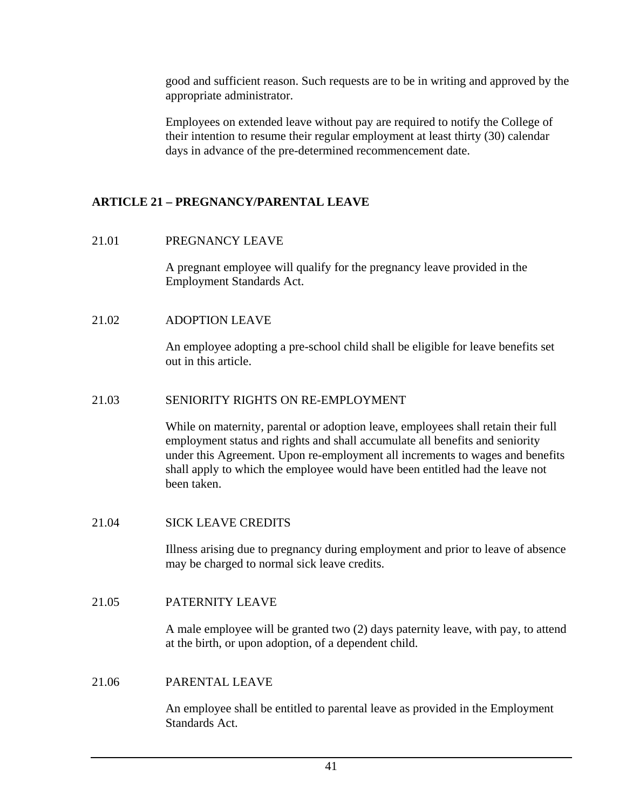good and sufficient reason. Such requests are to be in writing and approved by the appropriate administrator.

Employees on extended leave without pay are required to notify the College of their intention to resume their regular employment at least thirty (30) calendar days in advance of the pre-determined recommencement date.

## **ARTICLE 21 – PREGNANCY/PARENTAL LEAVE**

## 21.01 PREGNANCY LEAVE

A pregnant employee will qualify for the pregnancy leave provided in the Employment Standards Act.

## 21.02 ADOPTION LEAVE

An employee adopting a pre-school child shall be eligible for leave benefits set out in this article.

## 21.03 SENIORITY RIGHTS ON RE-EMPLOYMENT

While on maternity, parental or adoption leave, employees shall retain their full employment status and rights and shall accumulate all benefits and seniority under this Agreement. Upon re-employment all increments to wages and benefits shall apply to which the employee would have been entitled had the leave not been taken.

## 21.04 SICK LEAVE CREDITS

Illness arising due to pregnancy during employment and prior to leave of absence may be charged to normal sick leave credits.

## 21.05 PATERNITY LEAVE

A male employee will be granted two (2) days paternity leave, with pay, to attend at the birth, or upon adoption, of a dependent child.

## 21.06 PARENTAL LEAVE

An employee shall be entitled to parental leave as provided in the Employment Standards Act.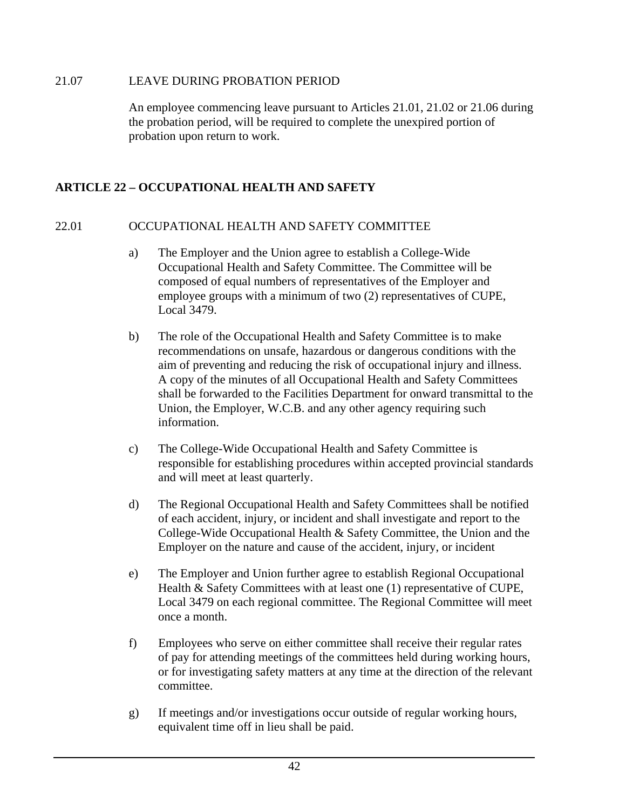### 21.07 LEAVE DURING PROBATION PERIOD

An employee commencing leave pursuant to Articles 21.01, 21.02 or 21.06 during the probation period, will be required to complete the unexpired portion of probation upon return to work.

## **ARTICLE 22 – OCCUPATIONAL HEALTH AND SAFETY**

## 22.01 OCCUPATIONAL HEALTH AND SAFETY COMMITTEE

- a) The Employer and the Union agree to establish a College-Wide Occupational Health and Safety Committee. The Committee will be composed of equal numbers of representatives of the Employer and employee groups with a minimum of two (2) representatives of CUPE, Local 3479.
- b) The role of the Occupational Health and Safety Committee is to make recommendations on unsafe, hazardous or dangerous conditions with the aim of preventing and reducing the risk of occupational injury and illness. A copy of the minutes of all Occupational Health and Safety Committees shall be forwarded to the Facilities Department for onward transmittal to the Union, the Employer, W.C.B. and any other agency requiring such information.
- c) The College-Wide Occupational Health and Safety Committee is responsible for establishing procedures within accepted provincial standards and will meet at least quarterly.
- d) The Regional Occupational Health and Safety Committees shall be notified of each accident, injury, or incident and shall investigate and report to the College-Wide Occupational Health & Safety Committee, the Union and the Employer on the nature and cause of the accident, injury, or incident
- e) The Employer and Union further agree to establish Regional Occupational Health & Safety Committees with at least one (1) representative of CUPE, Local 3479 on each regional committee. The Regional Committee will meet once a month.
- f) Employees who serve on either committee shall receive their regular rates of pay for attending meetings of the committees held during working hours, or for investigating safety matters at any time at the direction of the relevant committee.
- g) If meetings and/or investigations occur outside of regular working hours, equivalent time off in lieu shall be paid.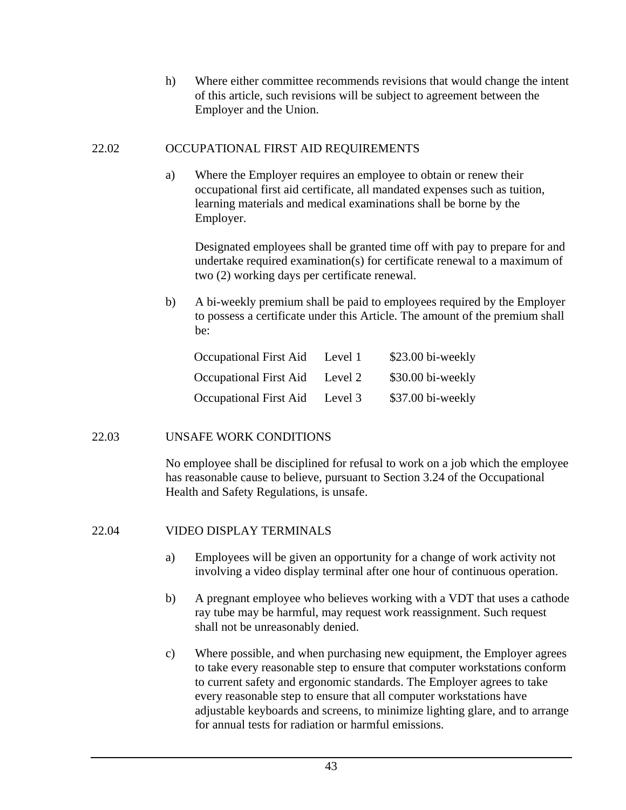h) Where either committee recommends revisions that would change the intent of this article, such revisions will be subject to agreement between the Employer and the Union.

### 22.02 OCCUPATIONAL FIRST AID REQUIREMENTS

a) Where the Employer requires an employee to obtain or renew their occupational first aid certificate, all mandated expenses such as tuition, learning materials and medical examinations shall be borne by the Employer.

Designated employees shall be granted time off with pay to prepare for and undertake required examination(s) for certificate renewal to a maximum of two (2) working days per certificate renewal.

b) A bi-weekly premium shall be paid to employees required by the Employer to possess a certificate under this Article. The amount of the premium shall be:

| <b>Occupational First Aid</b> | Level 1 | \$23.00 bi-weekly |
|-------------------------------|---------|-------------------|
| <b>Occupational First Aid</b> | Level 2 | \$30.00 bi-weekly |
| <b>Occupational First Aid</b> | Level 3 | \$37.00 bi-weekly |

## 22.03 UNSAFE WORK CONDITIONS

No employee shall be disciplined for refusal to work on a job which the employee has reasonable cause to believe, pursuant to Section 3.24 of the Occupational Health and Safety Regulations, is unsafe.

## 22.04 VIDEO DISPLAY TERMINALS

- a) Employees will be given an opportunity for a change of work activity not involving a video display terminal after one hour of continuous operation.
- b) A pregnant employee who believes working with a VDT that uses a cathode ray tube may be harmful, may request work reassignment. Such request shall not be unreasonably denied.
- c) Where possible, and when purchasing new equipment, the Employer agrees to take every reasonable step to ensure that computer workstations conform to current safety and ergonomic standards. The Employer agrees to take every reasonable step to ensure that all computer workstations have adjustable keyboards and screens, to minimize lighting glare, and to arrange for annual tests for radiation or harmful emissions.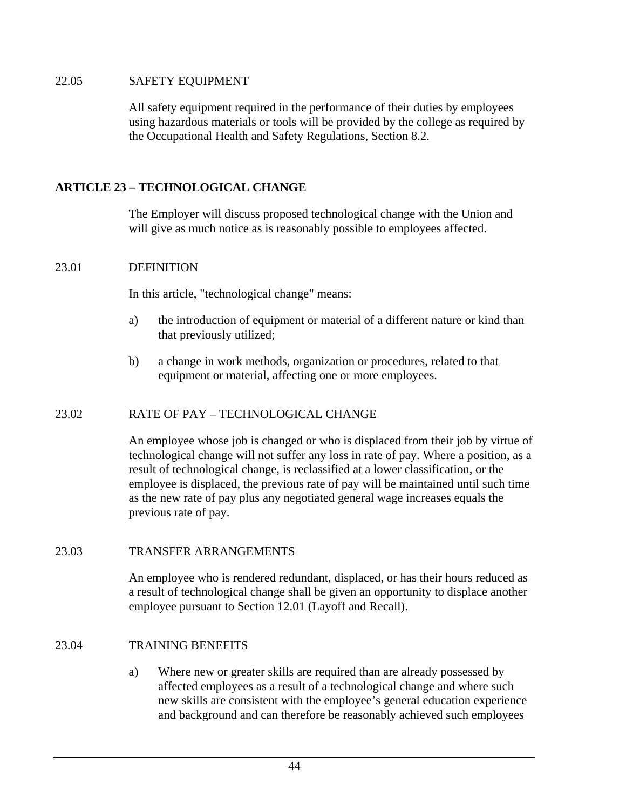### 22.05 SAFETY EQUIPMENT

All safety equipment required in the performance of their duties by employees using hazardous materials or tools will be provided by the college as required by the Occupational Health and Safety Regulations, Section 8.2.

## **ARTICLE 23 – TECHNOLOGICAL CHANGE**

The Employer will discuss proposed technological change with the Union and will give as much notice as is reasonably possible to employees affected.

## 23.01 DEFINITION

In this article, "technological change" means:

- a) the introduction of equipment or material of a different nature or kind than that previously utilized;
- b) a change in work methods, organization or procedures, related to that equipment or material, affecting one or more employees.

## 23.02 RATE OF PAY – TECHNOLOGICAL CHANGE

An employee whose job is changed or who is displaced from their job by virtue of technological change will not suffer any loss in rate of pay. Where a position, as a result of technological change, is reclassified at a lower classification, or the employee is displaced, the previous rate of pay will be maintained until such time as the new rate of pay plus any negotiated general wage increases equals the previous rate of pay.

## 23.03 TRANSFER ARRANGEMENTS

An employee who is rendered redundant, displaced, or has their hours reduced as a result of technological change shall be given an opportunity to displace another employee pursuant to Section 12.01 (Layoff and Recall).

### 23.04 TRAINING BENEFITS

a) Where new or greater skills are required than are already possessed by affected employees as a result of a technological change and where such new skills are consistent with the employee's general education experience and background and can therefore be reasonably achieved such employees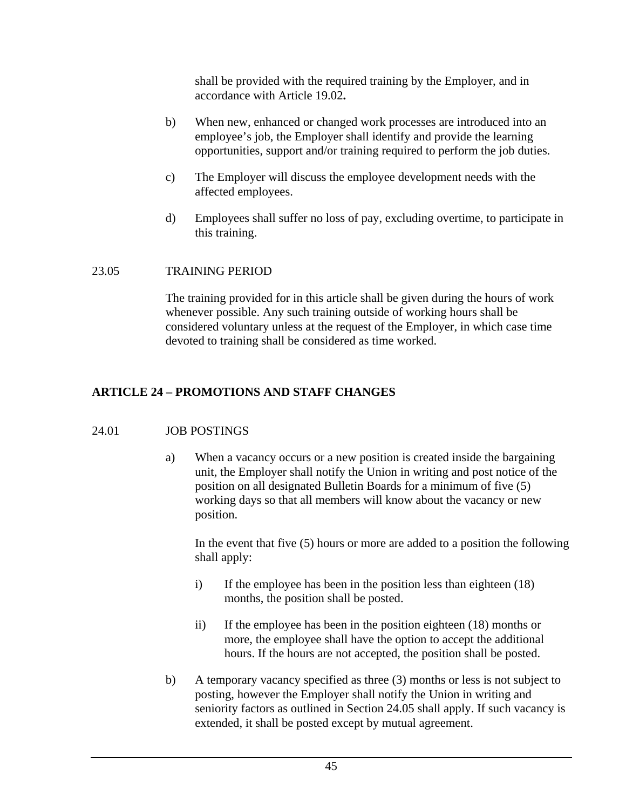shall be provided with the required training by the Employer, and in accordance with Article 19.02**.** 

- b) When new, enhanced or changed work processes are introduced into an employee's job, the Employer shall identify and provide the learning opportunities, support and/or training required to perform the job duties.
- c) The Employer will discuss the employee development needs with the affected employees.
- d) Employees shall suffer no loss of pay, excluding overtime, to participate in this training.

## 23.05 TRAINING PERIOD

The training provided for in this article shall be given during the hours of work whenever possible. Any such training outside of working hours shall be considered voluntary unless at the request of the Employer, in which case time devoted to training shall be considered as time worked.

## **ARTICLE 24 – PROMOTIONS AND STAFF CHANGES**

### 24.01 JOB POSTINGS

a) When a vacancy occurs or a new position is created inside the bargaining unit, the Employer shall notify the Union in writing and post notice of the position on all designated Bulletin Boards for a minimum of five (5) working days so that all members will know about the vacancy or new position.

In the event that five (5) hours or more are added to a position the following shall apply:

- i) If the employee has been in the position less than eighteen (18) months, the position shall be posted.
- ii) If the employee has been in the position eighteen (18) months or more, the employee shall have the option to accept the additional hours. If the hours are not accepted, the position shall be posted.
- b) A temporary vacancy specified as three (3) months or less is not subject to posting, however the Employer shall notify the Union in writing and seniority factors as outlined in Section 24.05 shall apply. If such vacancy is extended, it shall be posted except by mutual agreement.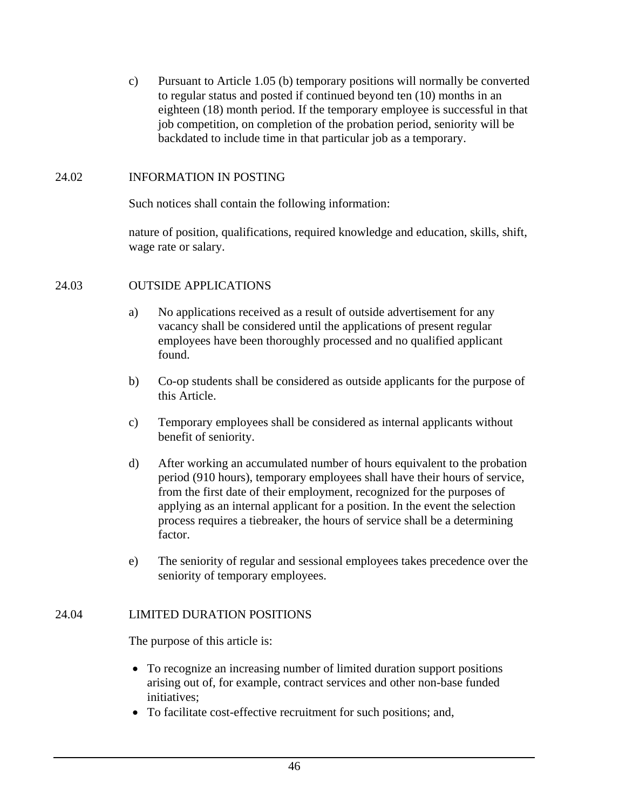c) Pursuant to Article 1.05 (b) temporary positions will normally be converted to regular status and posted if continued beyond ten (10) months in an eighteen (18) month period. If the temporary employee is successful in that job competition, on completion of the probation period, seniority will be backdated to include time in that particular job as a temporary.

### 24.02 INFORMATION IN POSTING

Such notices shall contain the following information:

nature of position, qualifications, required knowledge and education, skills, shift, wage rate or salary.

## 24.03 OUTSIDE APPLICATIONS

- a) No applications received as a result of outside advertisement for any vacancy shall be considered until the applications of present regular employees have been thoroughly processed and no qualified applicant found.
- b) Co-op students shall be considered as outside applicants for the purpose of this Article.
- c) Temporary employees shall be considered as internal applicants without benefit of seniority.
- d) After working an accumulated number of hours equivalent to the probation period (910 hours), temporary employees shall have their hours of service, from the first date of their employment, recognized for the purposes of applying as an internal applicant for a position. In the event the selection process requires a tiebreaker, the hours of service shall be a determining factor.
- e) The seniority of regular and sessional employees takes precedence over the seniority of temporary employees.

## 24.04 LIMITED DURATION POSITIONS

The purpose of this article is:

- To recognize an increasing number of limited duration support positions arising out of, for example, contract services and other non-base funded initiatives;
- To facilitate cost-effective recruitment for such positions; and,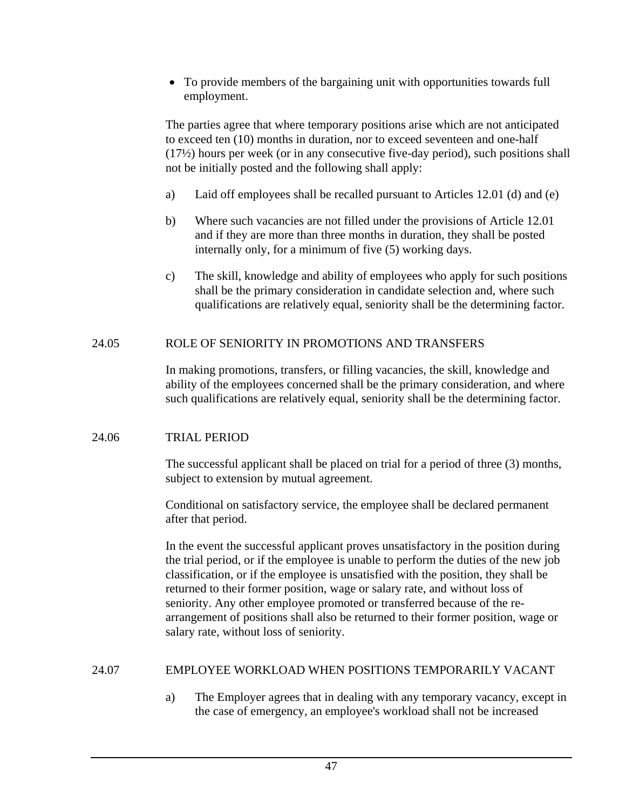• To provide members of the bargaining unit with opportunities towards full employment.

The parties agree that where temporary positions arise which are not anticipated to exceed ten (10) months in duration, nor to exceed seventeen and one-half (17½) hours per week (or in any consecutive five-day period), such positions shall not be initially posted and the following shall apply:

- a) Laid off employees shall be recalled pursuant to Articles 12.01 (d) and (e)
- b) Where such vacancies are not filled under the provisions of Article 12.01 and if they are more than three months in duration, they shall be posted internally only, for a minimum of five (5) working days.
- c) The skill, knowledge and ability of employees who apply for such positions shall be the primary consideration in candidate selection and, where such qualifications are relatively equal, seniority shall be the determining factor.

## 24.05 ROLE OF SENIORITY IN PROMOTIONS AND TRANSFERS

In making promotions, transfers, or filling vacancies, the skill, knowledge and ability of the employees concerned shall be the primary consideration, and where such qualifications are relatively equal, seniority shall be the determining factor.

### 24.06 TRIAL PERIOD

The successful applicant shall be placed on trial for a period of three (3) months, subject to extension by mutual agreement.

Conditional on satisfactory service, the employee shall be declared permanent after that period.

In the event the successful applicant proves unsatisfactory in the position during the trial period, or if the employee is unable to perform the duties of the new job classification, or if the employee is unsatisfied with the position, they shall be returned to their former position, wage or salary rate, and without loss of seniority. Any other employee promoted or transferred because of the rearrangement of positions shall also be returned to their former position, wage or salary rate, without loss of seniority.

## 24.07 EMPLOYEE WORKLOAD WHEN POSITIONS TEMPORARILY VACANT

a) The Employer agrees that in dealing with any temporary vacancy, except in the case of emergency, an employee's workload shall not be increased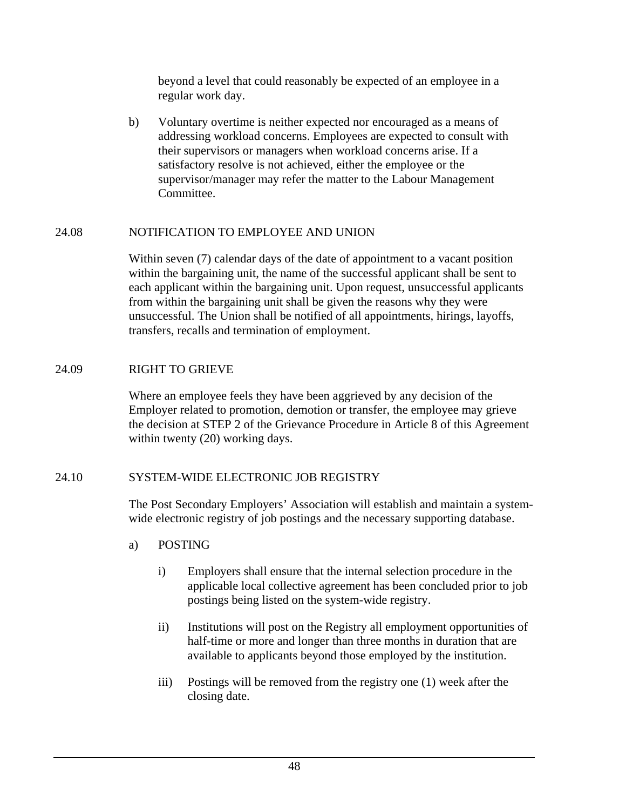beyond a level that could reasonably be expected of an employee in a regular work day.

b) Voluntary overtime is neither expected nor encouraged as a means of addressing workload concerns. Employees are expected to consult with their supervisors or managers when workload concerns arise. If a satisfactory resolve is not achieved, either the employee or the supervisor/manager may refer the matter to the Labour Management Committee.

## 24.08 NOTIFICATION TO EMPLOYEE AND UNION

Within seven (7) calendar days of the date of appointment to a vacant position within the bargaining unit, the name of the successful applicant shall be sent to each applicant within the bargaining unit. Upon request, unsuccessful applicants from within the bargaining unit shall be given the reasons why they were unsuccessful. The Union shall be notified of all appointments, hirings, layoffs, transfers, recalls and termination of employment.

## 24.09 RIGHT TO GRIEVE

Where an employee feels they have been aggrieved by any decision of the Employer related to promotion, demotion or transfer, the employee may grieve the decision at STEP 2 of the Grievance Procedure in Article 8 of this Agreement within twenty (20) working days.

## 24.10 SYSTEM-WIDE ELECTRONIC JOB REGISTRY

The Post Secondary Employers' Association will establish and maintain a systemwide electronic registry of job postings and the necessary supporting database.

- a) POSTING
	- i) Employers shall ensure that the internal selection procedure in the applicable local collective agreement has been concluded prior to job postings being listed on the system-wide registry.
	- ii) Institutions will post on the Registry all employment opportunities of half-time or more and longer than three months in duration that are available to applicants beyond those employed by the institution.
	- iii) Postings will be removed from the registry one (1) week after the closing date.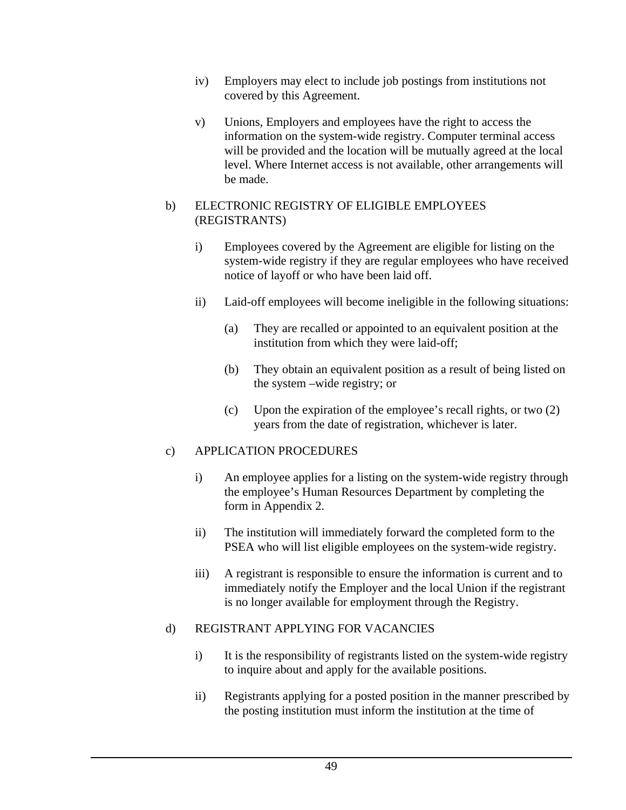- iv) Employers may elect to include job postings from institutions not covered by this Agreement.
- v) Unions, Employers and employees have the right to access the information on the system-wide registry. Computer terminal access will be provided and the location will be mutually agreed at the local level. Where Internet access is not available, other arrangements will be made.

### b) ELECTRONIC REGISTRY OF ELIGIBLE EMPLOYEES (REGISTRANTS)

- i) Employees covered by the Agreement are eligible for listing on the system-wide registry if they are regular employees who have received notice of layoff or who have been laid off.
- ii) Laid-off employees will become ineligible in the following situations:
	- (a) They are recalled or appointed to an equivalent position at the institution from which they were laid-off;
	- (b) They obtain an equivalent position as a result of being listed on the system –wide registry; or
	- (c) Upon the expiration of the employee's recall rights, or two (2) years from the date of registration, whichever is later.

## c) APPLICATION PROCEDURES

- i) An employee applies for a listing on the system-wide registry through the employee's Human Resources Department by completing the form in Appendix 2.
- ii) The institution will immediately forward the completed form to the PSEA who will list eligible employees on the system-wide registry.
- iii) A registrant is responsible to ensure the information is current and to immediately notify the Employer and the local Union if the registrant is no longer available for employment through the Registry.

### d) REGISTRANT APPLYING FOR VACANCIES

- i) It is the responsibility of registrants listed on the system-wide registry to inquire about and apply for the available positions.
- ii) Registrants applying for a posted position in the manner prescribed by the posting institution must inform the institution at the time of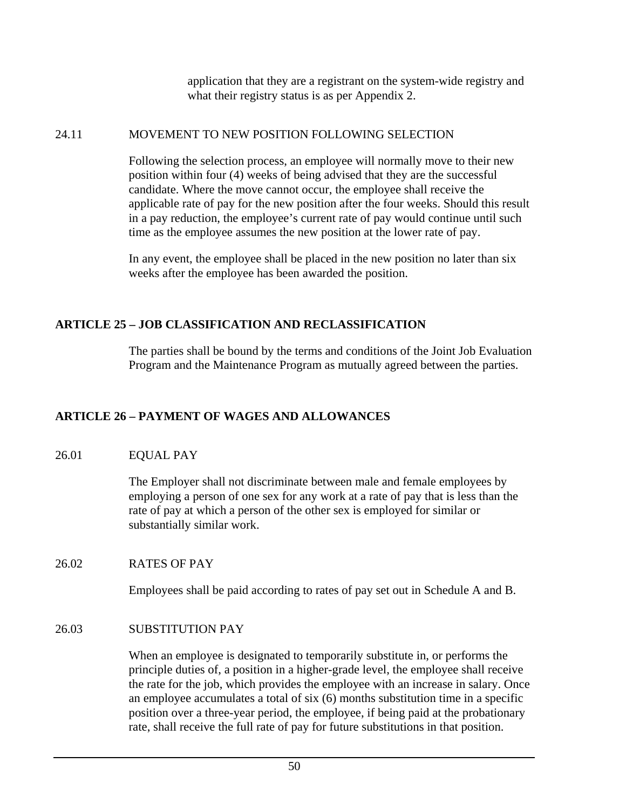application that they are a registrant on the system-wide registry and what their registry status is as per Appendix 2.

#### 24.11 MOVEMENT TO NEW POSITION FOLLOWING SELECTION

Following the selection process, an employee will normally move to their new position within four (4) weeks of being advised that they are the successful candidate. Where the move cannot occur, the employee shall receive the applicable rate of pay for the new position after the four weeks. Should this result in a pay reduction, the employee's current rate of pay would continue until such time as the employee assumes the new position at the lower rate of pay.

In any event, the employee shall be placed in the new position no later than six weeks after the employee has been awarded the position.

## **ARTICLE 25 – JOB CLASSIFICATION AND RECLASSIFICATION**

The parties shall be bound by the terms and conditions of the Joint Job Evaluation Program and the Maintenance Program as mutually agreed between the parties.

## **ARTICLE 26 – PAYMENT OF WAGES AND ALLOWANCES**

### 26.01 EQUAL PAY

The Employer shall not discriminate between male and female employees by employing a person of one sex for any work at a rate of pay that is less than the rate of pay at which a person of the other sex is employed for similar or substantially similar work.

### 26.02 RATES OF PAY

Employees shall be paid according to rates of pay set out in Schedule A and B.

### 26.03 SUBSTITUTION PAY

When an employee is designated to temporarily substitute in, or performs the principle duties of, a position in a higher-grade level, the employee shall receive the rate for the job, which provides the employee with an increase in salary. Once an employee accumulates a total of six (6) months substitution time in a specific position over a three-year period, the employee, if being paid at the probationary rate, shall receive the full rate of pay for future substitutions in that position.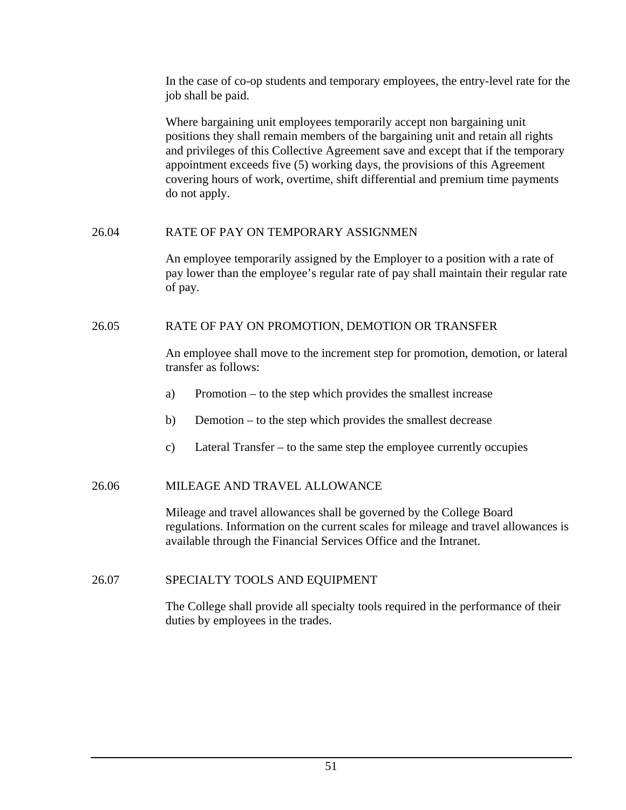In the case of co-op students and temporary employees, the entry-level rate for the job shall be paid.

Where bargaining unit employees temporarily accept non bargaining unit positions they shall remain members of the bargaining unit and retain all rights and privileges of this Collective Agreement save and except that if the temporary appointment exceeds five (5) working days, the provisions of this Agreement covering hours of work, overtime, shift differential and premium time payments do not apply.

### 26.04 RATE OF PAY ON TEMPORARY ASSIGNMEN

An employee temporarily assigned by the Employer to a position with a rate of pay lower than the employee's regular rate of pay shall maintain their regular rate of pay.

## 26.05 RATE OF PAY ON PROMOTION, DEMOTION OR TRANSFER

An employee shall move to the increment step for promotion, demotion, or lateral transfer as follows:

- a) Promotion to the step which provides the smallest increase
- b) Demotion to the step which provides the smallest decrease
- c) Lateral Transfer to the same step the employee currently occupies

## 26.06 MILEAGE AND TRAVEL ALLOWANCE

Mileage and travel allowances shall be governed by the College Board regulations. Information on the current scales for mileage and travel allowances is available through the Financial Services Office and the Intranet.

## 26.07 SPECIALTY TOOLS AND EQUIPMENT

The College shall provide all specialty tools required in the performance of their duties by employees in the trades.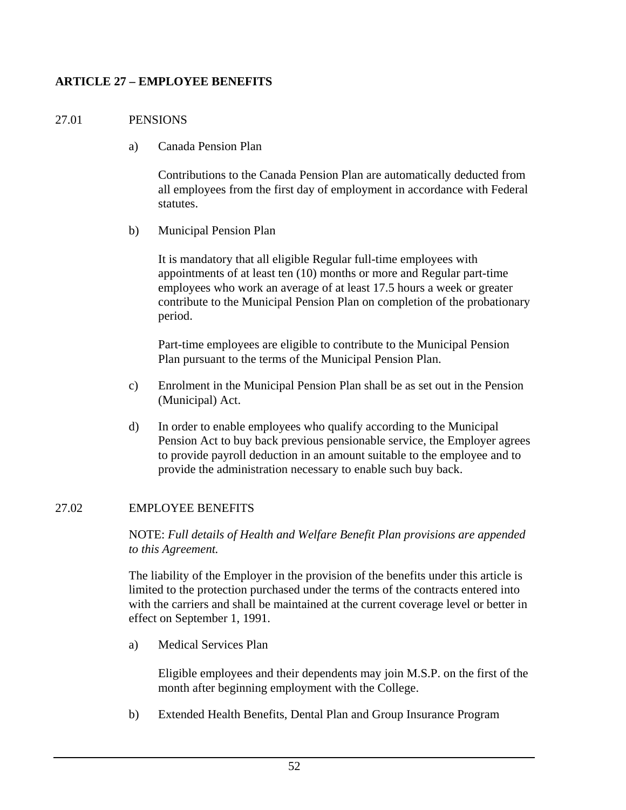## **ARTICLE 27 – EMPLOYEE BENEFITS**

## 27.01 PENSIONS

a) Canada Pension Plan

Contributions to the Canada Pension Plan are automatically deducted from all employees from the first day of employment in accordance with Federal statutes.

b) Municipal Pension Plan

It is mandatory that all eligible Regular full-time employees with appointments of at least ten (10) months or more and Regular part-time employees who work an average of at least 17.5 hours a week or greater contribute to the Municipal Pension Plan on completion of the probationary period.

Part-time employees are eligible to contribute to the Municipal Pension Plan pursuant to the terms of the Municipal Pension Plan.

- c) Enrolment in the Municipal Pension Plan shall be as set out in the Pension (Municipal) Act.
- d) In order to enable employees who qualify according to the Municipal Pension Act to buy back previous pensionable service, the Employer agrees to provide payroll deduction in an amount suitable to the employee and to provide the administration necessary to enable such buy back.

## 27.02 EMPLOYEE BENEFITS

NOTE: *Full details of Health and Welfare Benefit Plan provisions are appended to this Agreement.*

The liability of the Employer in the provision of the benefits under this article is limited to the protection purchased under the terms of the contracts entered into with the carriers and shall be maintained at the current coverage level or better in effect on September 1, 1991.

a) Medical Services Plan

Eligible employees and their dependents may join M.S.P. on the first of the month after beginning employment with the College.

b) Extended Health Benefits, Dental Plan and Group Insurance Program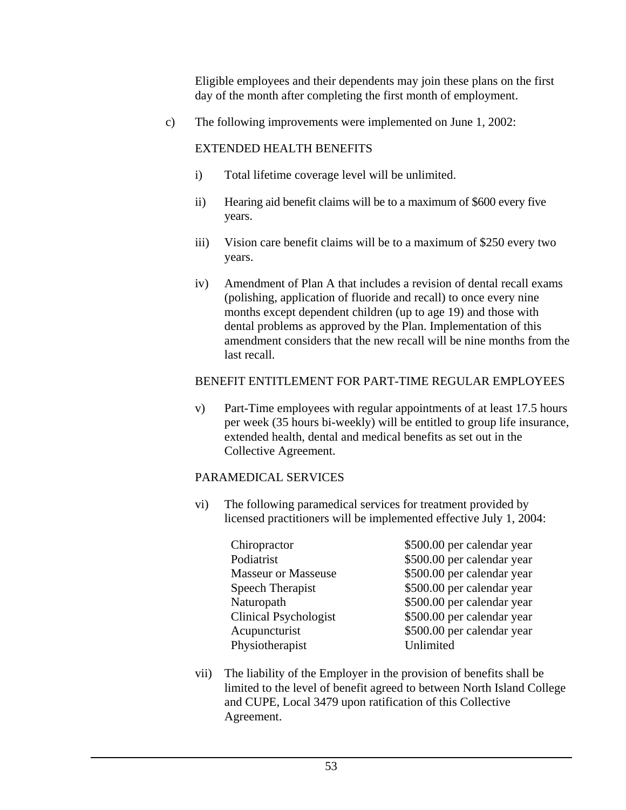Eligible employees and their dependents may join these plans on the first day of the month after completing the first month of employment.

c) The following improvements were implemented on June 1, 2002:

## EXTENDED HEALTH BENEFITS

- i) Total lifetime coverage level will be unlimited.
- ii) Hearing aid benefit claims will be to a maximum of \$600 every five years.
- iii) Vision care benefit claims will be to a maximum of \$250 every two years.
- iv) Amendment of Plan A that includes a revision of dental recall exams (polishing, application of fluoride and recall) to once every nine months except dependent children (up to age 19) and those with dental problems as approved by the Plan. Implementation of this amendment considers that the new recall will be nine months from the last recall.

## BENEFIT ENTITLEMENT FOR PART-TIME REGULAR EMPLOYEES

v) Part-Time employees with regular appointments of at least 17.5 hours per week (35 hours bi-weekly) will be entitled to group life insurance, extended health, dental and medical benefits as set out in the Collective Agreement.

### PARAMEDICAL SERVICES

- vi) The following paramedical services for treatment provided by licensed practitioners will be implemented effective July 1, 2004:
	- Chiropractor  $$500.00$  per calendar year Podiatrist  $$500.00$  per calendar year Masseur or Masseuse \$500.00 per calendar year Speech Therapist  $$500.00$  per calendar year Naturopath  $$500.00$  per calendar year Clinical Psychologist  $$500.00$  per calendar year Acupuncturist  $$500.00$  per calendar year Physiotherapist Unlimited
- vii) The liability of the Employer in the provision of benefits shall be limited to the level of benefit agreed to between North Island College and CUPE, Local 3479 upon ratification of this Collective Agreement.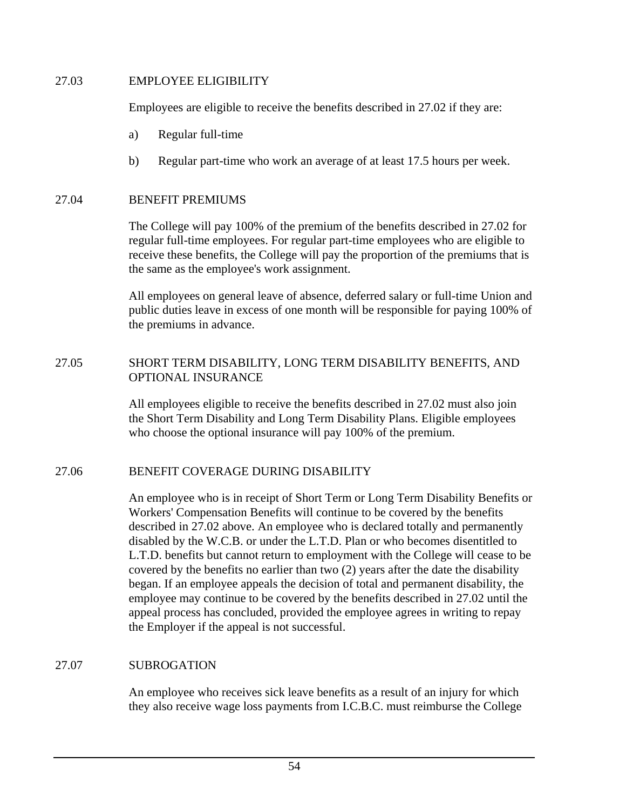### 27.03 EMPLOYEE ELIGIBILITY

Employees are eligible to receive the benefits described in 27.02 if they are:

- a) Regular full-time
- b) Regular part-time who work an average of at least 17.5 hours per week.

## 27.04 BENEFIT PREMIUMS

The College will pay 100% of the premium of the benefits described in 27.02 for regular full-time employees. For regular part-time employees who are eligible to receive these benefits, the College will pay the proportion of the premiums that is the same as the employee's work assignment.

All employees on general leave of absence, deferred salary or full-time Union and public duties leave in excess of one month will be responsible for paying 100% of the premiums in advance.

## 27.05 SHORT TERM DISABILITY, LONG TERM DISABILITY BENEFITS, AND OPTIONAL INSURANCE

All employees eligible to receive the benefits described in 27.02 must also join the Short Term Disability and Long Term Disability Plans. Eligible employees who choose the optional insurance will pay 100% of the premium.

## 27.06 BENEFIT COVERAGE DURING DISABILITY

An employee who is in receipt of Short Term or Long Term Disability Benefits or Workers' Compensation Benefits will continue to be covered by the benefits described in 27.02 above. An employee who is declared totally and permanently disabled by the W.C.B. or under the L.T.D. Plan or who becomes disentitled to L.T.D. benefits but cannot return to employment with the College will cease to be covered by the benefits no earlier than two (2) years after the date the disability began. If an employee appeals the decision of total and permanent disability, the employee may continue to be covered by the benefits described in 27.02 until the appeal process has concluded, provided the employee agrees in writing to repay the Employer if the appeal is not successful.

## 27.07 SUBROGATION

An employee who receives sick leave benefits as a result of an injury for which they also receive wage loss payments from I.C.B.C. must reimburse the College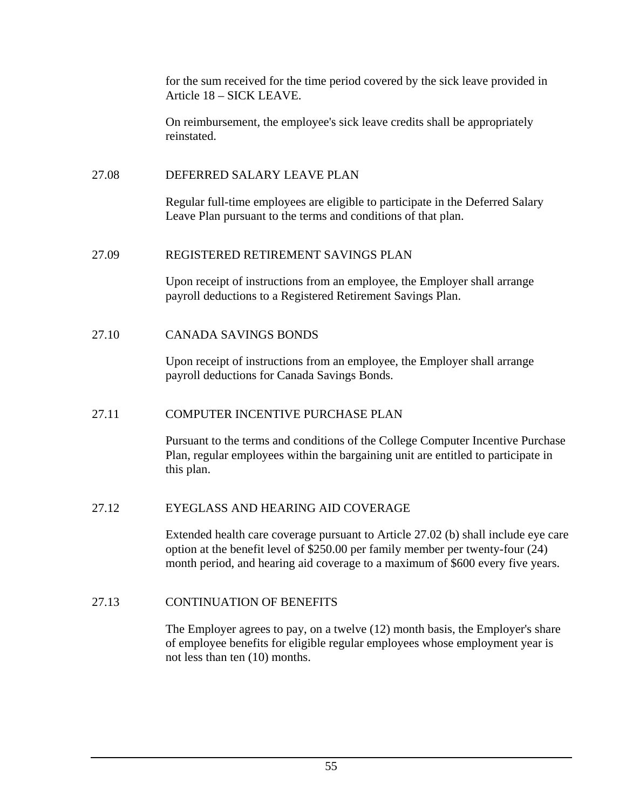for the sum received for the time period covered by the sick leave provided in Article 18 – SICK LEAVE.

On reimbursement, the employee's sick leave credits shall be appropriately reinstated.

## 27.08 DEFERRED SALARY LEAVE PLAN

Regular full-time employees are eligible to participate in the Deferred Salary Leave Plan pursuant to the terms and conditions of that plan.

## 27.09 REGISTERED RETIREMENT SAVINGS PLAN

Upon receipt of instructions from an employee, the Employer shall arrange payroll deductions to a Registered Retirement Savings Plan.

## 27.10 CANADA SAVINGS BONDS

Upon receipt of instructions from an employee, the Employer shall arrange payroll deductions for Canada Savings Bonds.

## 27.11 COMPUTER INCENTIVE PURCHASE PLAN

Pursuant to the terms and conditions of the College Computer Incentive Purchase Plan, regular employees within the bargaining unit are entitled to participate in this plan.

## 27.12 EYEGLASS AND HEARING AID COVERAGE

Extended health care coverage pursuant to Article 27.02 (b) shall include eye care option at the benefit level of \$250.00 per family member per twenty-four (24) month period, and hearing aid coverage to a maximum of \$600 every five years.

## 27.13 CONTINUATION OF BENEFITS

The Employer agrees to pay, on a twelve (12) month basis, the Employer's share of employee benefits for eligible regular employees whose employment year is not less than ten (10) months.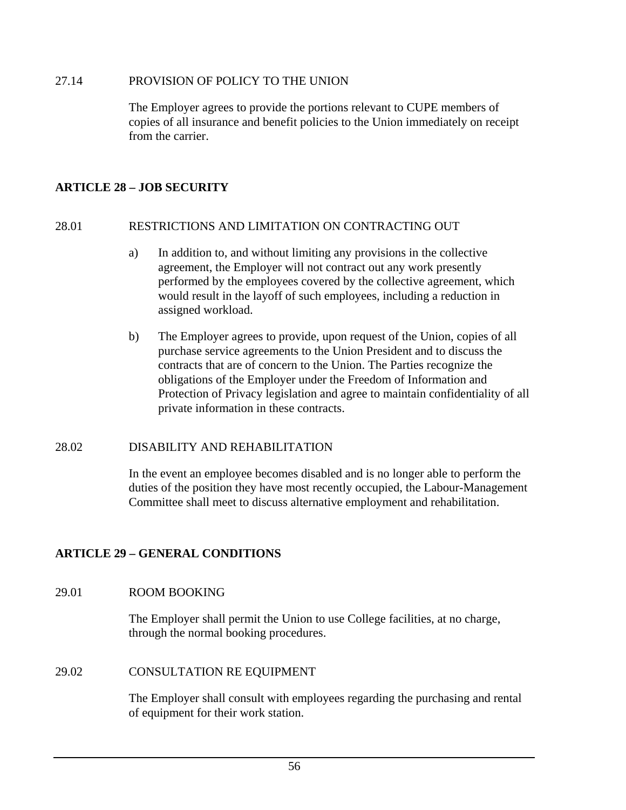### 27.14 PROVISION OF POLICY TO THE UNION

The Employer agrees to provide the portions relevant to CUPE members of copies of all insurance and benefit policies to the Union immediately on receipt from the carrier.

## **ARTICLE 28 – JOB SECURITY**

### 28.01 RESTRICTIONS AND LIMITATION ON CONTRACTING OUT

- a) In addition to, and without limiting any provisions in the collective agreement, the Employer will not contract out any work presently performed by the employees covered by the collective agreement, which would result in the layoff of such employees, including a reduction in assigned workload.
- b) The Employer agrees to provide, upon request of the Union, copies of all purchase service agreements to the Union President and to discuss the contracts that are of concern to the Union. The Parties recognize the obligations of the Employer under the Freedom of Information and Protection of Privacy legislation and agree to maintain confidentiality of all private information in these contracts.

### 28.02 DISABILITY AND REHABILITATION

In the event an employee becomes disabled and is no longer able to perform the duties of the position they have most recently occupied, the Labour-Management Committee shall meet to discuss alternative employment and rehabilitation.

## **ARTICLE 29 – GENERAL CONDITIONS**

### 29.01 ROOM BOOKING

The Employer shall permit the Union to use College facilities, at no charge, through the normal booking procedures.

### 29.02 CONSULTATION RE EQUIPMENT

The Employer shall consult with employees regarding the purchasing and rental of equipment for their work station.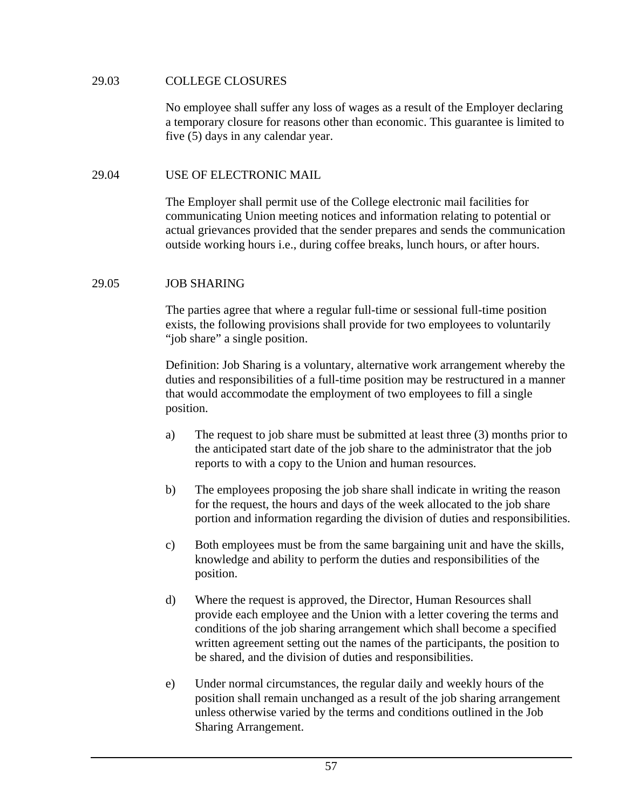### 29.03 COLLEGE CLOSURES

No employee shall suffer any loss of wages as a result of the Employer declaring a temporary closure for reasons other than economic. This guarantee is limited to five (5) days in any calendar year.

### 29.04 USE OF ELECTRONIC MAIL

The Employer shall permit use of the College electronic mail facilities for communicating Union meeting notices and information relating to potential or actual grievances provided that the sender prepares and sends the communication outside working hours i.e., during coffee breaks, lunch hours, or after hours.

### 29.05 JOB SHARING

The parties agree that where a regular full-time or sessional full-time position exists, the following provisions shall provide for two employees to voluntarily "job share" a single position.

Definition: Job Sharing is a voluntary, alternative work arrangement whereby the duties and responsibilities of a full-time position may be restructured in a manner that would accommodate the employment of two employees to fill a single position.

- a) The request to job share must be submitted at least three (3) months prior to the anticipated start date of the job share to the administrator that the job reports to with a copy to the Union and human resources.
- b) The employees proposing the job share shall indicate in writing the reason for the request, the hours and days of the week allocated to the job share portion and information regarding the division of duties and responsibilities.
- c) Both employees must be from the same bargaining unit and have the skills, knowledge and ability to perform the duties and responsibilities of the position.
- d) Where the request is approved, the Director, Human Resources shall provide each employee and the Union with a letter covering the terms and conditions of the job sharing arrangement which shall become a specified written agreement setting out the names of the participants, the position to be shared, and the division of duties and responsibilities.
- e) Under normal circumstances, the regular daily and weekly hours of the position shall remain unchanged as a result of the job sharing arrangement unless otherwise varied by the terms and conditions outlined in the Job Sharing Arrangement.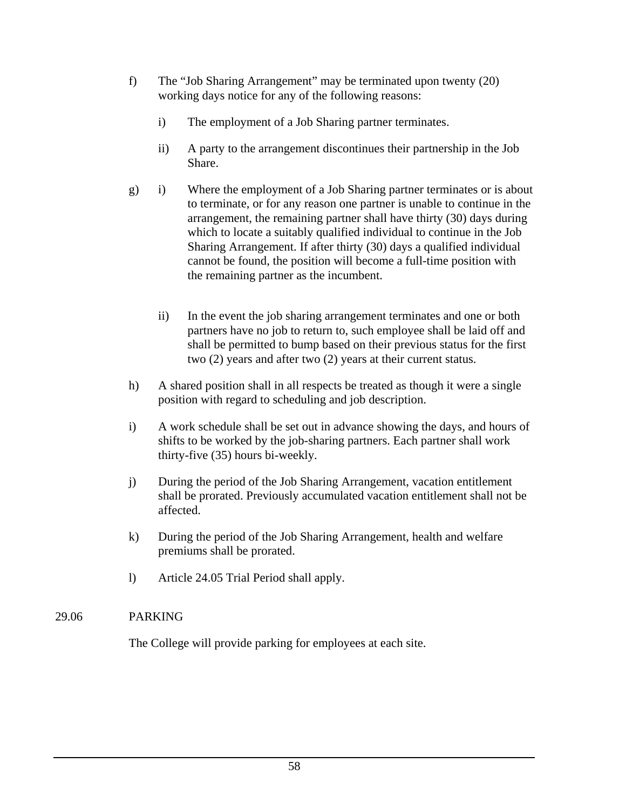- f) The "Job Sharing Arrangement" may be terminated upon twenty (20) working days notice for any of the following reasons:
	- i) The employment of a Job Sharing partner terminates.
	- ii) A party to the arrangement discontinues their partnership in the Job Share.
- g) i) Where the employment of a Job Sharing partner terminates or is about to terminate, or for any reason one partner is unable to continue in the arrangement, the remaining partner shall have thirty (30) days during which to locate a suitably qualified individual to continue in the Job Sharing Arrangement. If after thirty (30) days a qualified individual cannot be found, the position will become a full-time position with the remaining partner as the incumbent.
	- ii) In the event the job sharing arrangement terminates and one or both partners have no job to return to, such employee shall be laid off and shall be permitted to bump based on their previous status for the first two (2) years and after two (2) years at their current status.
- h) A shared position shall in all respects be treated as though it were a single position with regard to scheduling and job description.
- i) A work schedule shall be set out in advance showing the days, and hours of shifts to be worked by the job-sharing partners. Each partner shall work thirty-five (35) hours bi-weekly.
- j) During the period of the Job Sharing Arrangement, vacation entitlement shall be prorated. Previously accumulated vacation entitlement shall not be affected.
- k) During the period of the Job Sharing Arrangement, health and welfare premiums shall be prorated.
- l) Article 24.05 Trial Period shall apply.

## 29.06 PARKING

The College will provide parking for employees at each site.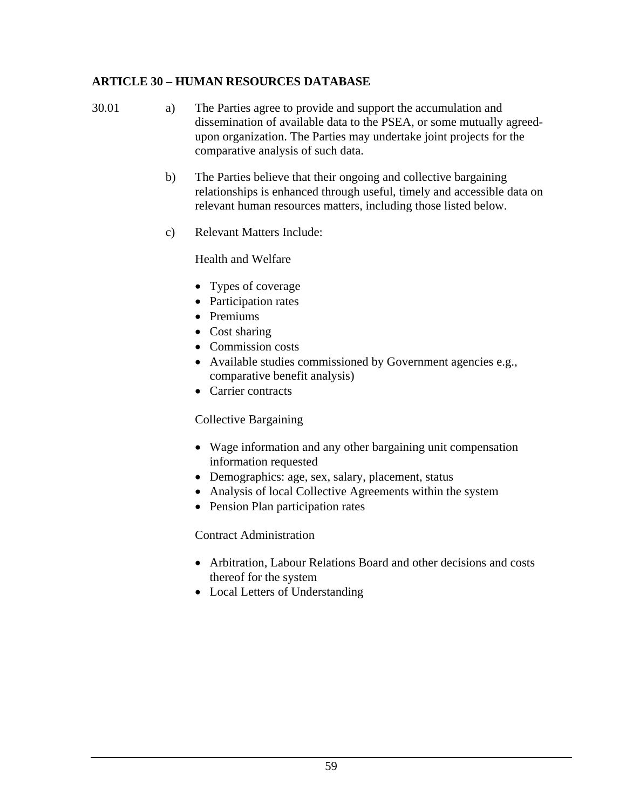## **ARTICLE 30 – HUMAN RESOURCES DATABASE**

30.01 a) The Parties agree to provide and support the accumulation and dissemination of available data to the PSEA, or some mutually agreed upon organization. The Parties may undertake joint projects for the comparative analysis of such data.

- b) The Parties believe that their ongoing and collective bargaining relationships is enhanced through useful, timely and accessible data on relevant human resources matters, including those listed below.
- c) Relevant Matters Include:

Health and Welfare

- Types of coverage
- Participation rates
- Premiums
- Cost sharing
- Commission costs
- Available studies commissioned by Government agencies e.g., comparative benefit analysis)
- Carrier contracts

## Collective Bargaining

- Wage information and any other bargaining unit compensation information requested
- Demographics: age, sex, salary, placement, status
- Analysis of local Collective Agreements within the system
- Pension Plan participation rates

## Contract Administration

- Arbitration, Labour Relations Board and other decisions and costs thereof for the system
- Local Letters of Understanding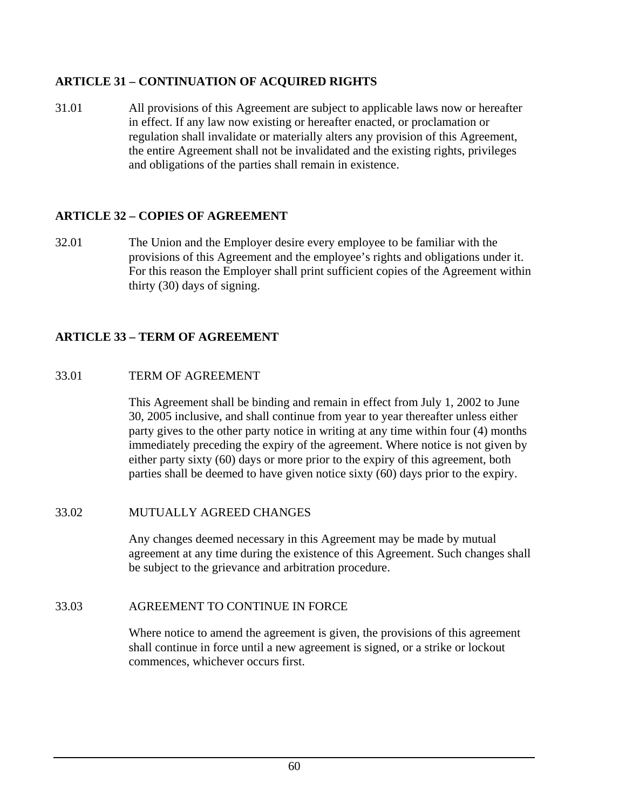## **ARTICLE 31 – CONTINUATION OF ACQUIRED RIGHTS**

31.01 All provisions of this Agreement are subject to applicable laws now or hereafter in effect. If any law now existing or hereafter enacted, or proclamation or regulation shall invalidate or materially alters any provision of this Agreement, the entire Agreement shall not be invalidated and the existing rights, privileges and obligations of the parties shall remain in existence.

## **ARTICLE 32 – COPIES OF AGREEMENT**

32.01 The Union and the Employer desire every employee to be familiar with the provisions of this Agreement and the employee's rights and obligations under it. For this reason the Employer shall print sufficient copies of the Agreement within thirty (30) days of signing.

## **ARTICLE 33 – TERM OF AGREEMENT**

## 33.01 TERM OF AGREEMENT

This Agreement shall be binding and remain in effect from July 1, 2002 to June 30, 2005 inclusive, and shall continue from year to year thereafter unless either party gives to the other party notice in writing at any time within four (4) months immediately preceding the expiry of the agreement. Where notice is not given by either party sixty (60) days or more prior to the expiry of this agreement, both parties shall be deemed to have given notice sixty (60) days prior to the expiry.

## 33.02 MUTUALLY AGREED CHANGES

Any changes deemed necessary in this Agreement may be made by mutual agreement at any time during the existence of this Agreement. Such changes shall be subject to the grievance and arbitration procedure.

## 33.03 AGREEMENT TO CONTINUE IN FORCE

Where notice to amend the agreement is given, the provisions of this agreement shall continue in force until a new agreement is signed, or a strike or lockout commences, whichever occurs first.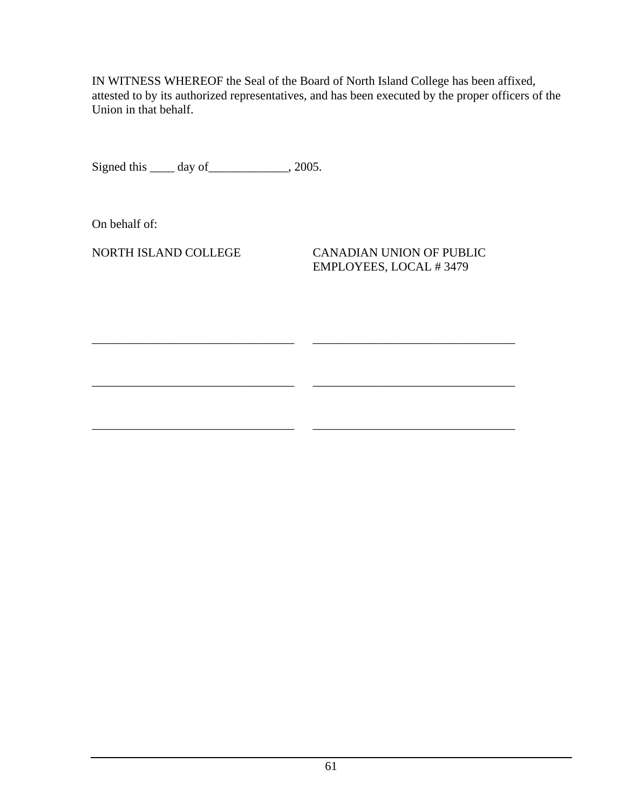IN WITNESS WHEREOF the Seal of the Board of North Island College has been affixed, attested to by its authorized representatives, and has been executed by the proper officers of the Union in that behalf.

\_\_\_\_\_\_\_\_\_\_\_\_\_\_\_\_\_\_\_\_\_\_\_\_\_\_\_\_\_\_\_\_\_ \_\_\_\_\_\_\_\_\_\_\_\_\_\_\_\_\_\_\_\_\_\_\_\_\_\_\_\_\_\_\_\_\_

\_\_\_\_\_\_\_\_\_\_\_\_\_\_\_\_\_\_\_\_\_\_\_\_\_\_\_\_\_\_\_\_\_ \_\_\_\_\_\_\_\_\_\_\_\_\_\_\_\_\_\_\_\_\_\_\_\_\_\_\_\_\_\_\_\_\_

\_\_\_\_\_\_\_\_\_\_\_\_\_\_\_\_\_\_\_\_\_\_\_\_\_\_\_\_\_\_\_\_\_ \_\_\_\_\_\_\_\_\_\_\_\_\_\_\_\_\_\_\_\_\_\_\_\_\_\_\_\_\_\_\_\_\_

Signed this \_\_\_\_\_ day of \_\_\_\_\_\_\_\_\_\_\_\_, 2005.

On behalf of:

NORTH ISLAND COLLEGE CANADIAN UNION OF PUBLIC EMPLOYEES, LOCAL # 3479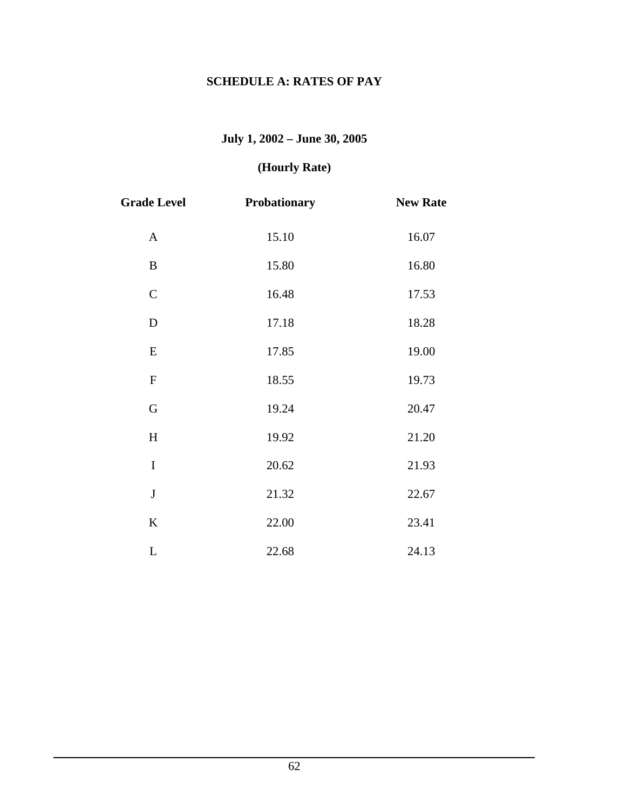# **SCHEDULE A: RATES OF PAY**

# **July 1, 2002 – June 30, 2005**

# **(Hourly Rate)**

| <b>Grade Level</b> | Probationary | <b>New Rate</b> |
|--------------------|--------------|-----------------|
| $\mathbf{A}$       | 15.10        | 16.07           |
| B                  | 15.80        | 16.80           |
| $\mathbf C$        | 16.48        | 17.53           |
| $\mathbf D$        | 17.18        | 18.28           |
| ${\bf E}$          | 17.85        | 19.00           |
| ${\bf F}$          | 18.55        | 19.73           |
| G                  | 19.24        | 20.47           |
| H                  | 19.92        | 21.20           |
| $\mathbf I$        | 20.62        | 21.93           |
| $\bf J$            | 21.32        | 22.67           |
| $\bf K$            | 22.00        | 23.41           |
| $\mathbf L$        | 22.68        | 24.13           |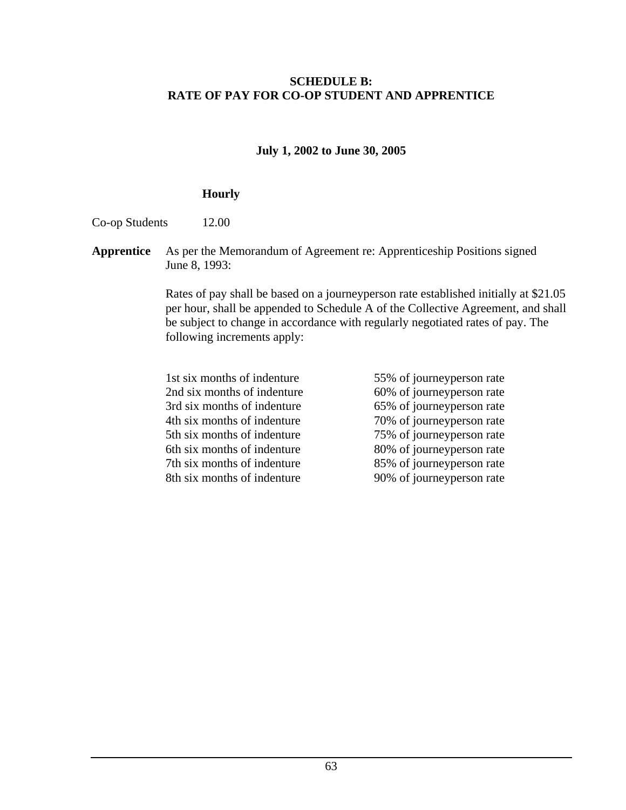#### **SCHEDULE B: RATE OF PAY FOR CO-OP STUDENT AND APPRENTICE**

**July 1, 2002 to June 30, 2005** 

#### **Hourly**

Co-op Students 12.00

**Apprentice** As per the Memorandum of Agreement re: Apprenticeship Positions signed June 8, 1993:

> Rates of pay shall be based on a journeyperson rate established initially at \$21.05 per hour, shall be appended to Schedule A of the Collective Agreement, and shall be subject to change in accordance with regularly negotiated rates of pay. The following increments apply:

- 1st six months of indenture 55% of journeyperson rate 2nd six months of indenture 60% of journeyperson rate 3rd six months of indenture 65% of journeyperson rate 4th six months of indenture 70% of journeyperson rate 5th six months of indenture 75% of journeyperson rate 6th six months of indenture 80% of journeyperson rate 7th six months of indenture 85% of journeyperson rate 8th six months of indenture 90% of journeyperson rate
	-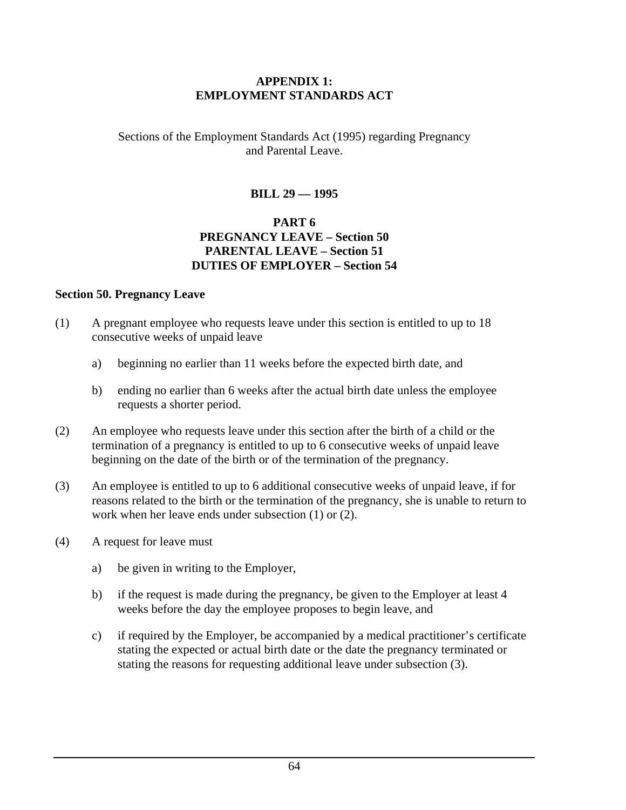#### **APPENDIX 1: EMPLOYMENT STANDARDS ACT**

#### Sections of the Employment Standards Act (1995) regarding Pregnancy and Parental Leave.

### **BILL 29 — 1995**

#### **PART 6 PREGNANCY LEAVE – Section 50 PARENTAL LEAVE – Section 51 DUTIES OF EMPLOYER – Section 54**

#### **Section 50. Pregnancy Leave**

- (1) A pregnant employee who requests leave under this section is entitled to up to 18 consecutive weeks of unpaid leave
	- a) beginning no earlier than 11 weeks before the expected birth date, and
	- b) ending no earlier than 6 weeks after the actual birth date unless the employee requests a shorter period.
- (2) An employee who requests leave under this section after the birth of a child or the termination of a pregnancy is entitled to up to 6 consecutive weeks of unpaid leave beginning on the date of the birth or of the termination of the pregnancy.
- (3) An employee is entitled to up to 6 additional consecutive weeks of unpaid leave, if for reasons related to the birth or the termination of the pregnancy, she is unable to return to work when her leave ends under subsection (1) or (2).
- (4) A request for leave must
	- a) be given in writing to the Employer,
	- b) if the request is made during the pregnancy, be given to the Employer at least 4 weeks before the day the employee proposes to begin leave, and
	- c) if required by the Employer, be accompanied by a medical practitioner's certificate stating the expected or actual birth date or the date the pregnancy terminated or stating the reasons for requesting additional leave under subsection (3).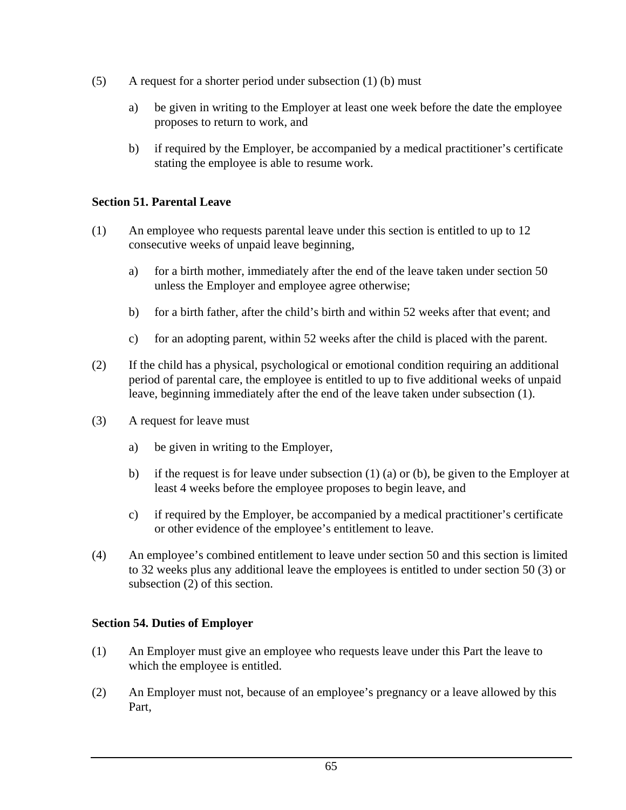- $(5)$  A request for a shorter period under subsection  $(1)$  (b) must
	- a) be given in writing to the Employer at least one week before the date the employee proposes to return to work, and
	- b) if required by the Employer, be accompanied by a medical practitioner's certificate stating the employee is able to resume work.

#### **Section 51. Parental Leave**

- (1) An employee who requests parental leave under this section is entitled to up to 12 consecutive weeks of unpaid leave beginning,
	- a) for a birth mother, immediately after the end of the leave taken under section 50 unless the Employer and employee agree otherwise;
	- b) for a birth father, after the child's birth and within 52 weeks after that event; and
	- c) for an adopting parent, within 52 weeks after the child is placed with the parent.
- (2) If the child has a physical, psychological or emotional condition requiring an additional period of parental care, the employee is entitled to up to five additional weeks of unpaid leave, beginning immediately after the end of the leave taken under subsection (1).
- (3) A request for leave must
	- a) be given in writing to the Employer,
	- b) if the request is for leave under subsection  $(1)$  (a) or (b), be given to the Employer at least 4 weeks before the employee proposes to begin leave, and
	- c) if required by the Employer, be accompanied by a medical practitioner's certificate or other evidence of the employee's entitlement to leave.
- (4) An employee's combined entitlement to leave under section 50 and this section is limited to 32 weeks plus any additional leave the employees is entitled to under section 50 (3) or subsection (2) of this section.

#### **Section 54. Duties of Employer**

- (1) An Employer must give an employee who requests leave under this Part the leave to which the employee is entitled.
- (2) An Employer must not, because of an employee's pregnancy or a leave allowed by this Part,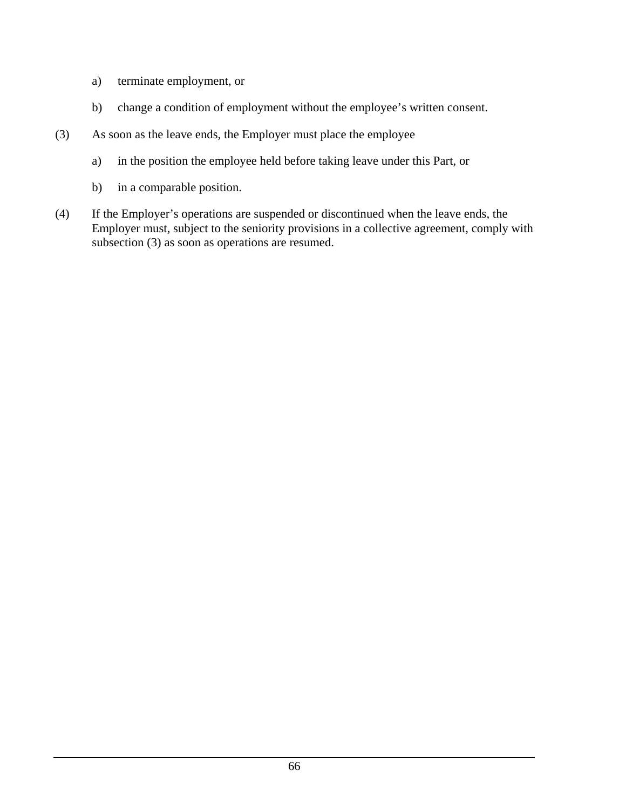- a) terminate employment, or
- b) change a condition of employment without the employee's written consent.
- (3) As soon as the leave ends, the Employer must place the employee
	- a) in the position the employee held before taking leave under this Part, or
	- b) in a comparable position.
- (4) If the Employer's operations are suspended or discontinued when the leave ends, the Employer must, subject to the seniority provisions in a collective agreement, comply with subsection (3) as soon as operations are resumed.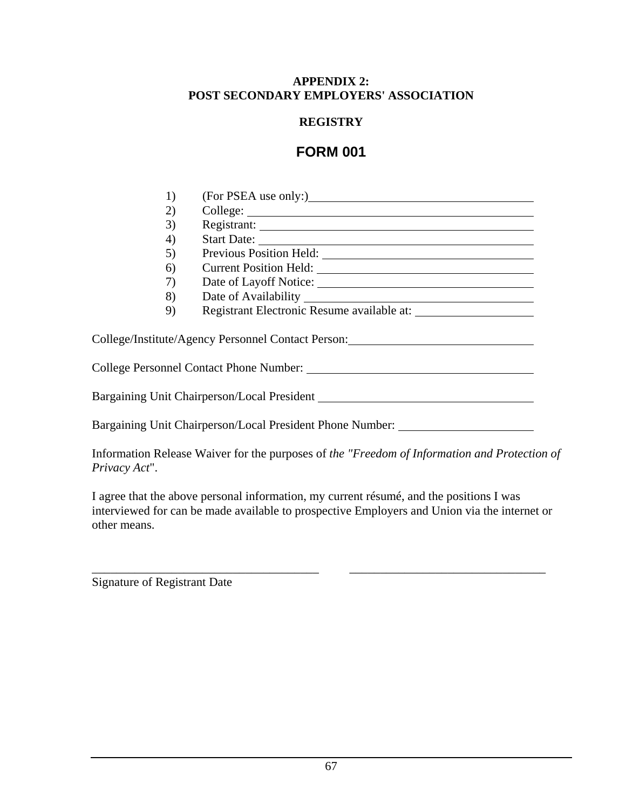#### **APPENDIX 2: POST SECONDARY EMPLOYERS' ASSOCIATION**

#### **REGISTRY**

## **FORM 001**

| 1) |                                                           |
|----|-----------------------------------------------------------|
| 2) |                                                           |
| 3) |                                                           |
| 4) |                                                           |
| 5) |                                                           |
| 6) |                                                           |
| 7) |                                                           |
| 8) |                                                           |
| 9) |                                                           |
|    | College/Institute/Agency Personnel Contact Person:        |
|    | College Personnel Contact Phone Number:                   |
|    | Bargaining Unit Chairperson/Local President               |
|    | Bargaining Unit Chairperson/Local President Phone Number: |

Information Release Waiver for the purposes of *the "Freedom of Information and Protection of Privacy Act*".

I agree that the above personal information, my current résumé, and the positions I was interviewed for can be made available to prospective Employers and Union via the internet or other means.

\_\_\_\_\_\_\_\_\_\_\_\_\_\_\_\_\_\_\_\_\_\_\_\_\_\_\_\_\_\_\_\_\_\_\_\_\_ \_\_\_\_\_\_\_\_\_\_\_\_\_\_\_\_\_\_\_\_\_\_\_\_\_\_\_\_\_\_\_\_

Signature of Registrant Date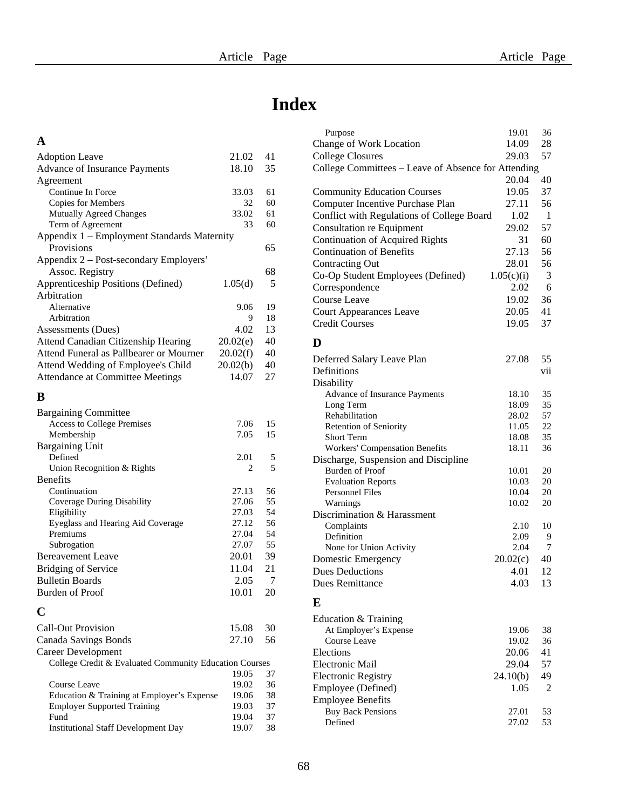## **Index**

#### **A**

| <b>Adoption Leave</b>                               | 21.02   | 41 |
|-----------------------------------------------------|---------|----|
| Advance of Insurance Payments                       | 18.10   | 35 |
| Agreement                                           |         |    |
| Continue In Force                                   | 33.03   | 61 |
| Copies for Members                                  | 32      | 60 |
| Mutually Agreed Changes                             | 33.02   | 61 |
| Term of Agreement                                   | 33      | 60 |
| Appendix 1 – Employment Standards Maternity         |         |    |
| Provisions                                          |         | 65 |
| Appendix 2 – Post-secondary Employers'              |         |    |
| Assoc. Registry                                     |         | 68 |
| Apprenticeship Positions (Defined)                  | 1.05(d) | 5  |
| Arbitration                                         |         |    |
| Alternative                                         | 9.06    | 19 |
| Arbitration                                         | 9       | 18 |
| Assessments (Dues)                                  | 4.02    | 13 |
| Attend Canadian Citizenship Hearing<br>20.02(e)     |         |    |
| Attend Funeral as Pallbearer or Mourner<br>20.02(f) |         |    |
| 20.02(b)<br>Attend Wedding of Employee's Child      |         |    |
| 14.07<br>Attendance at Committee Meetings           |         |    |

# **B**

| <b>Bargaining Committee</b>                            |       |                |
|--------------------------------------------------------|-------|----------------|
| <b>Access to College Premises</b>                      | 7.06  | 15             |
| Membership                                             | 7.05  | 15             |
| Bargaining Unit                                        |       |                |
| Defined                                                | 2.01  | 5              |
| Union Recognition & Rights                             | 2     | $\overline{5}$ |
| <b>Benefits</b>                                        |       |                |
| Continuation                                           | 27.13 | 56             |
| Coverage During Disability                             | 27.06 | 55             |
| Eligibility                                            | 27.03 | 54             |
| Eyeglass and Hearing Aid Coverage                      | 27.12 | 56             |
| Premiums                                               | 27.04 | 54             |
| Subrogation                                            | 27.07 | 55             |
| <b>Bereavement Leave</b>                               | 20.01 | 39             |
| <b>Bridging of Service</b>                             | 11.04 | 21             |
| <b>Bulletin Boards</b>                                 | 2.05  | 7              |
| Burden of Proof                                        | 10.01 | 20             |
| C                                                      |       |                |
| <b>Call-Out Provision</b>                              | 15.08 | 30             |
| Canada Savings Bonds                                   | 27.10 | 56             |
| Career Development                                     |       |                |
| College Credit & Evaluated Community Education Courses |       |                |
|                                                        | 19.05 | 37             |
| Course Leave                                           | 19.02 | 36             |
| Education & Training at Employer's Expense             | 19.06 | 38             |

Employer Supported Training 19.03 37 Fund
19.04
37
Institutional Staff Development Day
19.07
38
3

Institutional Staff Development Day

| Purpose                                             | 19.01          | 36       |
|-----------------------------------------------------|----------------|----------|
| Change of Work Location                             | 14.09          | 28       |
| <b>College Closures</b>                             | 29.03          | 57       |
| College Committees - Leave of Absence for Attending |                |          |
|                                                     | 20.04          | 40       |
| <b>Community Education Courses</b>                  | 19.05          | 37       |
| Computer Incentive Purchase Plan                    | 27.11          | 56       |
| Conflict with Regulations of College Board          | 1.02           | 1        |
| <b>Consultation re Equipment</b>                    | 29.02          | 57       |
| <b>Continuation of Acquired Rights</b>              | 31             | 60       |
| <b>Continuation of Benefits</b>                     | 27.13          | 56       |
| <b>Contracting Out</b>                              | 28.01          | 56       |
| Co-Op Student Employees (Defined)                   | 1.05(c)(i)     | 3        |
| Correspondence                                      | 2.02           | 6        |
| Course Leave                                        | 19.02          | 36       |
| <b>Court Appearances Leave</b>                      | 20.05          | 41       |
| <b>Credit Courses</b>                               | 19.05          | 37       |
|                                                     |                |          |
| D                                                   |                |          |
| Deferred Salary Leave Plan                          | 27.08          | 55       |
| Definitions                                         |                | vii      |
| Disability                                          |                |          |
| Advance of Insurance Payments                       | 18.10          | 35       |
| Long Term                                           | 18.09          | 35       |
| Rehabilitation                                      | 28.02          | 57       |
| <b>Retention of Seniority</b>                       | 11.05          | 22       |
| <b>Short Term</b>                                   | 18.08          | 35       |
| Workers' Compensation Benefits                      | 18.11          | 36       |
| Discharge, Suspension and Discipline                |                |          |
| <b>Burden</b> of Proof                              | 10.01          | 20<br>20 |
| <b>Evaluation Reports</b><br>Personnel Files        | 10.03<br>10.04 | 20       |
| Warnings                                            | 10.02          | 20       |
| Discrimination & Harassment                         |                |          |
| Complaints                                          | 2.10           | 10       |
| Definition                                          | 2.09           | 9        |
| None for Union Activity                             | 2.04           | 7        |
| Domestic Emergency                                  | 20.02(c)       | 40       |
| <b>Dues Deductions</b>                              | 4.01           | 12       |
| <b>Dues Remittance</b>                              | 4.03           | 13       |
|                                                     |                |          |
| E                                                   |                |          |
| Education & Training                                |                |          |
| At Employer's Expense                               | 19.06          | 38       |
| Course Leave                                        | 19.02          | 36       |
| Elections                                           | 20.06          | 41       |
| <b>Electronic Mail</b>                              | 29.04          | 57       |
| <b>Electronic Registry</b>                          | 24.10(b)       | 49       |
| Employee (Defined)                                  | 1.05           | 2        |
| <b>Employee Benefits</b>                            |                |          |
| <b>Buy Back Pensions</b>                            | 27.01          | 53       |
| Defined                                             | 27.02          | 53       |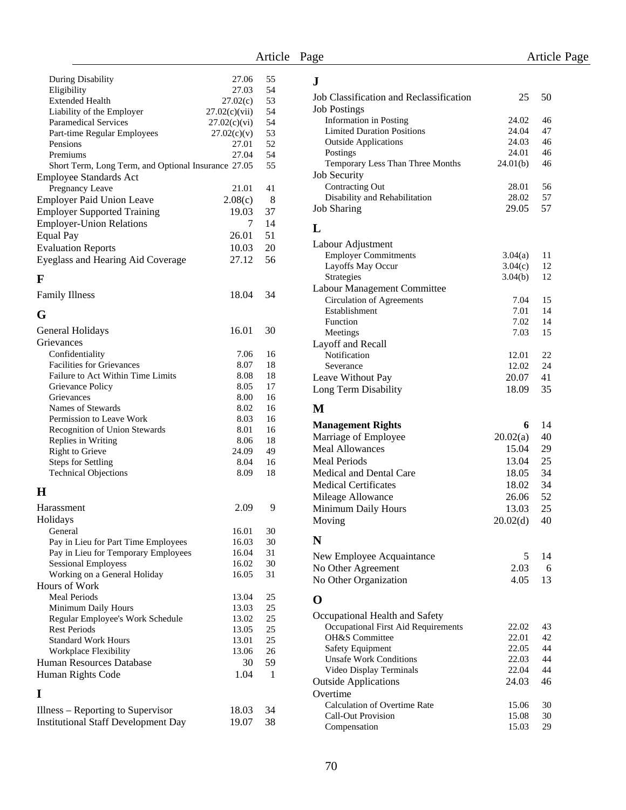**J**

| During Disability                                   | 27.06         | 55 |
|-----------------------------------------------------|---------------|----|
| Eligibility                                         | 27.03         | 54 |
| <b>Extended Health</b>                              |               | 53 |
|                                                     | 27.02(c)      |    |
| Liability of the Employer                           | 27.02(c)(vii) | 54 |
| <b>Paramedical Services</b>                         | 27.02(c)(vi)  | 54 |
| Part-time Regular Employees                         | 27.02(c)(v)   | 53 |
| Pensions                                            | 27.01         | 52 |
| Premiums                                            | 27.04         | 54 |
| Short Term, Long Term, and Optional Insurance 27.05 |               | 55 |
|                                                     |               |    |
| <b>Employee Standards Act</b>                       |               |    |
| Pregnancy Leave                                     | 21.01         | 41 |
| <b>Employer Paid Union Leave</b>                    | 2.08(c)       | 8  |
| <b>Employer Supported Training</b>                  | 19.03         | 37 |
|                                                     | 7             | 14 |
| <b>Employer-Union Relations</b>                     |               |    |
| <b>Equal Pay</b>                                    | 26.01         | 51 |
| <b>Evaluation Reports</b>                           | 10.03         | 20 |
| Eyeglass and Hearing Aid Coverage                   | 27.12         | 56 |
|                                                     |               |    |
| F                                                   |               |    |
| <b>Family Illness</b>                               | 18.04         | 34 |
|                                                     |               |    |
| G                                                   |               |    |
| General Holidays                                    | 16.01         | 30 |
| Grievances                                          |               |    |
|                                                     |               |    |
| Confidentiality                                     | 7.06          | 16 |
| <b>Facilities for Grievances</b>                    | 8.07          | 18 |
| Failure to Act Within Time Limits                   | 8.08          | 18 |
| Grievance Policy                                    | 8.05          | 17 |
| Grievances                                          | 8.00          | 16 |
| Names of Stewards                                   | 8.02          | 16 |
|                                                     |               |    |
| Permission to Leave Work                            | 8.03          | 16 |
| <b>Recognition of Union Stewards</b>                | 8.01          | 16 |
| Replies in Writing                                  | 8.06          | 18 |
| Right to Grieve                                     | 24.09         | 49 |
| <b>Steps for Settling</b>                           | 8.04          | 16 |
| <b>Technical Objections</b>                         | 8.09          | 18 |
|                                                     |               |    |
| H                                                   |               |    |
| Harassment                                          | 2.09          | 9  |
| Holidays                                            |               |    |
|                                                     |               |    |
| General                                             | 16.01         | 30 |
| Pay in Lieu for Part Time Employees                 | 16.03         | 30 |
| Pay in Lieu for Temporary Employees                 | 16.04         | 31 |
| <b>Sessional Employess</b>                          | 16.02         | 30 |
| Working on a General Holiday                        | 16.05         | 31 |
| Hours of Work                                       |               |    |
| <b>Meal Periods</b>                                 | 13.04         | 25 |
| Minimum Daily Hours                                 | 13.03         | 25 |
|                                                     |               |    |
| Regular Employee's Work Schedule                    | 13.02         | 25 |
| <b>Rest Periods</b>                                 | 13.05         | 25 |
| <b>Standard Work Hours</b>                          | 13.01         | 25 |
| Workplace Flexibility                               | 13.06         | 26 |
| Human Resources Database                            | 30            | 59 |
| Human Rights Code                                   | 1.04          | 1  |
|                                                     |               |    |
| I                                                   |               |    |
| Illness – Reporting to Supervisor                   | 18.03         | 34 |
| <b>Institutional Staff Development Day</b>          | 19.07         | 38 |
|                                                     |               |    |

| J                                                        |                |          |
|----------------------------------------------------------|----------------|----------|
| Job Classification and Reclassification                  | 25             | 50       |
| <b>Job Postings</b>                                      |                |          |
| <b>Information</b> in Posting                            | 24.02          | 46       |
| <b>Limited Duration Positions</b>                        | 24.04          | 47       |
| <b>Outside Applications</b>                              | 24.03          | 46       |
| Postings                                                 | 24.01          | 46       |
| Temporary Less Than Three Months                         | 24.01(b)       | 46       |
| <b>Job Security</b>                                      |                |          |
| <b>Contracting Out</b>                                   | 28.01          | 56       |
| Disability and Rehabilitation                            | 28.02          | 57       |
| <b>Job Sharing</b>                                       | 29.05          | 57       |
| L                                                        |                |          |
| Labour Adjustment                                        |                |          |
| <b>Employer Commitments</b>                              | 3.04(a)        | 11       |
| Layoffs May Occur                                        | 3.04(c)        | 12       |
| Strategies                                               | 3.04(b)        | 12       |
| Labour Management Committee                              |                |          |
| <b>Circulation of Agreements</b>                         | 7.04           | 15       |
| Establishment                                            | 7.01           | 14       |
| Function                                                 | 7.02           | 14       |
| Meetings                                                 | 7.03           | 15       |
| Layoff and Recall                                        |                |          |
| Notification                                             | 12.01          | 22       |
| Severance                                                | 12.02          | 24       |
| Leave Without Pay                                        | 20.07          | 41       |
| Long Term Disability                                     | 18.09          | 35       |
| М                                                        |                |          |
|                                                          | 6              | 14       |
| <b>Management Rights</b>                                 |                |          |
| Marriage of Employee                                     | 20.02(a)       | 40       |
| <b>Meal Allowances</b>                                   | 15.04          | 29       |
| <b>Meal Periods</b>                                      | 13.04          | 25       |
| <b>Medical and Dental Care</b>                           | 18.05          | 34       |
| <b>Medical Certificates</b>                              | 18.02          | 34       |
| Mileage Allowance                                        | 26.06          | 52       |
| Minimum Daily Hours                                      | 13.03          | 25       |
| Moving                                                   | 20.02(d)       | 40       |
| N                                                        |                |          |
| New Employee Acquaintance                                | 5              | 14       |
| No Other Agreement                                       | 2.03           | 6        |
| No Other Organization                                    | 4.05           | 13       |
| O                                                        |                |          |
|                                                          |                |          |
| Occupational Health and Safety                           |                |          |
| Occupational First Aid Requirements                      | 22.02          | 43       |
| OH&S Committee                                           | 22.01          | 42       |
| <b>Safety Equipment</b>                                  | 22.05          | 44<br>44 |
| <b>Unsafe Work Conditions</b><br>Video Display Terminals | 22.03          | 44       |
| <b>Outside Applications</b>                              | 22.04<br>24.03 | 46       |
| Overtime                                                 |                |          |
| <b>Calculation of Overtime Rate</b>                      | 15.06          | 30       |
| <b>Call-Out Provision</b>                                | 15.08          | 30       |
| Compensation                                             | 15.03          | 29       |
|                                                          |                |          |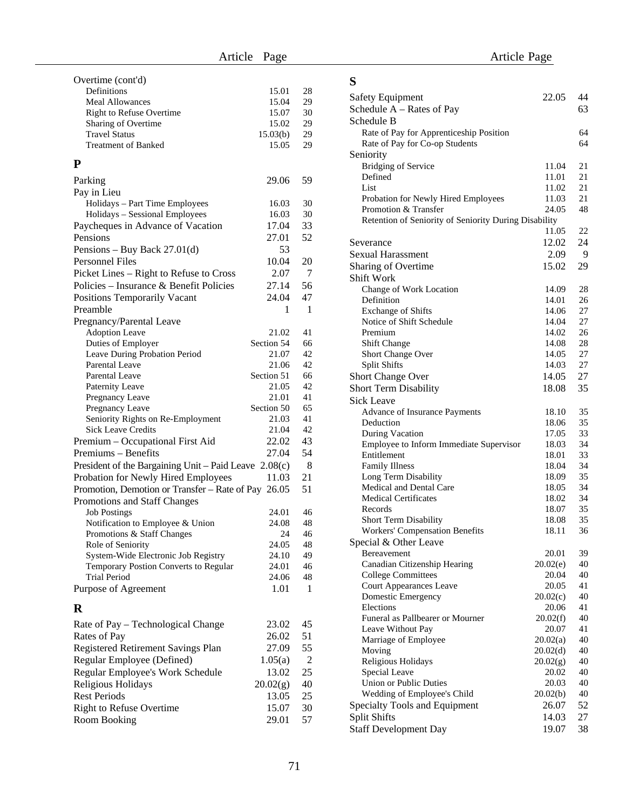#### **P**

| Parking                                                        | 29.06               | 59             |  |
|----------------------------------------------------------------|---------------------|----------------|--|
| Pay in Lieu                                                    |                     |                |  |
| Holidays - Part Time Employees                                 | 16.03               | 30             |  |
| Holidays - Sessional Employees                                 | 16.03               | 30             |  |
| Paycheques in Advance of Vacation                              | 17.04               | 33             |  |
| Pensions                                                       | 27.01               | 52             |  |
| Pensions - Buy Back 27.01(d)                                   | 53                  |                |  |
| <b>Personnel Files</b>                                         | 10.04               | 20             |  |
| Picket Lines – Right to Refuse to Cross                        | 2.07                | 7              |  |
| Policies - Insurance & Benefit Policies                        | 27.14               | 56             |  |
| <b>Positions Temporarily Vacant</b>                            | 24.04               | 47             |  |
|                                                                |                     |                |  |
| Preamble                                                       | 1                   | 1              |  |
| Pregnancy/Parental Leave                                       |                     |                |  |
| <b>Adoption Leave</b>                                          | 21.02               | 41             |  |
| Duties of Employer                                             | Section 54          | 66             |  |
| Leave During Probation Period                                  | 21.07               | 42<br>42       |  |
| Parental Leave<br><b>Parental Leave</b>                        | 21.06<br>Section 51 | 66             |  |
| Paternity Leave                                                | 21.05               | 42             |  |
| Pregnancy Leave                                                | 21.01               | 41             |  |
| Pregnancy Leave                                                | Section 50          | 65             |  |
| Seniority Rights on Re-Employment                              | 21.03               | 41             |  |
| <b>Sick Leave Credits</b>                                      | 21.04               | 42             |  |
| Premium - Occupational First Aid                               | 22.02               | 43             |  |
| Premiums – Benefits                                            | 27.04               | 54             |  |
|                                                                |                     | 8              |  |
| President of the Bargaining Unit - Paid Leave $2.08(c)$        |                     |                |  |
| Probation for Newly Hired Employees                            | 11.03               | 21             |  |
| Promotion, Demotion or Transfer - Rate of Pay 26.05            |                     | 51             |  |
| Promotions and Staff Changes                                   |                     | 46             |  |
| <b>Job Postings</b>                                            | 24.01               | 48             |  |
| Notification to Employee & Union<br>Promotions & Staff Changes | 24.08<br>24         | 46             |  |
| Role of Seniority                                              | 24.05               | 48             |  |
| System-Wide Electronic Job Registry                            | 24.10               | 49             |  |
| Temporary Postion Converts to Regular                          | 24.01               | 46             |  |
| <b>Trial Period</b>                                            | 24.06               | 48             |  |
| Purpose of Agreement                                           | 1.01                | 1              |  |
|                                                                |                     |                |  |
| $\bf{R}$                                                       |                     |                |  |
| Rate of Pay - Technological Change                             | 23.02               | 45             |  |
| 26.02<br>Rates of Pay                                          |                     |                |  |
| Registered Retirement Savings Plan                             | 27.09               | 55             |  |
| Regular Employee (Defined)                                     | 1.05(a)             | $\overline{2}$ |  |
| Regular Employee's Work Schedule                               | 13.02               | 25             |  |

Religious Holidays 20.02(g) 40 Rest Periods 13.05 25 Right to Refuse Overtime 15.07 30<br>Room Booking 29.01 57

Room Booking

| S                                                       |                |          |
|---------------------------------------------------------|----------------|----------|
| Safety Equipment                                        | 22.05          | 44       |
| Schedule $A - Rates$ of Pay                             |                | 63       |
| Schedule B                                              |                |          |
| Rate of Pay for Apprenticeship Position                 |                | 64       |
| Rate of Pay for Co-op Students                          |                | 64       |
| Seniority                                               |                |          |
| <b>Bridging of Service</b>                              | 11.04          | 21       |
| Defined                                                 | 11.01          | 21       |
| List                                                    | 11.02          | 21       |
| Probation for Newly Hired Employees                     | 11.03          | 21       |
| Promotion & Transfer                                    | 24.05          | 48       |
| Retention of Seniority of Seniority During Disability   |                |          |
|                                                         | 11.05          | 22       |
| Severance                                               | 12.02          | 24       |
| Sexual Harassment                                       | 2.09           | 9        |
| Sharing of Overtime                                     | 15.02          | 29       |
| <b>Shift Work</b>                                       |                |          |
| Change of Work Location                                 | 14.09          | 28       |
| Definition                                              | 14.01          | 26       |
| <b>Exchange of Shifts</b><br>Notice of Shift Schedule   | 14.06          | 27<br>27 |
| Premium                                                 | 14.04<br>14.02 | 26       |
| <b>Shift Change</b>                                     | 14.08          | 28       |
| Short Change Over                                       | 14.05          | 27       |
| <b>Split Shifts</b>                                     | 14.03          | 27       |
| Short Change Over                                       | 14.05          | 27       |
| Short Term Disability                                   | 18.08          | 35       |
| Sick Leave                                              |                |          |
| Advance of Insurance Payments                           | 18.10          | 35       |
| Deduction                                               | 18.06          | 35       |
| During Vacation                                         | 17.05          | 33       |
| Employee to Inform Immediate Supervisor                 | 18.03          | 34       |
| Entitlement                                             | 18.01          | 33       |
| <b>Family Illness</b>                                   | 18.04          | 34       |
| Long Term Disability                                    | 18.09          | 35       |
| <b>Medical and Dental Care</b>                          | 18.05          | 34       |
| <b>Medical Certificates</b>                             | 18.02          | 34       |
| Records                                                 | 18.07          | 35       |
| Short Term Disability                                   | 18.08          | 35<br>36 |
| Workers' Compensation Benefits<br>Special & Other Leave | 18.11          |          |
| Bereavement                                             | 20.01          | 39       |
| Canadian Citizenship Hearing                            | 20.02(e)       | 40       |
| <b>College Committees</b>                               | 20.04          | 40       |
| Court Appearances Leave                                 | 20.05          | 41       |
| Domestic Emergency                                      | 20.02(c)       | 40       |
| Elections                                               | 20.06          | 41       |
| Funeral as Pallbearer or Mourner                        | 20.02(f)       | 40       |
| Leave Without Pay                                       | 20.07          | 41       |
| Marriage of Employee                                    | 20.02(a)       | 40       |
| Moving                                                  | 20.02(d)       | 40       |
| Religious Holidays                                      | 20.02(g)       | 40       |
| Special Leave                                           | 20.02          | 40       |
| Union or Public Duties                                  | 20.03          | 40       |
| Wedding of Employee's Child                             | 20.02(b)       | 40       |
| Specialty Tools and Equipment                           | 26.07          | 52       |
| <b>Split Shifts</b>                                     | 14.03          | 27       |
| <b>Staff Development Day</b>                            | 19.07          | 38       |